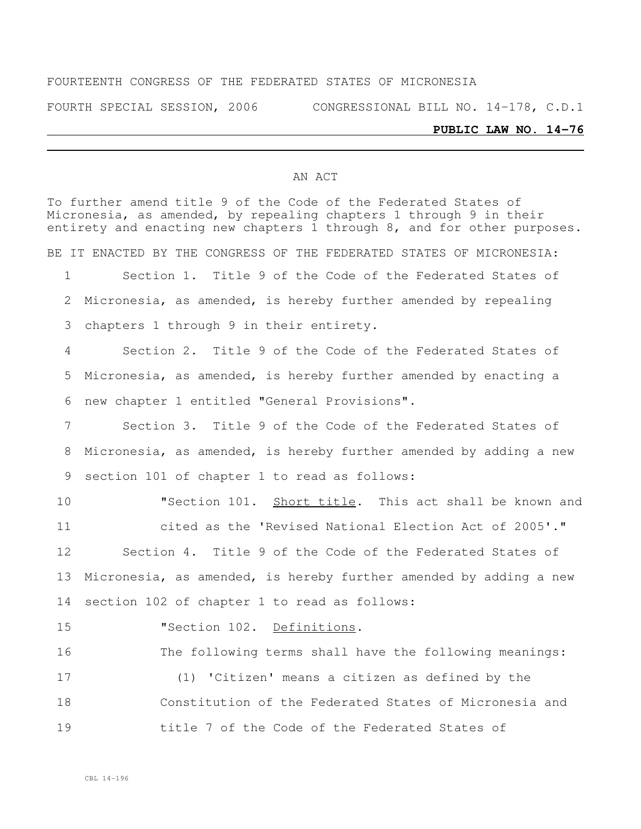#### FOURTEENTH CONGRESS OF THE FEDERATED STATES OF MICRONESIA

FOURTH SPECIAL SESSION, 2006 CONGRESSIONAL BILL NO. 14-178, C.D.1

# **PUBLIC LAW NO. 14-76**

#### AN ACT

|             | To further amend title 9 of the Code of the Federated States of<br>Micronesia, as amended, by repealing chapters 1 through 9 in their<br>entirety and enacting new chapters 1 through 8, and for other purposes. |
|-------------|------------------------------------------------------------------------------------------------------------------------------------------------------------------------------------------------------------------|
|             | BE IT ENACTED BY THE CONGRESS OF THE FEDERATED STATES OF MICRONESIA:                                                                                                                                             |
| $\mathbf 1$ | Section 1. Title 9 of the Code of the Federated States of                                                                                                                                                        |
| 2           | Micronesia, as amended, is hereby further amended by repealing                                                                                                                                                   |
| 3           | chapters 1 through 9 in their entirety.                                                                                                                                                                          |
| 4           | Section 2. Title 9 of the Code of the Federated States of                                                                                                                                                        |
| 5           | Micronesia, as amended, is hereby further amended by enacting a                                                                                                                                                  |
| 6           | new chapter 1 entitled "General Provisions".                                                                                                                                                                     |
| 7           | Section 3. Title 9 of the Code of the Federated States of                                                                                                                                                        |
| 8           | Micronesia, as amended, is hereby further amended by adding a new                                                                                                                                                |
| 9           | section 101 of chapter 1 to read as follows:                                                                                                                                                                     |
| 10          | "Section 101. Short title. This act shall be known and                                                                                                                                                           |
| 11          | cited as the 'Revised National Election Act of 2005'."                                                                                                                                                           |
| 12          | Section 4. Title 9 of the Code of the Federated States of                                                                                                                                                        |
| 13          | Micronesia, as amended, is hereby further amended by adding a new                                                                                                                                                |
| 14          | section 102 of chapter 1 to read as follows:                                                                                                                                                                     |
| 15          | "Section 102. Definitions.                                                                                                                                                                                       |
| 16          | The following terms shall have the following meanings:                                                                                                                                                           |
| 17          | (1) 'Citizen' means a citizen as defined by the                                                                                                                                                                  |
| 18          | Constitution of the Federated States of Micronesia and                                                                                                                                                           |
| 19          | title 7 of the Code of the Federated States of                                                                                                                                                                   |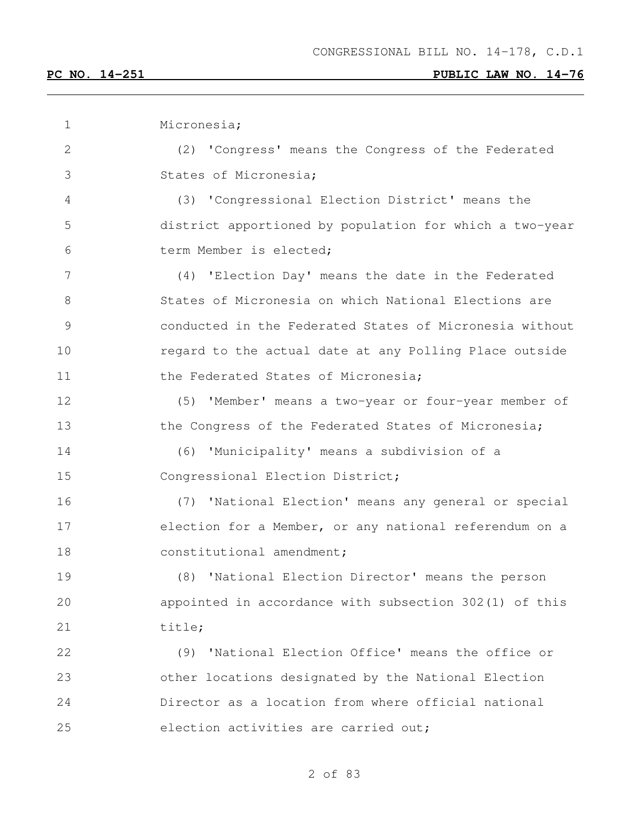| $\mathbf 1$   | Micronesia;                                             |
|---------------|---------------------------------------------------------|
| $\mathbf{2}$  | (2) 'Congress' means the Congress of the Federated      |
| 3             | States of Micronesia;                                   |
| 4             | (3) 'Congressional Election District' means the         |
| 5             | district apportioned by population for which a two-year |
| 6             | term Member is elected;                                 |
| 7             | (4) 'Election Day' means the date in the Federated      |
| 8             | States of Micronesia on which National Elections are    |
| $\mathcal{G}$ | conducted in the Federated States of Micronesia without |
| 10            | regard to the actual date at any Polling Place outside  |
| 11            | the Federated States of Micronesia;                     |
| 12            | (5) 'Member' means a two-year or four-year member of    |
| 13            | the Congress of the Federated States of Micronesia;     |
| 14            | (6) 'Municipality' means a subdivision of a             |
| 15            | Congressional Election District;                        |
| 16            | (7) 'National Election' means any general or special    |
| 17            | election for a Member, or any national referendum on a  |
| 18            | constitutional amendment;                               |
| 19            | (8) 'National Election Director' means the person       |
| 20            | appointed in accordance with subsection 302(1) of this  |
| 21            | title;                                                  |
| 22            | 'National Election Office' means the office or<br>(9)   |
| 23            | other locations designated by the National Election     |
| 24            | Director as a location from where official national     |
| 25            | election activities are carried out;                    |
|               |                                                         |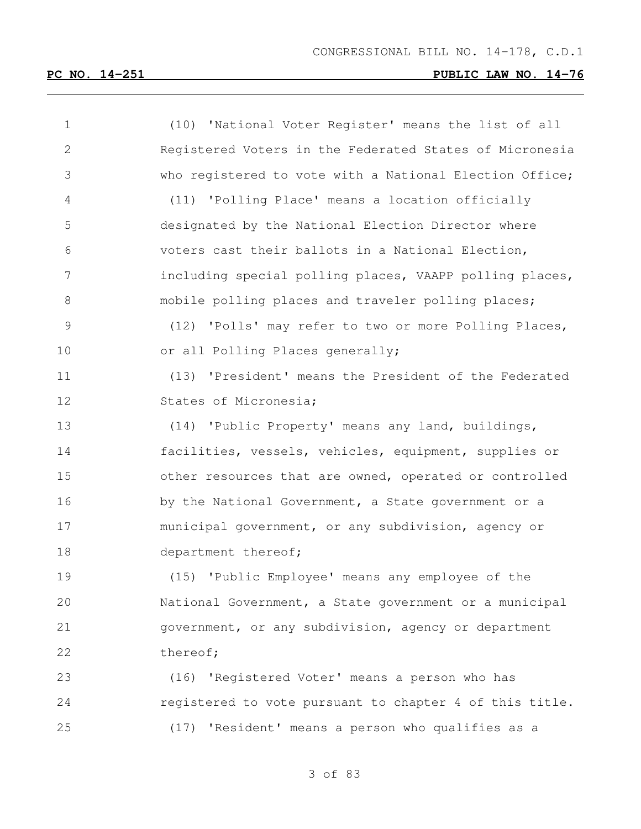| $\mathbf 1$     | (10) 'National Voter Register' means the list of all    |
|-----------------|---------------------------------------------------------|
| $\mathbf{2}$    | Registered Voters in the Federated States of Micronesia |
| 3               | who registered to vote with a National Election Office; |
| $\overline{4}$  | (11) 'Polling Place' means a location officially        |
| 5               | designated by the National Election Director where      |
| 6               | voters cast their ballots in a National Election,       |
| $7\phantom{.0}$ | including special polling places, VAAPP polling places, |
| 8               | mobile polling places and traveler polling places;      |
| $\mathsf 9$     | (12) 'Polls' may refer to two or more Polling Places,   |
| 10              | or all Polling Places generally;                        |
| 11              | (13) 'President' means the President of the Federated   |
| 12              | States of Micronesia;                                   |
| 13              | (14) 'Public Property' means any land, buildings,       |
| 14              | facilities, vessels, vehicles, equipment, supplies or   |
| 15              | other resources that are owned, operated or controlled  |
| 16              | by the National Government, a State government or a     |
| 17              | municipal government, or any subdivision, agency or     |
| 18              | department thereof;                                     |
| 19              | (15) 'Public Employee' means any employee of the        |
| 20              | National Government, a State government or a municipal  |
| 21              | government, or any subdivision, agency or department    |
| 22              | thereof;                                                |
| 23              | (16) 'Registered Voter' means a person who has          |
| 24              | registered to vote pursuant to chapter 4 of this title. |
| 25              | (17) 'Resident' means a person who qualifies as a       |
|                 |                                                         |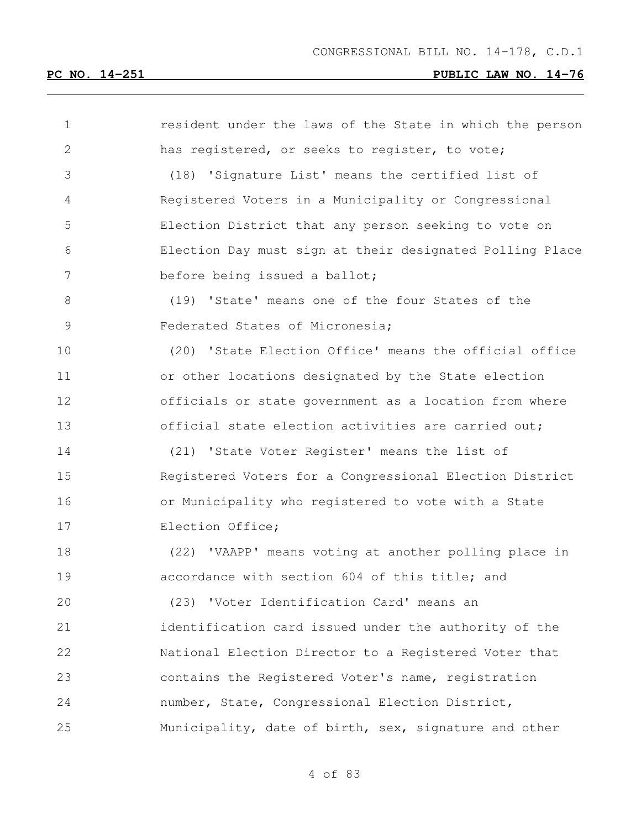| 1  | resident under the laws of the State in which the person |
|----|----------------------------------------------------------|
| 2  | has registered, or seeks to register, to vote;           |
| 3  | (18) 'Signature List' means the certified list of        |
| 4  | Registered Voters in a Municipality or Congressional     |
| 5  | Election District that any person seeking to vote on     |
| 6  | Election Day must sign at their designated Polling Place |
| 7  | before being issued a ballot;                            |
| 8  | (19) 'State' means one of the four States of the         |
| 9  | Federated States of Micronesia;                          |
| 10 | (20) 'State Election Office' means the official office   |
| 11 | or other locations designated by the State election      |
| 12 | officials or state government as a location from where   |
| 13 | official state election activities are carried out;      |
| 14 | (21) 'State Voter Register' means the list of            |
| 15 | Registered Voters for a Congressional Election District  |
| 16 | or Municipality who registered to vote with a State      |
| 17 | Election Office;                                         |
| 18 | (22) 'VAAPP' means voting at another polling place in    |
| 19 | accordance with section 604 of this title; and           |
| 20 | (23) 'Voter Identification Card' means an                |
| 21 | identification card issued under the authority of the    |
| 22 | National Election Director to a Registered Voter that    |
| 23 | contains the Registered Voter's name, registration       |
| 24 | number, State, Congressional Election District,          |
| 25 | Municipality, date of birth, sex, signature and other    |
|    |                                                          |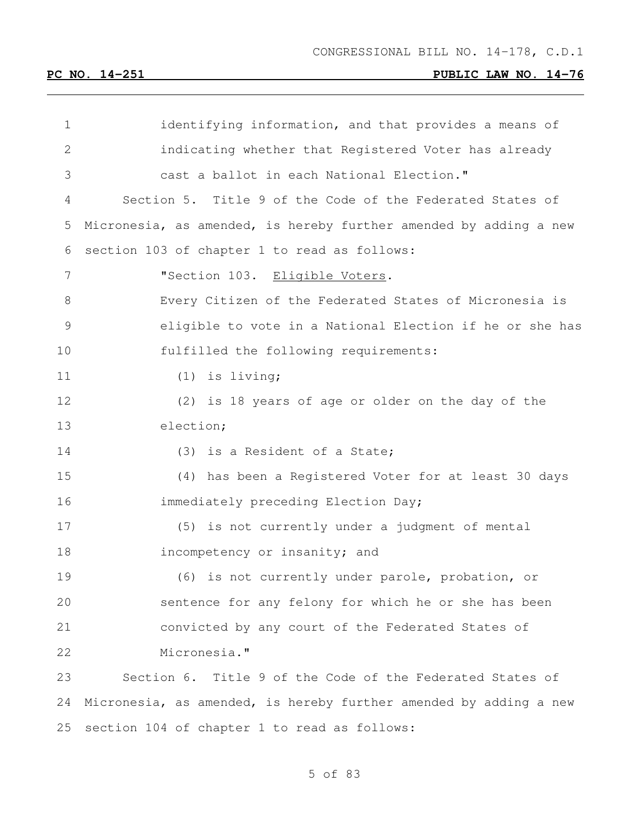| $\mathbf 1$    | identifying information, and that provides a means of             |
|----------------|-------------------------------------------------------------------|
| $\mathbf{2}$   | indicating whether that Registered Voter has already              |
| 3              | cast a ballot in each National Election."                         |
| $\overline{4}$ | Section 5. Title 9 of the Code of the Federated States of         |
| 5              | Micronesia, as amended, is hereby further amended by adding a new |
| 6              | section 103 of chapter 1 to read as follows:                      |
| 7              | "Section 103. Eligible Voters.                                    |
| 8              | Every Citizen of the Federated States of Micronesia is            |
| $\mathcal{G}$  | eligible to vote in a National Election if he or she has          |
| 10             | fulfilled the following requirements:                             |
| 11             | (1)<br>is living;                                                 |
| 12             | (2) is 18 years of age or older on the day of the                 |
| 13             | election;                                                         |
| 14             | (3) is a Resident of a State;                                     |
| 15             | (4) has been a Registered Voter for at least 30 days              |
| 16             | immediately preceding Election Day;                               |
| 17             | (5) is not currently under a judgment of mental                   |
| 18             | incompetency or insanity; and                                     |
| 19             | (6) is not currently under parole, probation, or                  |
| 20             | sentence for any felony for which he or she has been              |
| 21             | convicted by any court of the Federated States of                 |
| 22             | Micronesia."                                                      |
| 23             | Section 6. Title 9 of the Code of the Federated States of         |
| 24             | Micronesia, as amended, is hereby further amended by adding a new |
| 25             | section 104 of chapter 1 to read as follows:                      |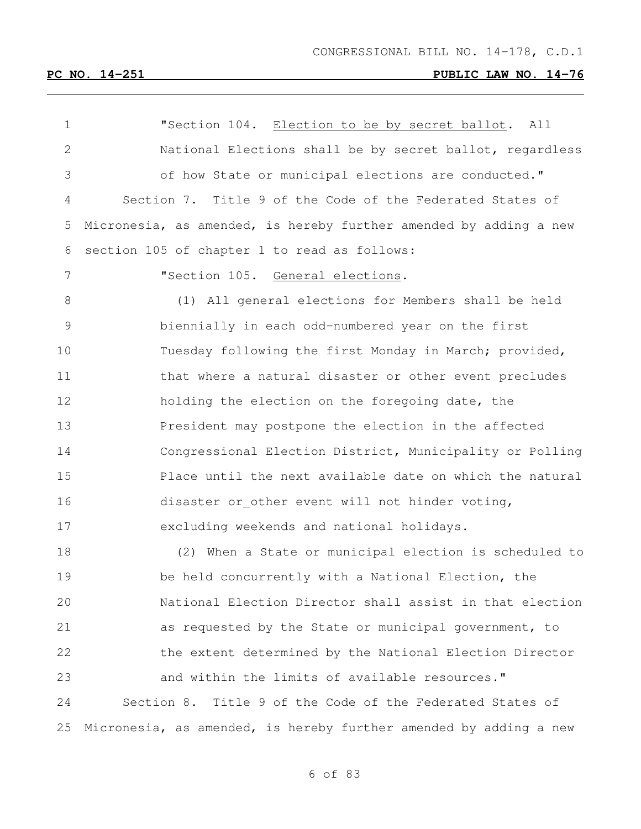1 TSection 104. Election to be by secret ballot. All National Elections shall be by secret ballot, regardless of how State or municipal elections are conducted." Section 7. Title 9 of the Code of the Federated States of Micronesia, as amended, is hereby further amended by adding a new section 105 of chapter 1 to read as follows: "Section 105. General elections. (1) All general elections for Members shall be held biennially in each odd-numbered year on the first Tuesday following the first Monday in March; provided, 11 that where a natural disaster or other event precludes holding the election on the foregoing date, the President may postpone the election in the affected Congressional Election District, Municipality or Polling Place until the next available date on which the natural disaster or other event will not hinder voting, excluding weekends and national holidays. (2) When a State or municipal election is scheduled to be held concurrently with a National Election, the National Election Director shall assist in that election as requested by the State or municipal government, to the extent determined by the National Election Director 23 and within the limits of available resources." Section 8. Title 9 of the Code of the Federated States of Micronesia, as amended, is hereby further amended by adding a new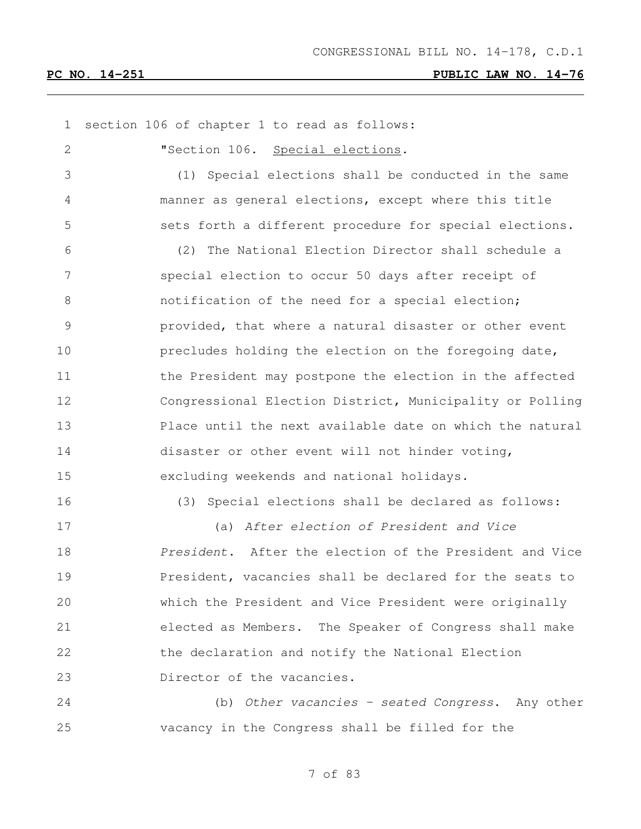| $\mathbf 1$ | section 106 of chapter 1 to read as follows:             |
|-------------|----------------------------------------------------------|
| 2           | "Section 106. Special elections.                         |
| 3           | Special elections shall be conducted in the same<br>(1)  |
| 4           | manner as general elections, except where this title     |
| 5           | sets forth a different procedure for special elections.  |
| 6           | (2) The National Election Director shall schedule a      |
| 7           | special election to occur 50 days after receipt of       |
| 8           | notification of the need for a special election;         |
| 9           | provided, that where a natural disaster or other event   |
| 10          | precludes holding the election on the foregoing date,    |
| 11          | the President may postpone the election in the affected  |
| 12          | Congressional Election District, Municipality or Polling |
| 13          | Place until the next available date on which the natural |
| 14          | disaster or other event will not hinder voting,          |
| 15          | excluding weekends and national holidays.                |
| 16          | (3) Special elections shall be declared as follows:      |
| 17          | (a) After election of President and Vice                 |
| 18          | President. After the election of the President and Vice  |
| 19          | President, vacancies shall be declared for the seats to  |
| 20          | which the President and Vice President were originally   |
| 21          | elected as Members. The Speaker of Congress shall make   |
| 22          | the declaration and notify the National Election         |
| 23          | Director of the vacancies.                               |
| 24          | (b) Other vacancies - seated Congress. Any other         |
| 25          | vacancy in the Congress shall be filled for the          |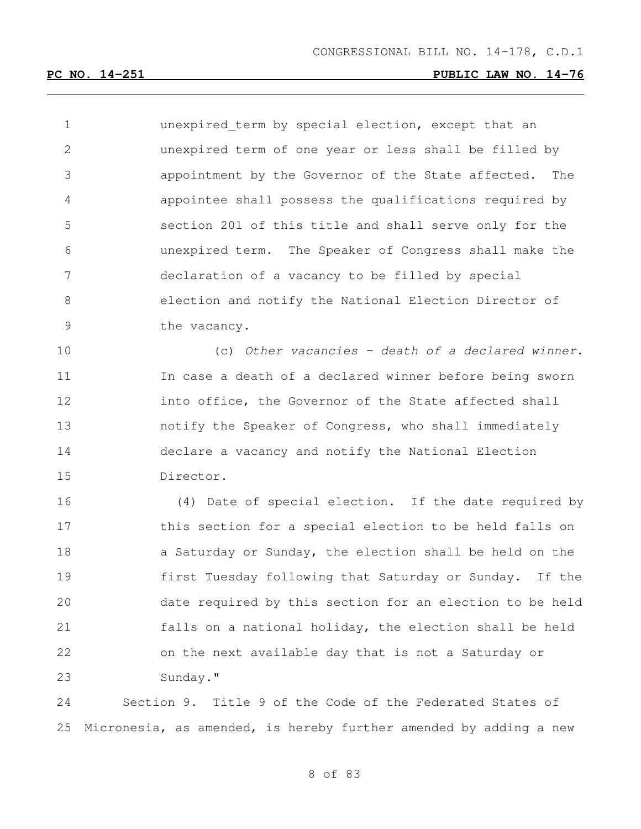unexpired term by special election, except that an unexpired term of one year or less shall be filled by appointment by the Governor of the State affected. The appointee shall possess the qualifications required by section 201 of this title and shall serve only for the unexpired term. The Speaker of Congress shall make the declaration of a vacancy to be filled by special election and notify the National Election Director of the vacancy.

 (c) *Other vacancies – death of a declared winner*. In case a death of a declared winner before being sworn into office, the Governor of the State affected shall notify the Speaker of Congress, who shall immediately declare a vacancy and notify the National Election Director.

 (4) Date of special election. If the date required by 17 this section for a special election to be held falls on 18 a Saturday or Sunday, the election shall be held on the first Tuesday following that Saturday or Sunday. If the date required by this section for an election to be held falls on a national holiday, the election shall be held on the next available day that is not a Saturday or Sunday."

 Section 9. Title 9 of the Code of the Federated States of Micronesia, as amended, is hereby further amended by adding a new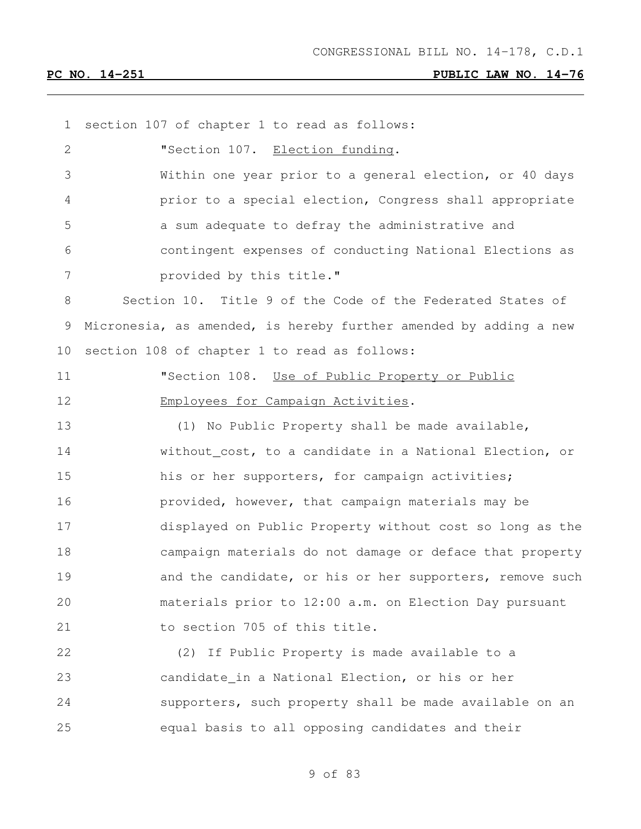section 107 of chapter 1 to read as follows: **"Section 107.** Election funding. Within one year prior to a general election, or 40 days prior to a special election, Congress shall appropriate a sum adequate to defray the administrative and contingent expenses of conducting National Elections as **provided by this title."**  Section 10. Title 9 of the Code of the Federated States of Micronesia, as amended, is hereby further amended by adding a new section 108 of chapter 1 to read as follows: "Section 108. Use of Public Property or Public 12 Employees for Campaign Activities. (1) No Public Property shall be made available, without cost, to a candidate in a National Election, or 15 his or her supporters, for campaign activities; provided, however, that campaign materials may be displayed on Public Property without cost so long as the campaign materials do not damage or deface that property 19 and the candidate, or his or her supporters, remove such materials prior to 12:00 a.m. on Election Day pursuant 21 to section 705 of this title. (2) If Public Property is made available to a candidate in a National Election, or his or her supporters, such property shall be made available on an equal basis to all opposing candidates and their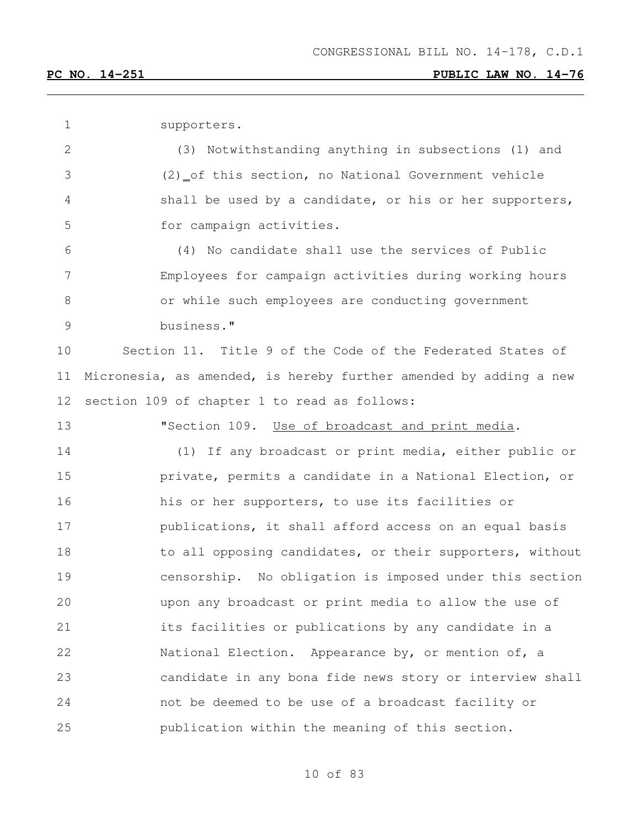supporters.

 (3) Notwithstanding anything in subsections (1) and (2) of this section, no National Government vehicle shall be used by a candidate, or his or her supporters, for campaign activities.

 (4) No candidate shall use the services of Public Employees for campaign activities during working hours or while such employees are conducting government business."

 Section 11. Title 9 of the Code of the Federated States of Micronesia, as amended, is hereby further amended by adding a new section 109 of chapter 1 to read as follows:

**"Section 109.** Use of broadcast and print media.

 (1) If any broadcast or print media, either public or **private, permits a candidate in a National Election, or**  his or her supporters, to use its facilities or **publications, it shall afford access on an equal basis** 18 to all opposing candidates, or their supporters, without censorship. No obligation is imposed under this section upon any broadcast or print media to allow the use of its facilities or publications by any candidate in a National Election. Appearance by, or mention of, a candidate in any bona fide news story or interview shall not be deemed to be use of a broadcast facility or publication within the meaning of this section.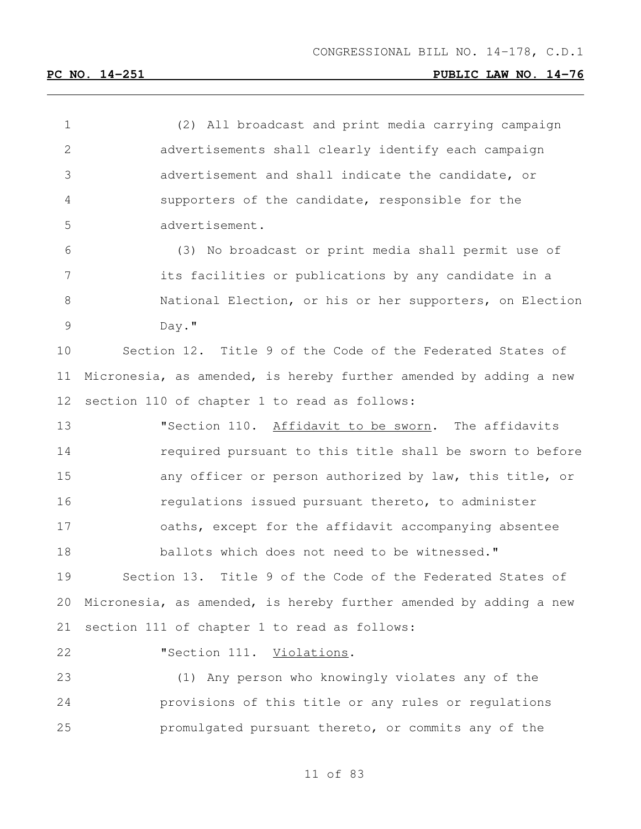of 83 (2) All broadcast and print media carrying campaign advertisements shall clearly identify each campaign advertisement and shall indicate the candidate, or supporters of the candidate, responsible for the advertisement. (3) No broadcast or print media shall permit use of its facilities or publications by any candidate in a National Election, or his or her supporters, on Election Day." Section 12. Title 9 of the Code of the Federated States of Micronesia, as amended, is hereby further amended by adding a new section 110 of chapter 1 to read as follows: "Section 110. Affidavit to be sworn. The affidavits required pursuant to this title shall be sworn to before 15 any officer or person authorized by law, this title, or regulations issued pursuant thereto, to administer oaths, except for the affidavit accompanying absentee ballots which does not need to be witnessed." Section 13. Title 9 of the Code of the Federated States of Micronesia, as amended, is hereby further amended by adding a new section 111 of chapter 1 to read as follows: **"Section 111.** Violations. (1) Any person who knowingly violates any of the provisions of this title or any rules or regulations promulgated pursuant thereto, or commits any of the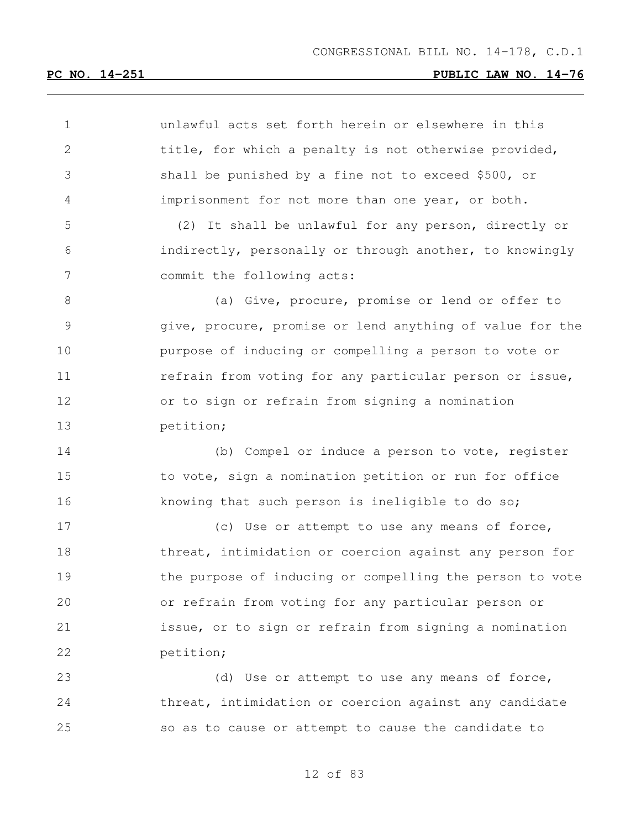| $\mathbf 1$    | unlawful acts set forth herein or elsewhere in this      |
|----------------|----------------------------------------------------------|
| $\overline{2}$ | title, for which a penalty is not otherwise provided,    |
| 3              | shall be punished by a fine not to exceed \$500, or      |
| 4              | imprisonment for not more than one year, or both.        |
| 5              | (2) It shall be unlawful for any person, directly or     |
| 6              | indirectly, personally or through another, to knowingly  |
| 7              | commit the following acts:                               |
| 8              | (a) Give, procure, promise or lend or offer to           |
| 9              | give, procure, promise or lend anything of value for the |
| 10             | purpose of inducing or compelling a person to vote or    |
| 11             | refrain from voting for any particular person or issue,  |
| 12             | or to sign or refrain from signing a nomination          |
| 13             | petition;                                                |
| 14             | (b) Compel or induce a person to vote, register          |
| 15             | to vote, sign a nomination petition or run for office    |
| 16             | knowing that such person is ineligible to do so;         |
| 17             | (c) Use or attempt to use any means of force,            |
| 18             | threat, intimidation or coercion against any person for  |
| 19             | the purpose of inducing or compelling the person to vote |
| 20             | or refrain from voting for any particular person or      |
| 21             | issue, or to sign or refrain from signing a nomination   |
| 22             | petition;                                                |
| 23             | (d) Use or attempt to use any means of force,            |
| 24             | threat, intimidation or coercion against any candidate   |
| 25             | so as to cause or attempt to cause the candidate to      |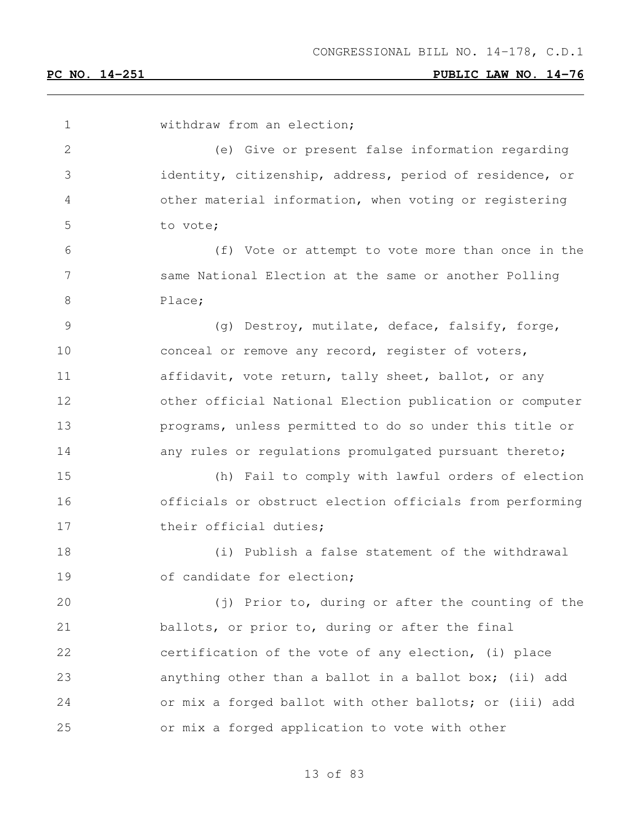withdraw from an election; (e) Give or present false information regarding identity, citizenship, address, period of residence, or other material information, when voting or registering to vote; (f) Vote or attempt to vote more than once in the same National Election at the same or another Polling 8 Place; (g) Destroy, mutilate, deface, falsify, forge, conceal or remove any record, register of voters, 11 affidavit, vote return, tally sheet, ballot, or any other official National Election publication or computer programs, unless permitted to do so under this title or 14 any rules or regulations promulgated pursuant thereto; (h) Fail to comply with lawful orders of election officials or obstruct election officials from performing 17 their official duties; (i) Publish a false statement of the withdrawal 19 of candidate for election; (j) Prior to, during or after the counting of the ballots, or prior to, during or after the final certification of the vote of any election, (i) place anything other than a ballot in a ballot box; (ii) add or mix a forged ballot with other ballots; or (iii) add or mix a forged application to vote with other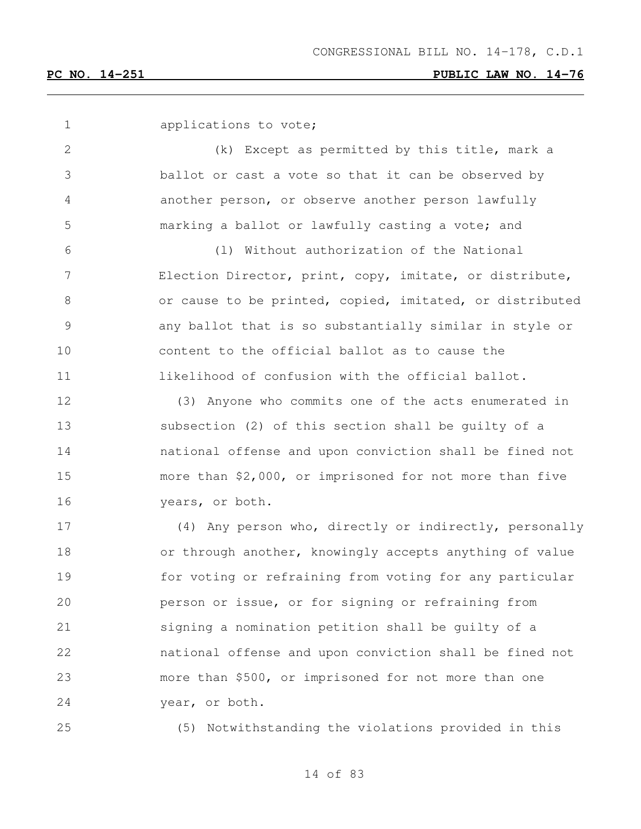| $\mathbf 1$     | applications to vote;                                    |
|-----------------|----------------------------------------------------------|
| $\mathbf{2}$    | (k) Except as permitted by this title, mark a            |
| 3               | ballot or cast a vote so that it can be observed by      |
| 4               | another person, or observe another person lawfully       |
| 5               | marking a ballot or lawfully casting a vote; and         |
| 6               | (1) Without authorization of the National                |
| $7\phantom{.0}$ | Election Director, print, copy, imitate, or distribute,  |
| $8\,$           | or cause to be printed, copied, imitated, or distributed |
| $\mathsf 9$     | any ballot that is so substantially similar in style or  |
| 10              | content to the official ballot as to cause the           |
| 11              | likelihood of confusion with the official ballot.        |
| 12              | (3) Anyone who commits one of the acts enumerated in     |
| 13              | subsection (2) of this section shall be guilty of a      |
| 14              | national offense and upon conviction shall be fined not  |
| 15              | more than \$2,000, or imprisoned for not more than five  |
| 16              | years, or both.                                          |
| 17              | (4) Any person who, directly or indirectly, personally   |
| 18              | or through another, knowingly accepts anything of value  |
| 19              | for voting or refraining from voting for any particular  |
| 20              | person or issue, or for signing or refraining from       |
| 21              | signing a nomination petition shall be quilty of a       |
| 22              | national offense and upon conviction shall be fined not  |
| 23              | more than \$500, or imprisoned for not more than one     |
| 24              | year, or both.                                           |
| 25              | (5) Notwithstanding the violations provided in this      |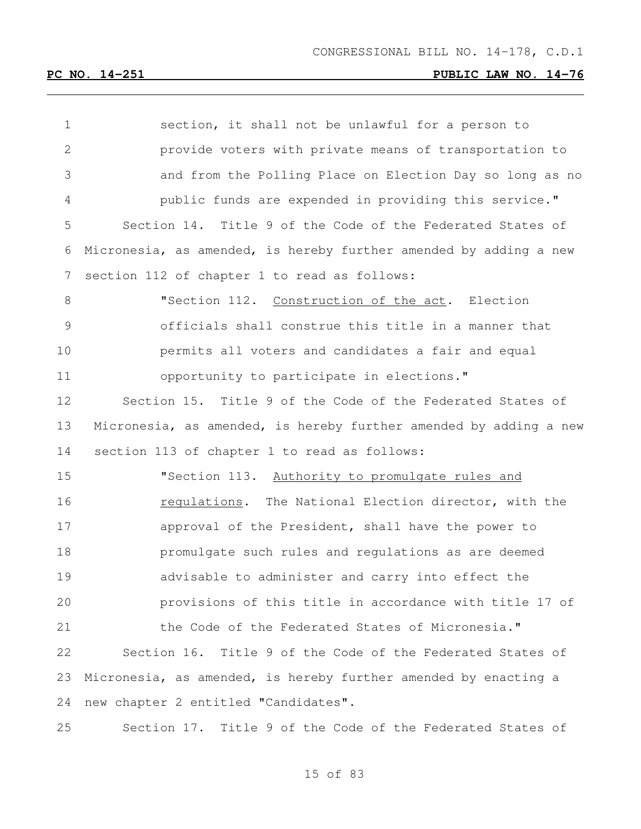| $\mathbf 1$   | section, it shall not be unlawful for a person to                 |
|---------------|-------------------------------------------------------------------|
| $\mathbf{2}$  | provide voters with private means of transportation to            |
| 3             | and from the Polling Place on Election Day so long as no          |
| 4             | public funds are expended in providing this service."             |
| 5             | Section 14. Title 9 of the Code of the Federated States of        |
| 6             | Micronesia, as amended, is hereby further amended by adding a new |
| 7             | section 112 of chapter 1 to read as follows:                      |
| 8             | "Section 112. Construction of the act. Election                   |
| $\mathcal{G}$ | officials shall construe this title in a manner that              |
| 10            | permits all voters and candidates a fair and equal                |
| 11            | opportunity to participate in elections."                         |
| 12            | Section 15. Title 9 of the Code of the Federated States of        |
| 13            | Micronesia, as amended, is hereby further amended by adding a new |
| 14            | section 113 of chapter 1 to read as follows:                      |
| 15            | "Section 113. Authority to promulgate rules and                   |
| 16            | requiations. The National Election director, with the             |
| 17            | approval of the President, shall have the power to                |
| 18            | promulgate such rules and regulations as are deemed               |
| 19            | advisable to administer and carry into effect the                 |
| 20            | provisions of this title in accordance with title 17 of           |
| 21            | the Code of the Federated States of Micronesia."                  |
| 22            | Section 16. Title 9 of the Code of the Federated States of        |
| 23            | Micronesia, as amended, is hereby further amended by enacting a   |
| 24            | new chapter 2 entitled "Candidates".                              |
| 25            | Section 17. Title 9 of the Code of the Federated States of        |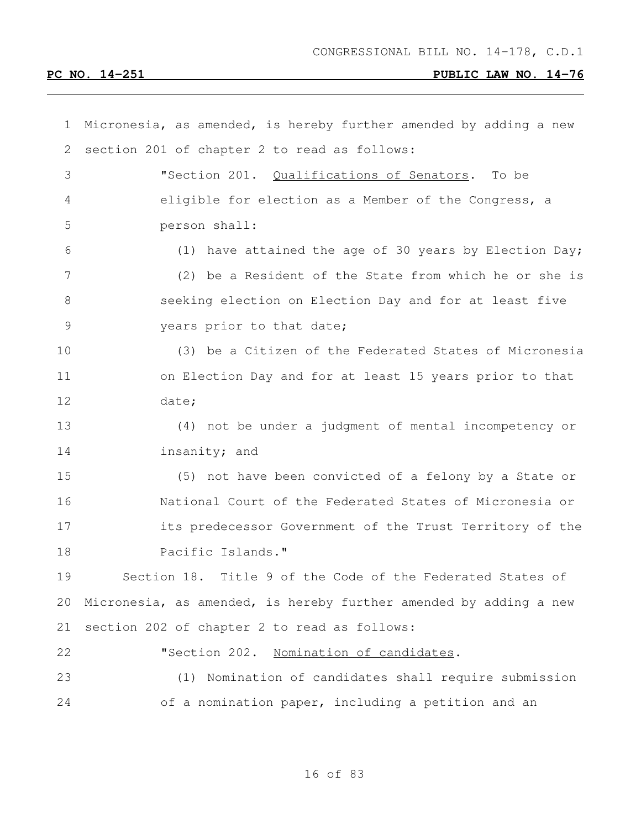| $\mathbf 1$     | Micronesia, as amended, is hereby further amended by adding a new |
|-----------------|-------------------------------------------------------------------|
| 2               | section 201 of chapter 2 to read as follows:                      |
| 3               | "Section 201. Qualifications of Senators.<br>To be                |
| 4               | eligible for election as a Member of the Congress, a              |
| 5               | person shall:                                                     |
| 6               | (1) have attained the age of 30 years by Election Day;            |
| $7\phantom{.0}$ | (2) be a Resident of the State from which he or she is            |
| 8               | seeking election on Election Day and for at least five            |
| $\overline{9}$  | years prior to that date;                                         |
| 10              | (3) be a Citizen of the Federated States of Micronesia            |
| 11              | on Election Day and for at least 15 years prior to that           |
| 12              | date;                                                             |
| 13              | (4) not be under a judgment of mental incompetency or             |
| 14              | insanity; and                                                     |
| 15              | (5) not have been convicted of a felony by a State or             |
| 16              | National Court of the Federated States of Micronesia or           |
| 17              | its predecessor Government of the Trust Territory of the          |
| 18              | Pacific Islands."                                                 |
| 19              | Section 18. Title 9 of the Code of the Federated States of        |
| 20              | Micronesia, as amended, is hereby further amended by adding a new |
| 21              | section 202 of chapter 2 to read as follows:                      |
| 22              | "Section 202.<br>Nomination of candidates.                        |
| 23              | (1) Nomination of candidates shall require submission             |
| 24              | of a nomination paper, including a petition and an                |
|                 |                                                                   |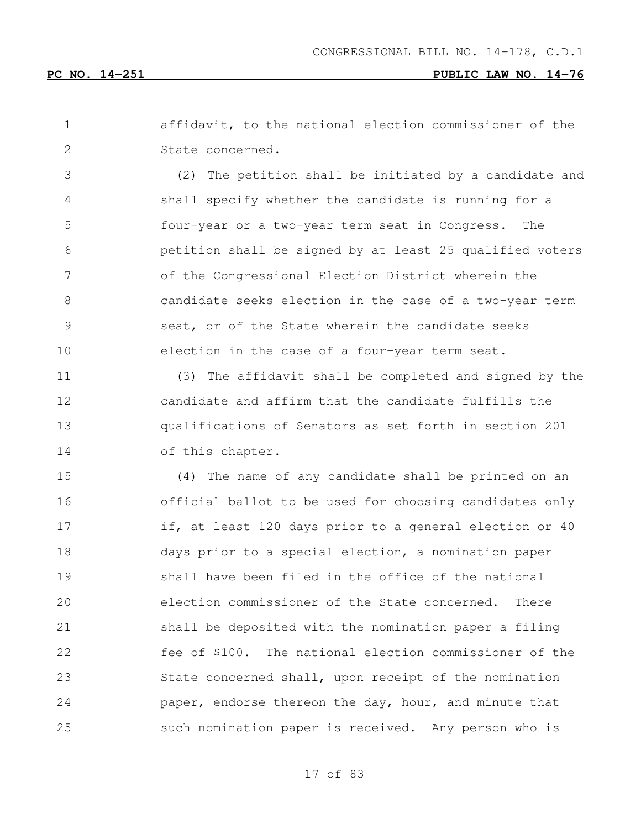affidavit, to the national election commissioner of the State concerned.

 (2) The petition shall be initiated by a candidate and shall specify whether the candidate is running for a four-year or a two-year term seat in Congress. The petition shall be signed by at least 25 qualified voters of the Congressional Election District wherein the candidate seeks election in the case of a two-year term seat, or of the State wherein the candidate seeks election in the case of a four-year term seat.

 (3) The affidavit shall be completed and signed by the candidate and affirm that the candidate fulfills the qualifications of Senators as set forth in section 201 14 of this chapter.

 (4) The name of any candidate shall be printed on an official ballot to be used for choosing candidates only if, at least 120 days prior to a general election or 40 days prior to a special election, a nomination paper shall have been filed in the office of the national election commissioner of the State concerned. There shall be deposited with the nomination paper a filing fee of \$100. The national election commissioner of the State concerned shall, upon receipt of the nomination **paper, endorse thereon the day, hour, and minute that** such nomination paper is received. Any person who is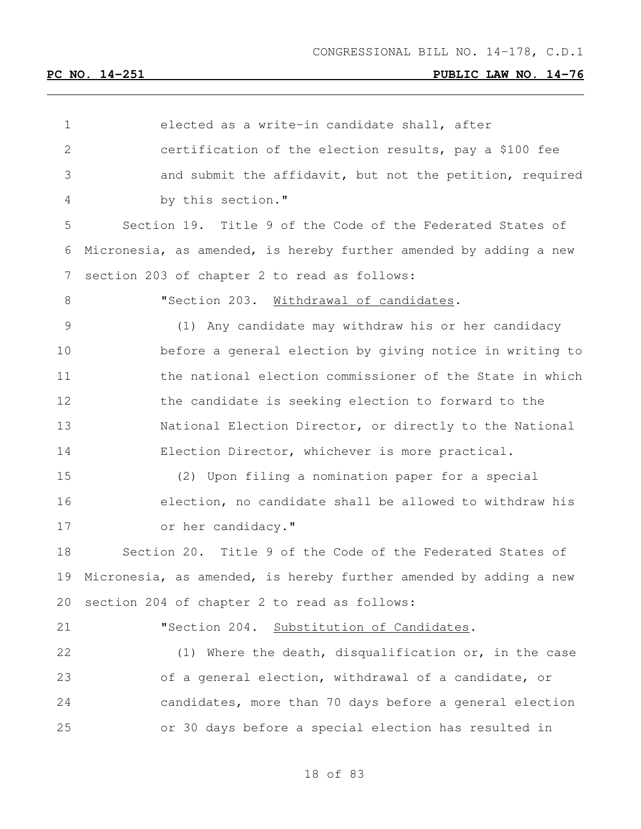| $\mathbf 1$  | elected as a write-in candidate shall, after                      |
|--------------|-------------------------------------------------------------------|
| $\mathbf{2}$ | certification of the election results, pay a \$100 fee            |
| 3            | and submit the affidavit, but not the petition, required          |
| 4            | by this section."                                                 |
| 5            | Section 19. Title 9 of the Code of the Federated States of        |
| 6            | Micronesia, as amended, is hereby further amended by adding a new |
| 7            | section 203 of chapter 2 to read as follows:                      |
| 8            | "Section 203. Withdrawal of candidates.                           |
| 9            | (1) Any candidate may withdraw his or her candidacy               |
| 10           | before a general election by giving notice in writing to          |
| 11           | the national election commissioner of the State in which          |
| 12           | the candidate is seeking election to forward to the               |
| 13           | National Election Director, or directly to the National           |
| 14           | Election Director, whichever is more practical.                   |
| 15           | (2) Upon filing a nomination paper for a special                  |
| 16           | election, no candidate shall be allowed to withdraw his           |
| 17           | or her candidacy."                                                |
| 18           | Section 20. Title 9 of the Code of the Federated States of        |
| 19           | Micronesia, as amended, is hereby further amended by adding a new |
| 20           | section 204 of chapter 2 to read as follows:                      |
| 21           | "Section 204. Substitution of Candidates.                         |
| 22           | (1) Where the death, disqualification or, in the case             |
| 23           | of a general election, withdrawal of a candidate, or              |
| 24           | candidates, more than 70 days before a general election           |
| 25           | or 30 days before a special election has resulted in              |
|              |                                                                   |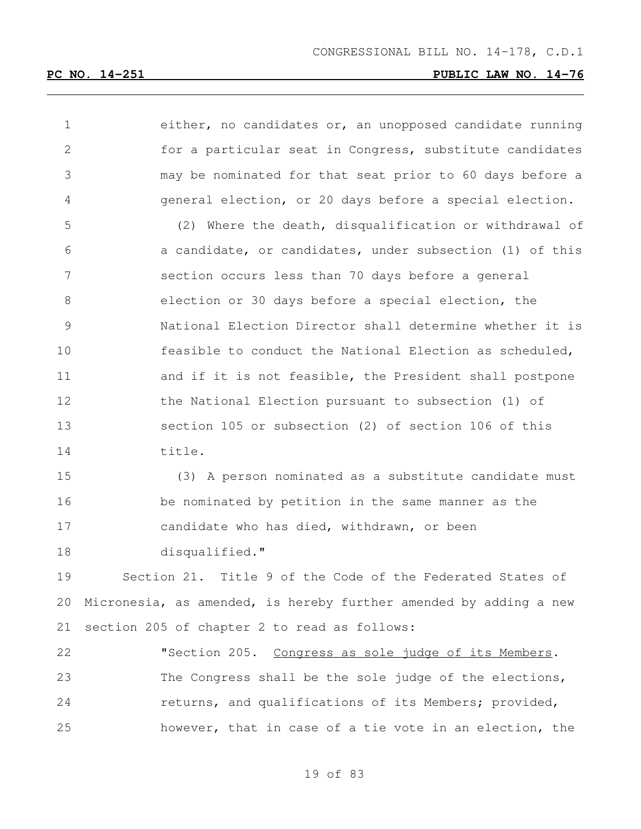| $\mathbf 1$   | either, no candidates or, an unopposed candidate running          |
|---------------|-------------------------------------------------------------------|
| 2             | for a particular seat in Congress, substitute candidates          |
| 3             | may be nominated for that seat prior to 60 days before a          |
| 4             | general election, or 20 days before a special election.           |
| 5             | (2) Where the death, disqualification or withdrawal of            |
| 6             | a candidate, or candidates, under subsection (1) of this          |
| 7             | section occurs less than 70 days before a general                 |
| 8             | election or 30 days before a special election, the                |
| $\mathcal{G}$ | National Election Director shall determine whether it is          |
| 10            | feasible to conduct the National Election as scheduled,           |
| 11            | and if it is not feasible, the President shall postpone           |
| 12            | the National Election pursuant to subsection (1) of               |
| 13            | section 105 or subsection (2) of section 106 of this              |
| 14            | title.                                                            |
| 15            | (3) A person nominated as a substitute candidate must             |
| 16            | be nominated by petition in the same manner as the                |
| 17            | candidate who has died, withdrawn, or been                        |
| 18            | disqualified."                                                    |
| 19            | Section 21. Title 9 of the Code of the Federated States of        |
| 20            | Micronesia, as amended, is hereby further amended by adding a new |
| 21            | section 205 of chapter 2 to read as follows:                      |
| 22            | "Section 205. Congress as sole judge of its Members.              |
| 23            | The Congress shall be the sole judge of the elections,            |
| 24            | returns, and qualifications of its Members; provided,             |
| 25            | however, that in case of a tie vote in an election, the           |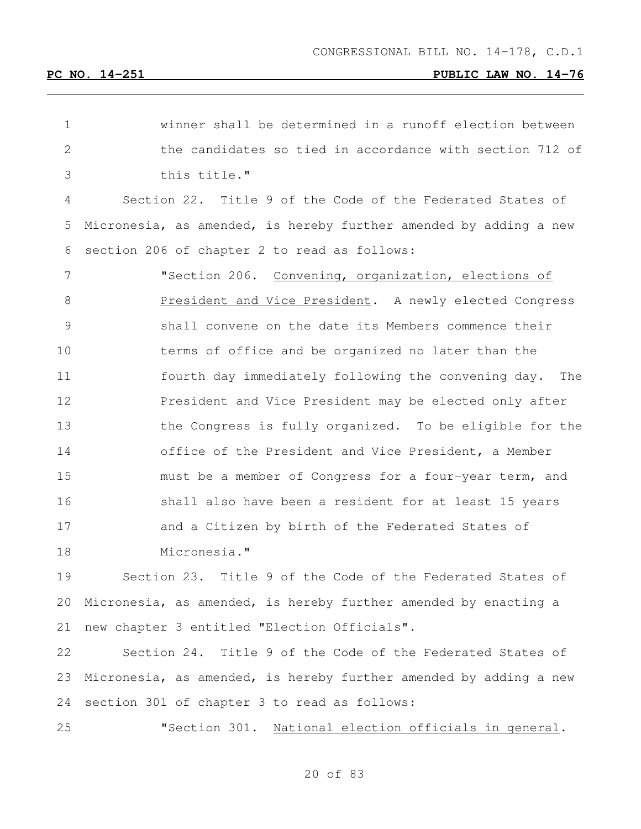| $\mathbf 1$ | winner shall be determined in a runoff election between           |
|-------------|-------------------------------------------------------------------|
| 2           | the candidates so tied in accordance with section 712 of          |
| 3           | this title."                                                      |
| 4           | Section 22. Title 9 of the Code of the Federated States of        |
| 5           | Micronesia, as amended, is hereby further amended by adding a new |
| 6           | section 206 of chapter 2 to read as follows:                      |
| 7           | "Section 206. Convening, organization, elections of               |
| 8           | President and Vice President. A newly elected Congress            |
| 9           | shall convene on the date its Members commence their              |
| 10          | terms of office and be organized no later than the                |
| 11          | fourth day immediately following the convening day. The           |
| 12          | President and Vice President may be elected only after            |
| 13          | the Congress is fully organized. To be eligible for the           |
| 14          | office of the President and Vice President, a Member              |
| 15          | must be a member of Congress for a four-year term, and            |
| 16          | shall also have been a resident for at least 15 years             |
| 17          | and a Citizen by birth of the Federated States of                 |
| 18          | Micronesia."                                                      |
| 19          | Section 23. Title 9 of the Code of the Federated States of        |
| 20          | Micronesia, as amended, is hereby further amended by enacting a   |
|             |                                                                   |

new chapter 3 entitled "Election Officials".

 Section 24. Title 9 of the Code of the Federated States of Micronesia, as amended, is hereby further amended by adding a new section 301 of chapter 3 to read as follows:

"Section 301. National election officials in general.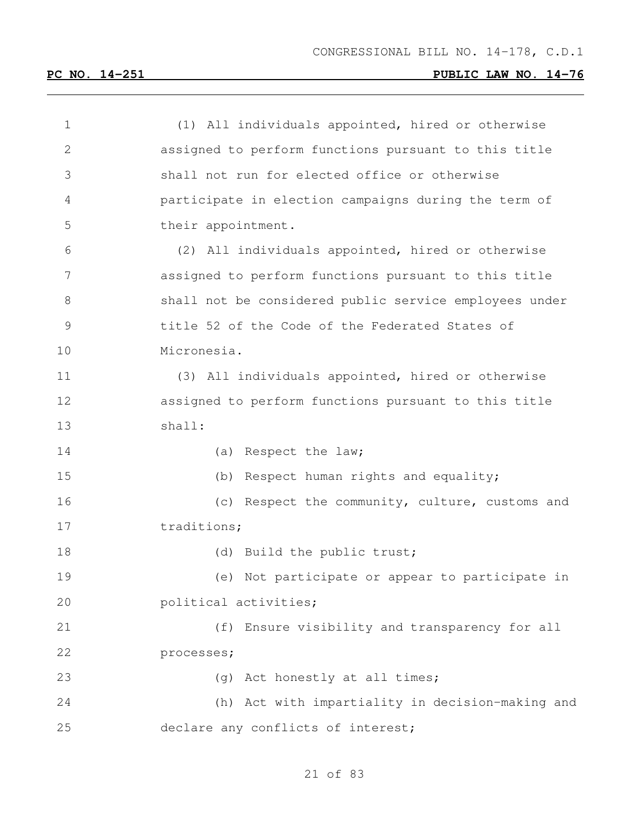| 1              | (1) All individuals appointed, hired or otherwise      |
|----------------|--------------------------------------------------------|
| $\overline{2}$ | assigned to perform functions pursuant to this title   |
| 3              | shall not run for elected office or otherwise          |
| 4              | participate in election campaigns during the term of   |
| 5              | their appointment.                                     |
| 6              | (2) All individuals appointed, hired or otherwise      |
| 7              | assigned to perform functions pursuant to this title   |
| 8              | shall not be considered public service employees under |
| $\mathcal{G}$  | title 52 of the Code of the Federated States of        |
| 10             | Micronesia.                                            |
| 11             | (3) All individuals appointed, hired or otherwise      |
| 12             | assigned to perform functions pursuant to this title   |
| 13             | shall:                                                 |
| 14             | (a) Respect the law;                                   |
| 15             | (b) Respect human rights and equality;                 |
| 16             | (c) Respect the community, culture, customs and        |
| 17             | traditions;                                            |
| 18             | (d) Build the public trust;                            |
| 19             | (e) Not participate or appear to participate in        |
| 20             | political activities;                                  |
| 21             | (f) Ensure visibility and transparency for all         |
| 22             | processes;                                             |
| 23             | (g) Act honestly at all times;                         |
| 24             | (h) Act with impartiality in decision-making and       |
| 25             | declare any conflicts of interest;                     |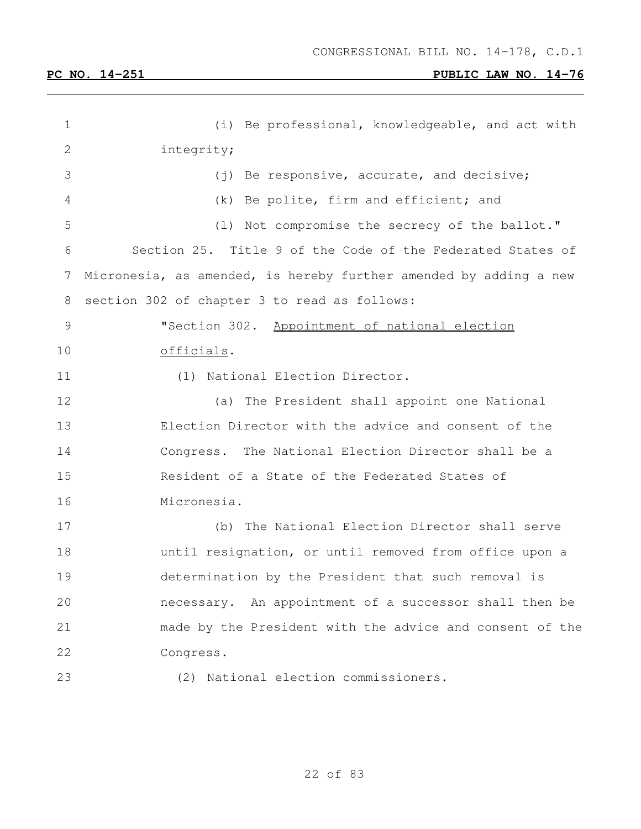| $\mathbf 1$ | (i) Be professional, knowledgeable, and act with                  |
|-------------|-------------------------------------------------------------------|
| 2           | integrity;                                                        |
| 3           | (j) Be responsive, accurate, and decisive;                        |
| 4           | (k) Be polite, firm and efficient; and                            |
| 5           | (1) Not compromise the secrecy of the ballot."                    |
| 6           | Section 25. Title 9 of the Code of the Federated States of        |
| 7           | Micronesia, as amended, is hereby further amended by adding a new |
| 8           | section 302 of chapter 3 to read as follows:                      |
| 9           | "Section 302. Appointment of national election                    |
| 10          | officials.                                                        |
| 11          | (1) National Election Director.                                   |
| 12          | (a) The President shall appoint one National                      |
| 13          | Election Director with the advice and consent of the              |
| 14          | Congress. The National Election Director shall be a               |
| 15          | Resident of a State of the Federated States of                    |
| 16          | Micronesia.                                                       |
| 17          | The National Election Director shall serve<br>(b)                 |
| 18          | until resignation, or until removed from office upon a            |
| 19          | determination by the President that such removal is               |
| 20          | necessary. An appointment of a successor shall then be            |
| 21          | made by the President with the advice and consent of the          |
| 22          | Congress.                                                         |
| 23          | (2) National election commissioners.                              |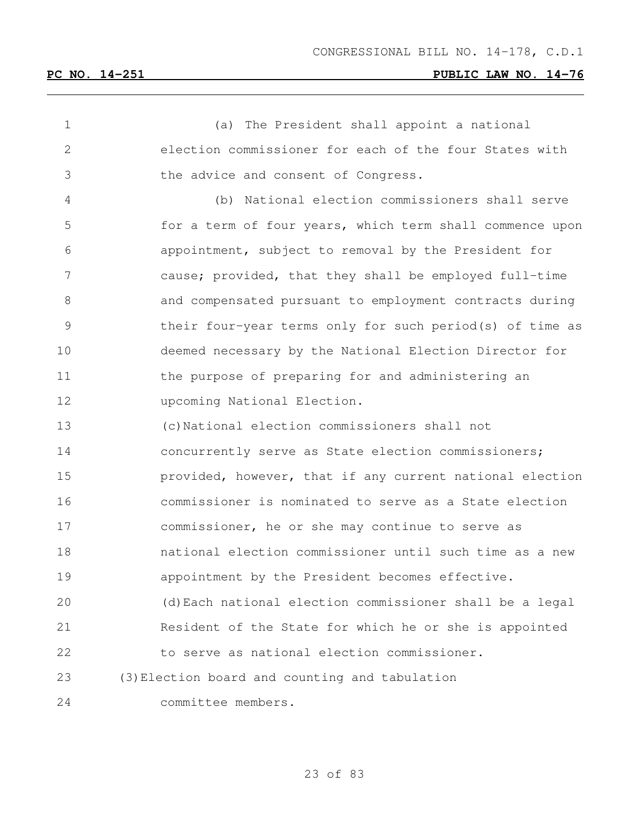(a) The President shall appoint a national election commissioner for each of the four States with the advice and consent of Congress. (b) National election commissioners shall serve for a term of four years, which term shall commence upon appointment, subject to removal by the President for cause; provided, that they shall be employed full-time and compensated pursuant to employment contracts during their four-year terms only for such period(s) of time as deemed necessary by the National Election Director for 11 the purpose of preparing for and administering an upcoming National Election. (c)National election commissioners shall not concurrently serve as State election commissioners; provided, however, that if any current national election commissioner is nominated to serve as a State election commissioner, he or she may continue to serve as national election commissioner until such time as a new appointment by the President becomes effective. (d)Each national election commissioner shall be a legal Resident of the State for which he or she is appointed to serve as national election commissioner. (3)Election board and counting and tabulation committee members.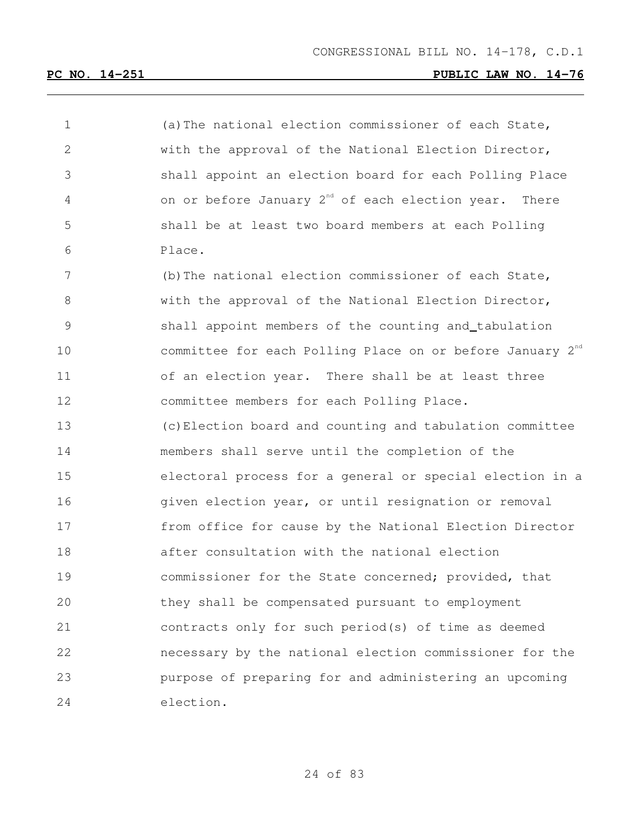| 1  | (a) The national election commissioner of each State,                 |
|----|-----------------------------------------------------------------------|
| 2  | with the approval of the National Election Director,                  |
| 3  | shall appoint an election board for each Polling Place                |
| 4  | on or before January $2^{nd}$ of each election year. There            |
| 5  | shall be at least two board members at each Polling                   |
| 6  | Place.                                                                |
| 7  | (b) The national election commissioner of each State,                 |
| 8  | with the approval of the National Election Director,                  |
| 9  | shall appoint members of the counting and_tabulation                  |
| 10 | committee for each Polling Place on or before January 2 <sup>nd</sup> |
| 11 | of an election year. There shall be at least three                    |
| 12 | committee members for each Polling Place.                             |
| 13 | (c) Election board and counting and tabulation committee              |
| 14 | members shall serve until the completion of the                       |
| 15 | electoral process for a general or special election in a              |
| 16 | given election year, or until resignation or removal                  |
| 17 | from office for cause by the National Election Director               |
| 18 | after consultation with the national election                         |
| 19 | commissioner for the State concerned; provided, that                  |
| 20 | they shall be compensated pursuant to employment                      |
| 21 | contracts only for such period(s) of time as deemed                   |
| 22 | necessary by the national election commissioner for the               |
| 23 | purpose of preparing for and administering an upcoming                |
| 24 | election.                                                             |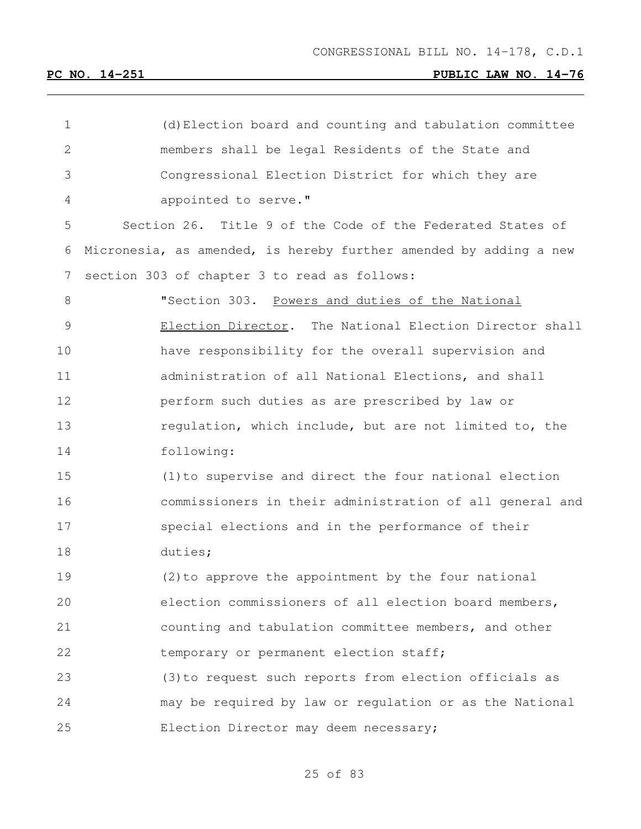| 1              | (d) Election board and counting and tabulation committee          |
|----------------|-------------------------------------------------------------------|
| $\overline{2}$ | members shall be legal Residents of the State and                 |
| 3              | Congressional Election District for which they are                |
| 4              | appointed to serve."                                              |
| 5              | Section 26. Title 9 of the Code of the Federated States of        |
| 6              | Micronesia, as amended, is hereby further amended by adding a new |
| 7              | section 303 of chapter 3 to read as follows:                      |
| 8              | "Section 303. Powers and duties of the National                   |
| $\mathcal{G}$  | Election Director. The National Election Director shall           |
| 10             | have responsibility for the overall supervision and               |
| 11             | administration of all National Elections, and shall               |
| 12             | perform such duties as are prescribed by law or                   |
| 13             | regulation, which include, but are not limited to, the            |
| 14             | following:                                                        |
| 15             | (1) to supervise and direct the four national election            |
| 16             | commissioners in their administration of all general and          |
| 17             | special elections and in the performance of their                 |
| 18             | duties;                                                           |
| 19             | (2) to approve the appointment by the four national               |
| 20             | election commissioners of all election board members,             |
| 21             | counting and tabulation committee members, and other              |
| 22             | temporary or permanent election staff;                            |
| 23             | (3) to request such reports from election officials as            |
| 24             | may be required by law or regulation or as the National           |
| 25             | Election Director may deem necessary;                             |
|                |                                                                   |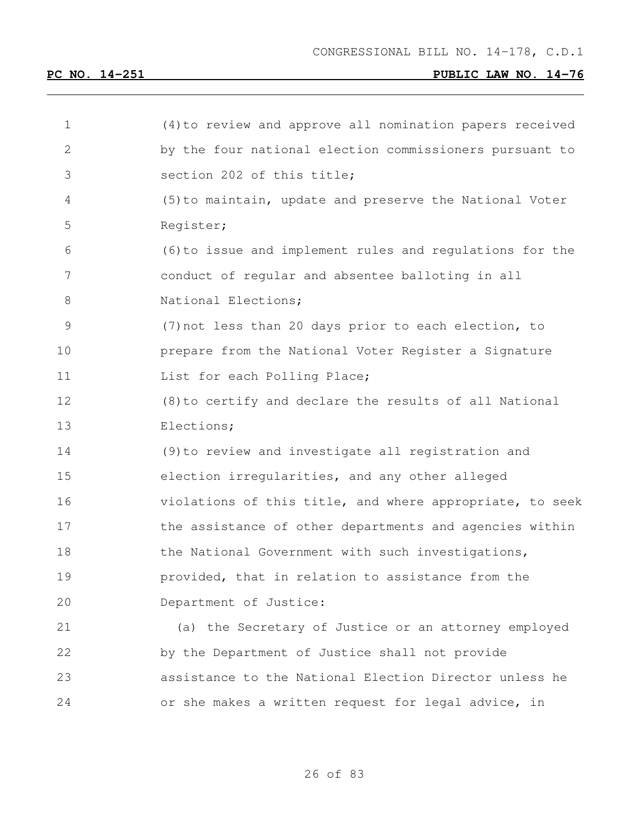| $\mathbf 1$ | (4) to review and approve all nomination papers received |
|-------------|----------------------------------------------------------|
| 2           | by the four national election commissioners pursuant to  |
| 3           | section 202 of this title;                               |
| 4           | (5) to maintain, update and preserve the National Voter  |
| 5           | Register;                                                |
| 6           | (6) to issue and implement rules and regulations for the |
| 7           | conduct of regular and absentee balloting in all         |
| 8           | National Elections;                                      |
| 9           | (7) not less than 20 days prior to each election, to     |
| 10          | prepare from the National Voter Register a Signature     |
| 11          | List for each Polling Place;                             |
| 12          | (8) to certify and declare the results of all National   |
| 13          | Elections;                                               |
| 14          | (9) to review and investigate all registration and       |
| 15          | election irregularities, and any other alleged           |
| 16          | violations of this title, and where appropriate, to seek |
| 17          | the assistance of other departments and agencies within  |
| 18          | the National Government with such investigations,        |
| 19          | provided, that in relation to assistance from the        |
| 20          | Department of Justice:                                   |
| 21          | (a) the Secretary of Justice or an attorney employed     |
| 22          | by the Department of Justice shall not provide           |
| 23          | assistance to the National Election Director unless he   |
| 24          | or she makes a written request for legal advice, in      |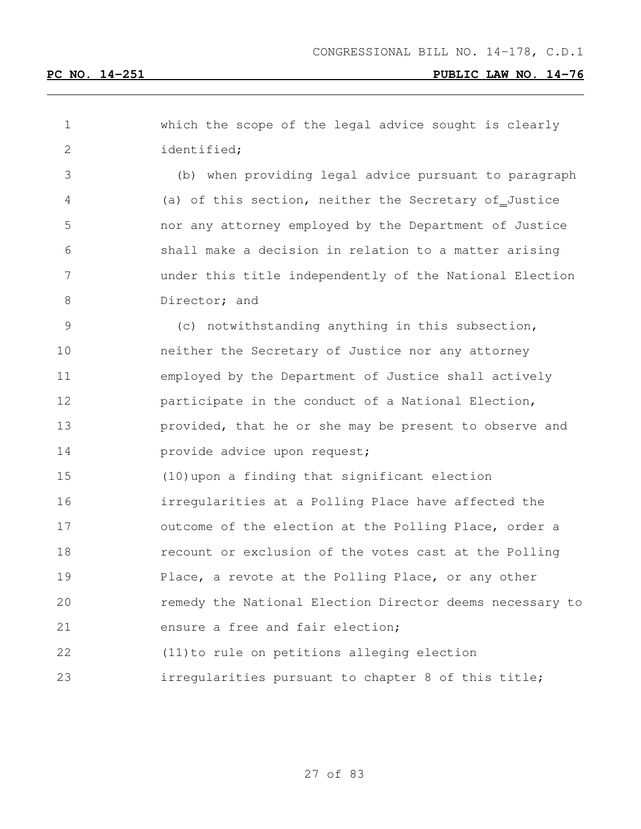| 1               | which the scope of the legal advice sought is clearly    |
|-----------------|----------------------------------------------------------|
| 2               | identified;                                              |
| 3               | (b) when providing legal advice pursuant to paragraph    |
| 4               | (a) of this section, neither the Secretary of Justice    |
| 5               | nor any attorney employed by the Department of Justice   |
| 6               | shall make a decision in relation to a matter arising    |
| $7\phantom{.0}$ | under this title independently of the National Election  |
| 8               | Director; and                                            |
| $\mathsf 9$     | (c) notwithstanding anything in this subsection,         |
| 10              | neither the Secretary of Justice nor any attorney        |
| 11              | employed by the Department of Justice shall actively     |
| 12              | participate in the conduct of a National Election,       |
| 13              | provided, that he or she may be present to observe and   |
| 14              | provide advice upon request;                             |
| 15              | (10) upon a finding that significant election            |
| 16              | irregularities at a Polling Place have affected the      |
| 17              | outcome of the election at the Polling Place, order a    |
| 18              | recount or exclusion of the votes cast at the Polling    |
| 19              | Place, a revote at the Polling Place, or any other       |
| 20              | remedy the National Election Director deems necessary to |
| 21              | ensure a free and fair election;                         |
| 22              | (11) to rule on petitions alleging election              |
| 23              | irregularities pursuant to chapter 8 of this title;      |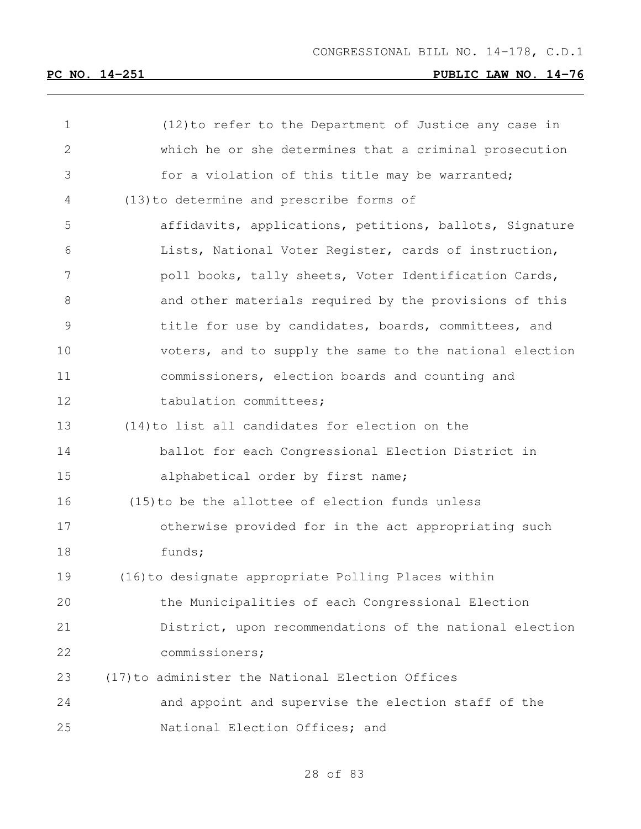| 1  | (12) to refer to the Department of Justice any case in  |
|----|---------------------------------------------------------|
| 2  | which he or she determines that a criminal prosecution  |
| 3  | for a violation of this title may be warranted;         |
| 4  | (13) to determine and prescribe forms of                |
| 5  | affidavits, applications, petitions, ballots, Signature |
| 6  | Lists, National Voter Register, cards of instruction,   |
| 7  | poll books, tally sheets, Voter Identification Cards,   |
| 8  | and other materials required by the provisions of this  |
| 9  | title for use by candidates, boards, committees, and    |
| 10 | voters, and to supply the same to the national election |
| 11 | commissioners, election boards and counting and         |
| 12 | tabulation committees;                                  |
| 13 | (14) to list all candidates for election on the         |
| 14 | ballot for each Congressional Election District in      |
| 15 | alphabetical order by first name;                       |
| 16 | (15) to be the allottee of election funds unless        |
| 17 | otherwise provided for in the act appropriating such    |
| 18 | funds;                                                  |
| 19 | (16) to designate appropriate Polling Places within     |
| 20 | the Municipalities of each Congressional Election       |
| 21 | District, upon recommendations of the national election |
| 22 | commissioners;                                          |
| 23 | (17) to administer the National Election Offices        |
| 24 | and appoint and supervise the election staff of the     |
| 25 | National Election Offices; and                          |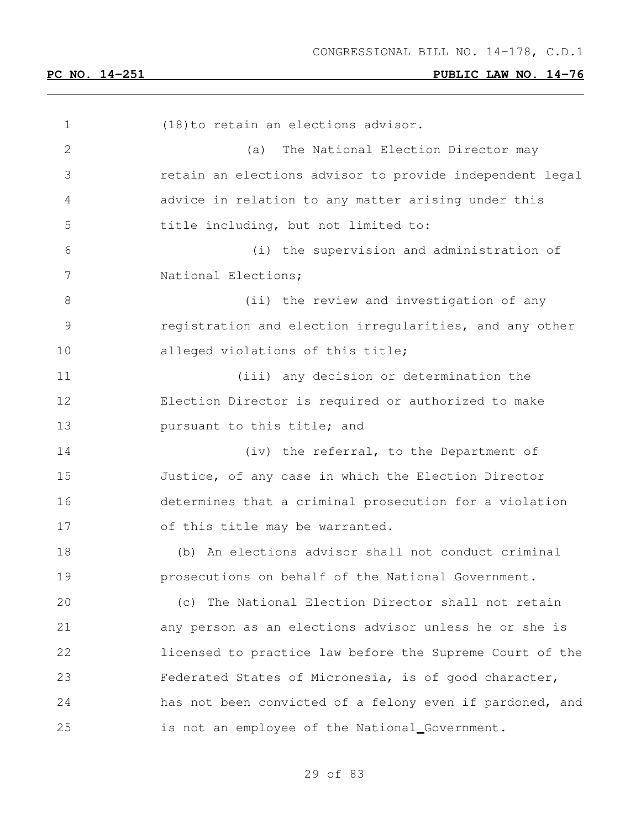| 1            | (18) to retain an elections advisor.                     |
|--------------|----------------------------------------------------------|
| $\mathbf{2}$ | The National Election Director may<br>(a)                |
| 3            | retain an elections advisor to provide independent legal |
| 4            | advice in relation to any matter arising under this      |
| 5            | title including, but not limited to:                     |
| 6            | (i) the supervision and administration of                |
| 7            | National Elections;                                      |
| $8\,$        | (ii) the review and investigation of any                 |
| 9            | registration and election irregularities, and any other  |
| 10           | alleged violations of this title;                        |
| 11           | (iii) any decision or determination the                  |
| 12           | Election Director is required or authorized to make      |
| 13           | pursuant to this title; and                              |
| 14           | (iv) the referral, to the Department of                  |
| 15           | Justice, of any case in which the Election Director      |
| 16           | determines that a criminal prosecution for a violation   |
| 17           | of this title may be warranted.                          |
| 18           | (b) An elections advisor shall not conduct criminal      |
| 19           | prosecutions on behalf of the National Government.       |
| 20           | (c) The National Election Director shall not retain      |
| 21           | any person as an elections advisor unless he or she is   |
| 22           | licensed to practice law before the Supreme Court of the |
| 23           | Federated States of Micronesia, is of good character,    |
| 24           | has not been convicted of a felony even if pardoned, and |
| 25           | is not an employee of the National_Government.           |
|              |                                                          |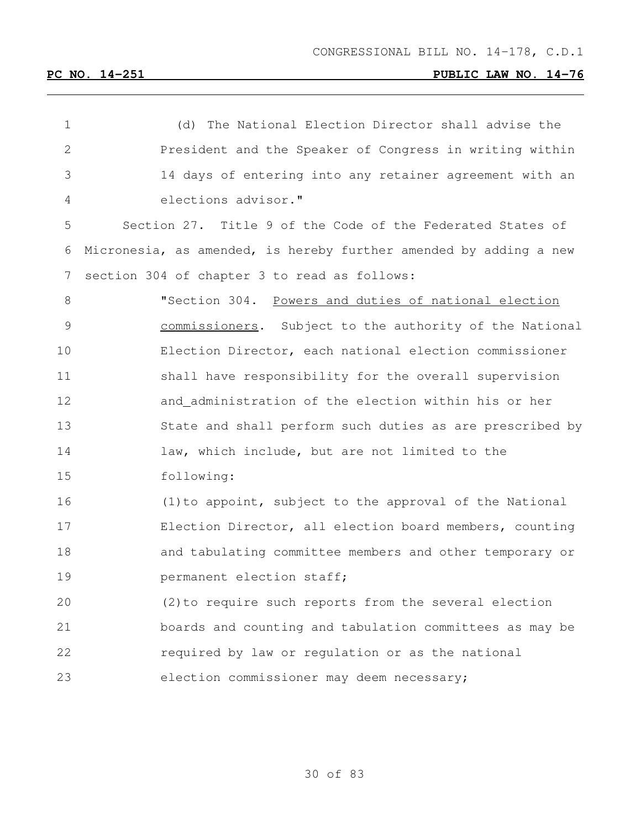| $\mathbf 1$     | (d) The National Election Director shall advise the               |
|-----------------|-------------------------------------------------------------------|
| $\mathbf{2}$    | President and the Speaker of Congress in writing within           |
| 3               | 14 days of entering into any retainer agreement with an           |
| 4               | elections advisor."                                               |
| 5               | Section 27. Title 9 of the Code of the Federated States of        |
| 6               | Micronesia, as amended, is hereby further amended by adding a new |
| $7\phantom{.0}$ | section 304 of chapter 3 to read as follows:                      |
| $\,8\,$         | "Section 304. Powers and duties of national election              |
| $\mathsf 9$     | commissioners. Subject to the authority of the National           |
| 10              | Election Director, each national election commissioner            |
| 11              | shall have responsibility for the overall supervision             |
| 12              | and_administration of the election within his or her              |
| 13              | State and shall perform such duties as are prescribed by          |
| 14              | law, which include, but are not limited to the                    |
| 15              | following:                                                        |
| 16              | (1) to appoint, subject to the approval of the National           |
| 17              | Election Director, all election board members, counting           |
| 18              | and tabulating committee members and other temporary or           |
| 19              | permanent election staff;                                         |
| 20              | (2) to require such reports from the several election             |
| 21              | boards and counting and tabulation committees as may be           |
| 22              | required by law or regulation or as the national                  |
| 23              | election commissioner may deem necessary;                         |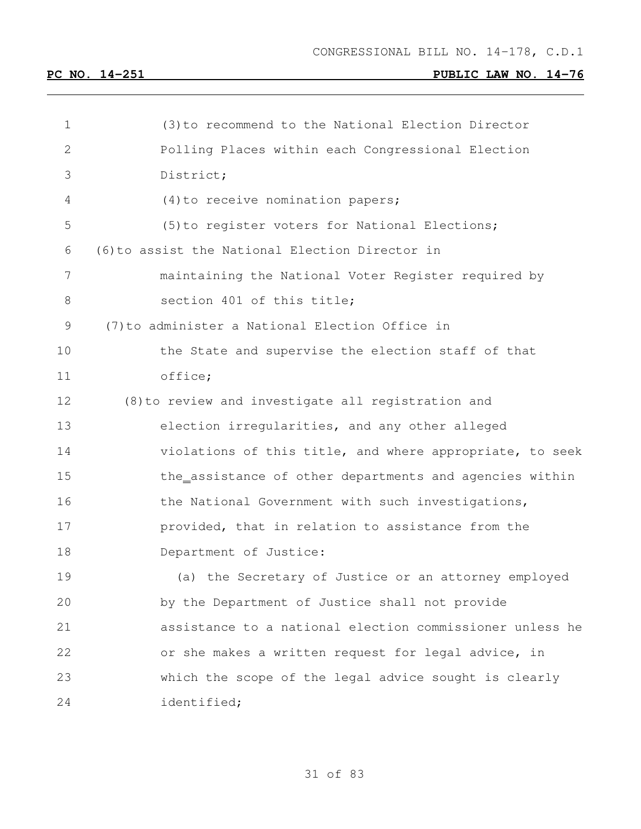| 1  | (3) to recommend to the National Election Director       |
|----|----------------------------------------------------------|
| 2  | Polling Places within each Congressional Election        |
| 3  | District;                                                |
| 4  | $(4)$ to receive nomination papers;                      |
| 5  | (5) to register voters for National Elections;           |
| 6  | (6) to assist the National Election Director in          |
| 7  | maintaining the National Voter Register required by      |
| 8  | section 401 of this title;                               |
| 9  | (7) to administer a National Election Office in          |
| 10 | the State and supervise the election staff of that       |
| 11 | office;                                                  |
| 12 | (8) to review and investigate all registration and       |
| 13 | election irregularities, and any other alleged           |
| 14 | violations of this title, and where appropriate, to seek |
| 15 | the_assistance of other departments and agencies within  |
| 16 | the National Government with such investigations,        |
| 17 | provided, that in relation to assistance from the        |
| 18 | Department of Justice:                                   |
| 19 | (a) the Secretary of Justice or an attorney employed     |
| 20 | by the Department of Justice shall not provide           |
| 21 | assistance to a national election commissioner unless he |
| 22 | or she makes a written request for legal advice, in      |
| 23 | which the scope of the legal advice sought is clearly    |
| 24 | identified;                                              |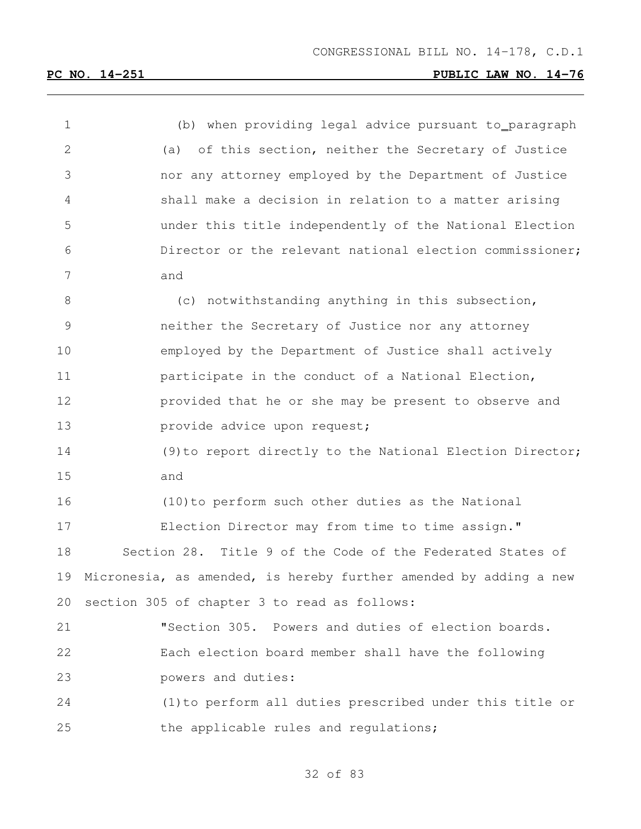| $\mathbf 1$     | (b) when providing legal advice pursuant to_paragraph             |
|-----------------|-------------------------------------------------------------------|
| 2               | (a) of this section, neither the Secretary of Justice             |
| 3               | nor any attorney employed by the Department of Justice            |
| $\overline{4}$  | shall make a decision in relation to a matter arising             |
| 5               | under this title independently of the National Election           |
| 6               | Director or the relevant national election commissioner;          |
| $7\phantom{.0}$ | and                                                               |
| 8               | (c) notwithstanding anything in this subsection,                  |
| $\mathcal{G}$   | neither the Secretary of Justice nor any attorney                 |
| 10              | employed by the Department of Justice shall actively              |
| 11              | participate in the conduct of a National Election,                |
| 12              | provided that he or she may be present to observe and             |
| 13              | provide advice upon request;                                      |
| 14              | (9) to report directly to the National Election Director;         |
| 15              | and                                                               |
| 16              | (10) to perform such other duties as the National                 |
| 17              | Election Director may from time to time assign."                  |
| 18              | Section 28. Title 9 of the Code of the Federated States of        |
| 19              | Micronesia, as amended, is hereby further amended by adding a new |
| 20              | section 305 of chapter 3 to read as follows:                      |
| 21              | "Section 305. Powers and duties of election boards.               |
| 22              | Each election board member shall have the following               |
| 23              | powers and duties:                                                |
| 24              | (1) to perform all duties prescribed under this title or          |
| 25              | the applicable rules and regulations;                             |
|                 |                                                                   |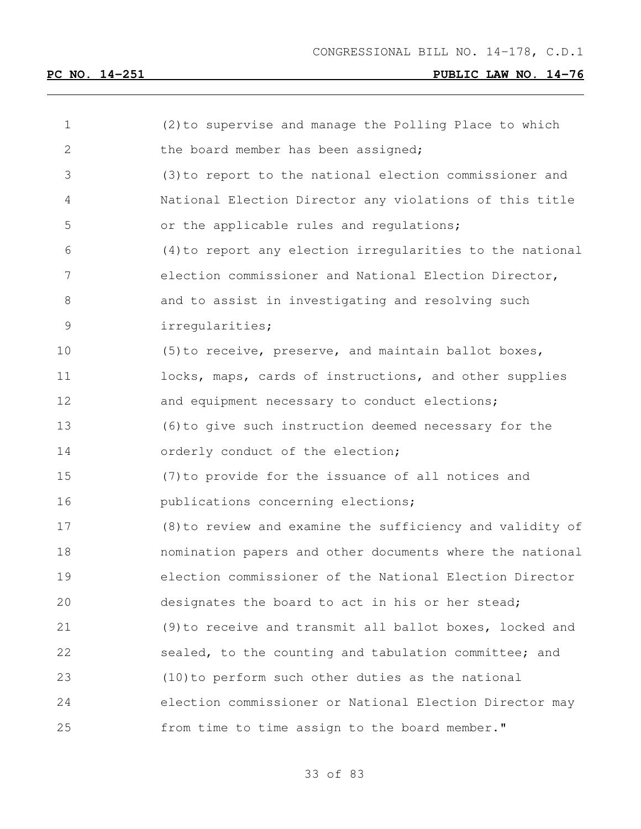| 1     | (2) to supervise and manage the Polling Place to which    |
|-------|-----------------------------------------------------------|
| 2     | the board member has been assigned;                       |
| 3     | (3) to report to the national election commissioner and   |
| 4     | National Election Director any violations of this title   |
| 5     | or the applicable rules and requlations;                  |
| 6     | (4) to report any election irregularities to the national |
| 7     | election commissioner and National Election Director,     |
| $8\,$ | and to assist in investigating and resolving such         |
| 9     | irregularities;                                           |
| 10    | (5) to receive, preserve, and maintain ballot boxes,      |
| 11    | locks, maps, cards of instructions, and other supplies    |
| 12    | and equipment necessary to conduct elections;             |
| 13    | (6) to give such instruction deemed necessary for the     |
| 14    | orderly conduct of the election;                          |
| 15    | (7) to provide for the issuance of all notices and        |
| 16    | publications concerning elections;                        |
| 17    | (8) to review and examine the sufficiency and validity of |
| 18    | nomination papers and other documents where the national  |
| 19    | election commissioner of the National Election Director   |
| 20    | designates the board to act in his or her stead;          |
| 21    | (9) to receive and transmit all ballot boxes, locked and  |
| 22    | sealed, to the counting and tabulation committee; and     |
| 23    | (10) to perform such other duties as the national         |
| 24    | election commissioner or National Election Director may   |
| 25    | from time to time assign to the board member."            |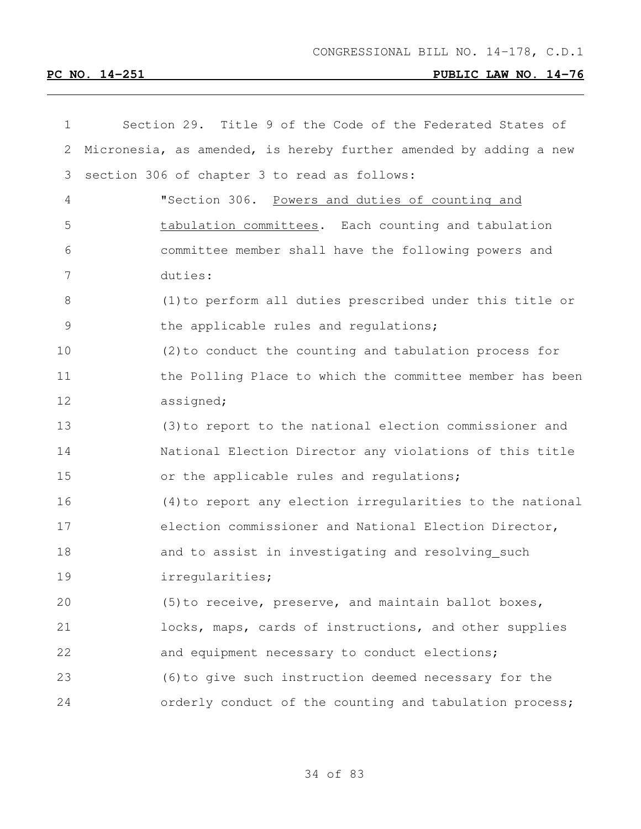| $\mathbf 1$ | Section 29. Title 9 of the Code of the Federated States of        |
|-------------|-------------------------------------------------------------------|
| 2           | Micronesia, as amended, is hereby further amended by adding a new |
| 3           | section 306 of chapter 3 to read as follows:                      |
| 4           | "Section 306. Powers and duties of counting and                   |
| 5           | tabulation committees. Each counting and tabulation               |
| 6           | committee member shall have the following powers and              |
| 7           | duties:                                                           |
| 8           | (1) to perform all duties prescribed under this title or          |
| 9           | the applicable rules and requlations;                             |
| 10          | $(2)$ to conduct the counting and tabulation process for          |
| 11          | the Polling Place to which the committee member has been          |
| 12          | assigned;                                                         |
| 13          | (3) to report to the national election commissioner and           |
| 14          | National Election Director any violations of this title           |
| 15          | or the applicable rules and regulations;                          |
| 16          | (4) to report any election irregularities to the national         |
| 17          | election commissioner and National Election Director,             |
| 18          | and to assist in investigating and resolving_such                 |
| 19          | irregularities;                                                   |
| 20          | (5) to receive, preserve, and maintain ballot boxes,              |
| 21          | locks, maps, cards of instructions, and other supplies            |
| 22          | and equipment necessary to conduct elections;                     |
| 23          | (6) to give such instruction deemed necessary for the             |
| 24          | orderly conduct of the counting and tabulation process;           |
|             |                                                                   |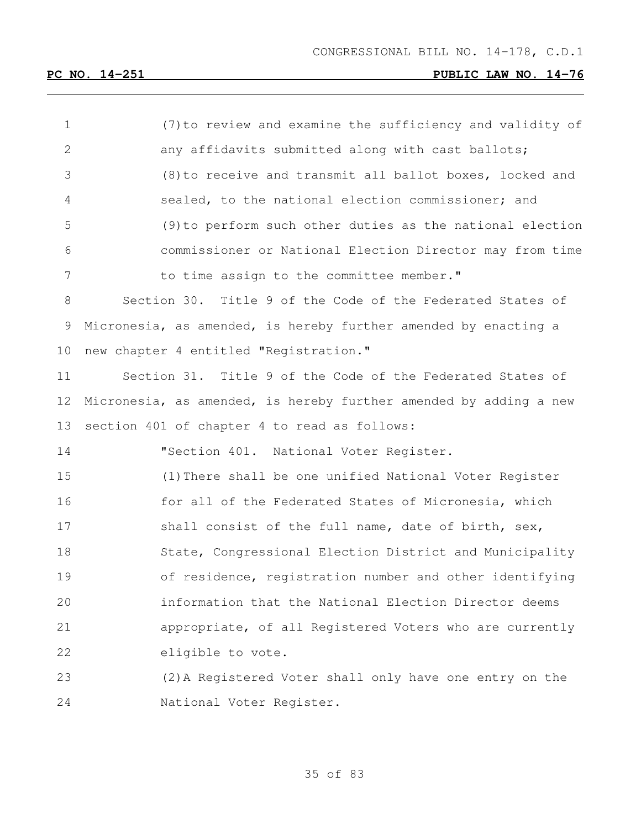(7)to review and examine the sufficiency and validity of 2 any affidavits submitted along with cast ballots; (8)to receive and transmit all ballot boxes, locked and sealed, to the national election commissioner; and (9)to perform such other duties as the national election commissioner or National Election Director may from time 7 to time assign to the committee member." Section 30. Title 9 of the Code of the Federated States of Micronesia, as amended, is hereby further amended by enacting a new chapter 4 entitled "Registration." Section 31. Title 9 of the Code of the Federated States of Micronesia, as amended, is hereby further amended by adding a new section 401 of chapter 4 to read as follows: "Section 401. National Voter Register. (1)There shall be one unified National Voter Register 16 for all of the Federated States of Micronesia, which 17 shall consist of the full name, date of birth, sex, State, Congressional Election District and Municipality of residence, registration number and other identifying information that the National Election Director deems appropriate, of all Registered Voters who are currently eligible to vote. (2)A Registered Voter shall only have one entry on the National Voter Register.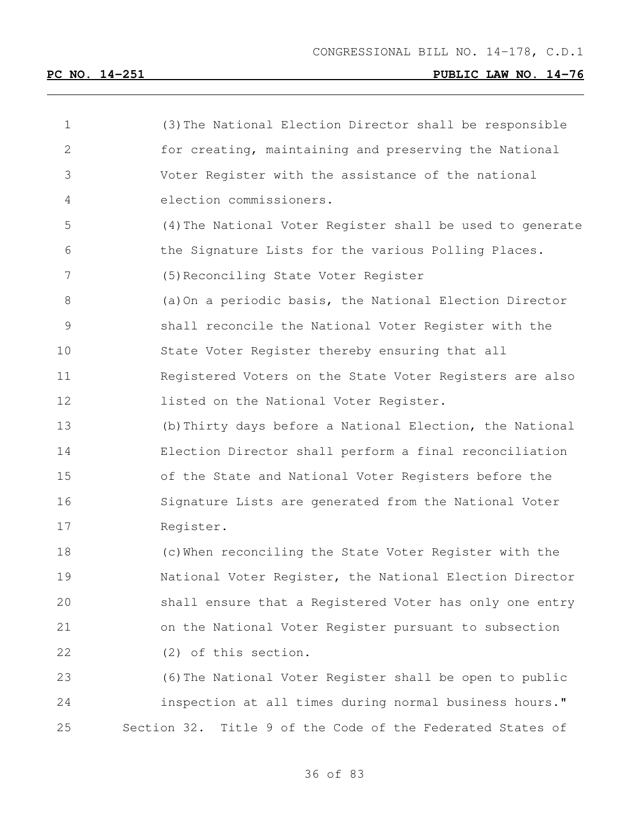| $\mathbf 1$    | (3) The National Election Director shall be responsible    |
|----------------|------------------------------------------------------------|
| 2              | for creating, maintaining and preserving the National      |
| 3              | Voter Register with the assistance of the national         |
| 4              | election commissioners.                                    |
| 5              | (4) The National Voter Register shall be used to generate  |
| 6              | the Signature Lists for the various Polling Places.        |
| $7\phantom{.}$ | (5) Reconciling State Voter Register                       |
| 8              | (a) On a periodic basis, the National Election Director    |
| $\mathsf 9$    | shall reconcile the National Voter Register with the       |
| 10             | State Voter Register thereby ensuring that all             |
| 11             | Registered Voters on the State Voter Registers are also    |
| 12             | listed on the National Voter Register.                     |
| 13             | (b) Thirty days before a National Election, the National   |
| 14             | Election Director shall perform a final reconciliation     |
| 15             | of the State and National Voter Registers before the       |
| 16             | Signature Lists are generated from the National Voter      |
| 17             | Register.                                                  |
| 18             | (c) When reconciling the State Voter Register with the     |
| 19             | National Voter Register, the National Election Director    |
| 20             | shall ensure that a Registered Voter has only one entry    |
| 21             | on the National Voter Register pursuant to subsection      |
| 22             | (2) of this section.                                       |
| 23             | (6) The National Voter Register shall be open to public    |
| 24             | inspection at all times during normal business hours."     |
| 25             | Section 32. Title 9 of the Code of the Federated States of |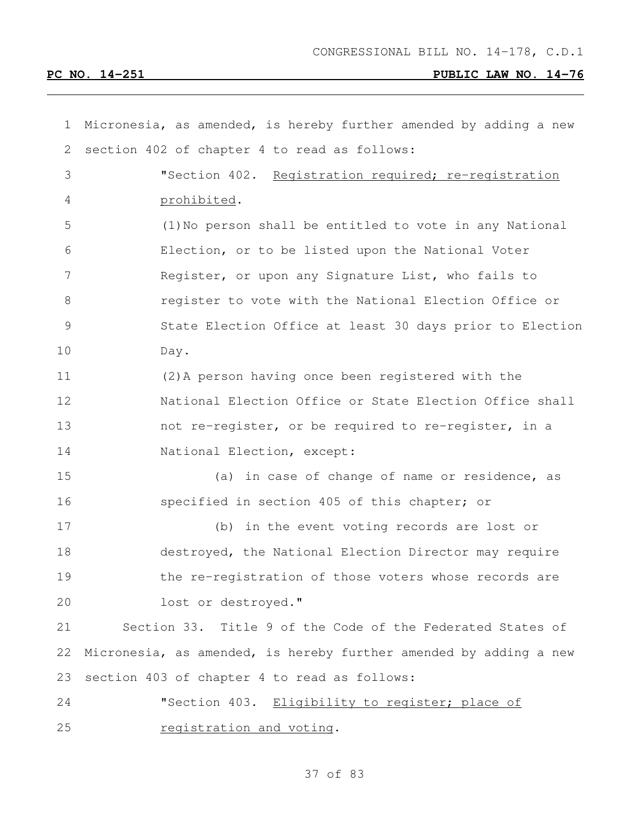| $\mathbf 1$    | Micronesia, as amended, is hereby further amended by adding a new |
|----------------|-------------------------------------------------------------------|
| $\overline{2}$ | section 402 of chapter 4 to read as follows:                      |
| 3              | "Section 402. Registration required; re-registration              |
| 4              | prohibited.                                                       |
| 5              | (1) No person shall be entitled to vote in any National           |
| 6              | Election, or to be listed upon the National Voter                 |
| 7              | Register, or upon any Signature List, who fails to                |
| 8              | register to vote with the National Election Office or             |
| $\mathcal{G}$  | State Election Office at least 30 days prior to Election          |
| 10             | Day.                                                              |
| 11             | (2) A person having once been registered with the                 |
| 12             | National Election Office or State Election Office shall           |
| 13             | not re-register, or be required to re-register, in a              |
| 14             | National Election, except:                                        |
| 15             | (a) in case of change of name or residence, as                    |
| 16             | specified in section 405 of this chapter; or                      |
| 17             | (b) in the event voting records are lost or                       |
| 18             | destroyed, the National Election Director may require             |
| 19             | the re-registration of those voters whose records are             |
| 20             | lost or destroyed."                                               |
| 21             | Section 33. Title 9 of the Code of the Federated States of        |
| 22             | Micronesia, as amended, is hereby further amended by adding a new |
| 23             | section 403 of chapter 4 to read as follows:                      |
| 24             | "Section 403. Eligibility to register; place of                   |
| 25             | registration and voting.                                          |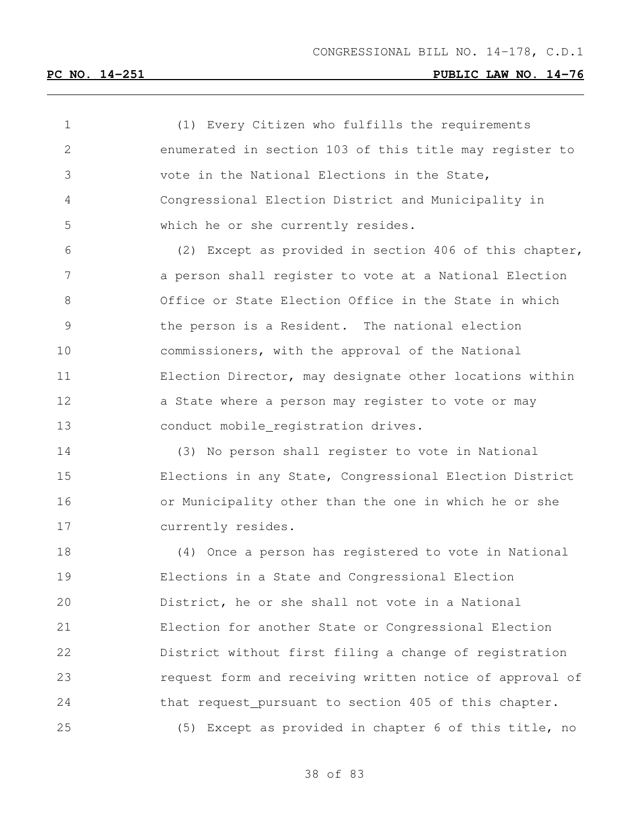(1) Every Citizen who fulfills the requirements enumerated in section 103 of this title may register to vote in the National Elections in the State, Congressional Election District and Municipality in which he or she currently resides.

 (2) Except as provided in section 406 of this chapter, a person shall register to vote at a National Election Office or State Election Office in the State in which the person is a Resident. The national election commissioners, with the approval of the National Election Director, may designate other locations within 12 a State where a person may register to vote or may conduct mobile registration drives.

 (3) No person shall register to vote in National Elections in any State, Congressional Election District or Municipality other than the one in which he or she currently resides.

 (4) Once a person has registered to vote in National Elections in a State and Congressional Election District, he or she shall not vote in a National Election for another State or Congressional Election District without first filing a change of registration request form and receiving written notice of approval of 24 that request\_pursuant to section 405 of this chapter. (5) Except as provided in chapter 6 of this title, no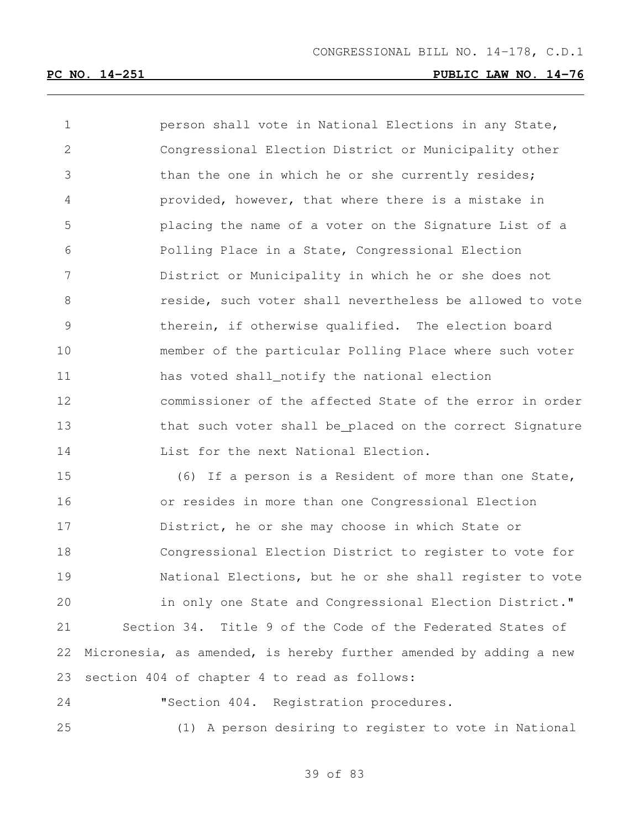person shall vote in National Elections in any State, Congressional Election District or Municipality other than the one in which he or she currently resides; provided, however, that where there is a mistake in placing the name of a voter on the Signature List of a Polling Place in a State, Congressional Election District or Municipality in which he or she does not **8** reside, such voter shall nevertheless be allowed to vote therein, if otherwise qualified. The election board member of the particular Polling Place where such voter 11 has voted shall\_notify the national election commissioner of the affected State of the error in order 13 that such voter shall be placed on the correct Signature List for the next National Election. (6) If a person is a Resident of more than one State,

 or resides in more than one Congressional Election District, he or she may choose in which State or Congressional Election District to register to vote for National Elections, but he or she shall register to vote in only one State and Congressional Election District." Section 34. Title 9 of the Code of the Federated States of Micronesia, as amended, is hereby further amended by adding a new section 404 of chapter 4 to read as follows:

 "Section 404. Registration procedures. (1) A person desiring to register to vote in National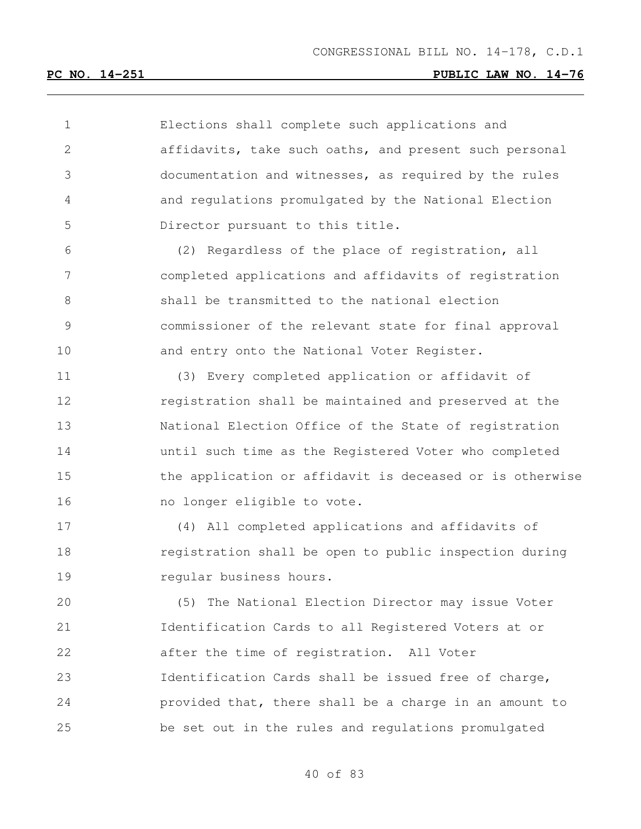Elections shall complete such applications and affidavits, take such oaths, and present such personal documentation and witnesses, as required by the rules and regulations promulgated by the National Election Director pursuant to this title. (2) Regardless of the place of registration, all

 completed applications and affidavits of registration shall be transmitted to the national election commissioner of the relevant state for final approval 10 and entry onto the National Voter Register.

 (3) Every completed application or affidavit of registration shall be maintained and preserved at the National Election Office of the State of registration until such time as the Registered Voter who completed the application or affidavit is deceased or is otherwise 16 mo longer eligible to vote.

 (4) All completed applications and affidavits of registration shall be open to public inspection during **regular business hours.** 

 (5) The National Election Director may issue Voter Identification Cards to all Registered Voters at or after the time of registration. All Voter Identification Cards shall be issued free of charge, provided that, there shall be a charge in an amount to be set out in the rules and regulations promulgated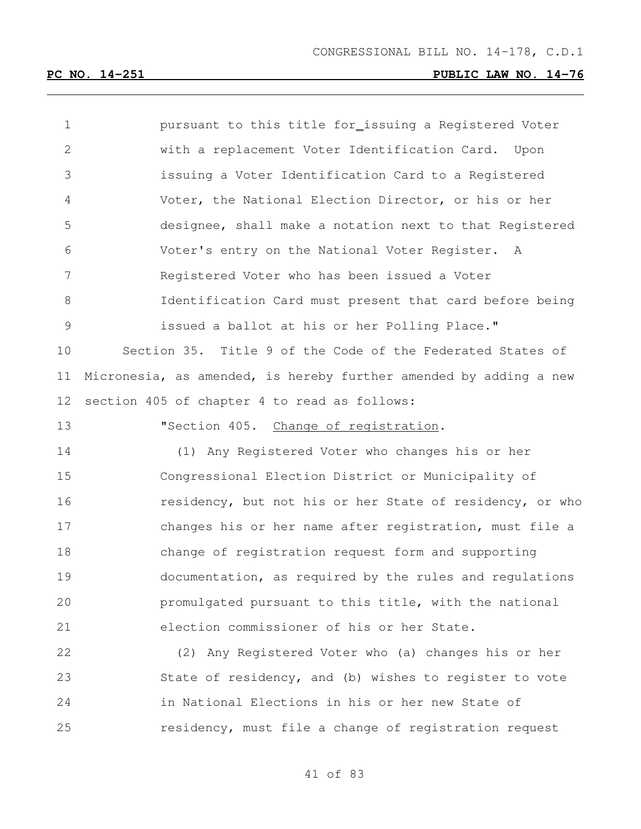| $\mathbf 1$  | pursuant to this title for_issuing a Registered Voter             |
|--------------|-------------------------------------------------------------------|
| $\mathbf{2}$ | with a replacement Voter Identification Card. Upon                |
| 3            | issuing a Voter Identification Card to a Registered               |
| 4            | Voter, the National Election Director, or his or her              |
| 5            | designee, shall make a notation next to that Registered           |
| 6            | Voter's entry on the National Voter Register. A                   |
| 7            | Registered Voter who has been issued a Voter                      |
| 8            | Identification Card must present that card before being           |
| 9            | issued a ballot at his or her Polling Place."                     |
| 10           | Section 35. Title 9 of the Code of the Federated States of        |
| 11           | Micronesia, as amended, is hereby further amended by adding a new |
| 12           | section 405 of chapter 4 to read as follows:                      |
| 13           | "Section 405. Change of registration.                             |
| 14           | (1) Any Registered Voter who changes his or her                   |
| 15           | Congressional Election District or Municipality of                |
| 16           | residency, but not his or her State of residency, or who          |
| 17           | changes his or her name after registration, must file a           |
| 18           | change of registration request form and supporting                |
| 19           | documentation, as required by the rules and requlations           |
| 20           | promulgated pursuant to this title, with the national             |
| 21           | election commissioner of his or her State.                        |
| 22           | (2) Any Registered Voter who (a) changes his or her               |
| 23           | State of residency, and (b) wishes to register to vote            |

residency, must file a change of registration request

in National Elections in his or her new State of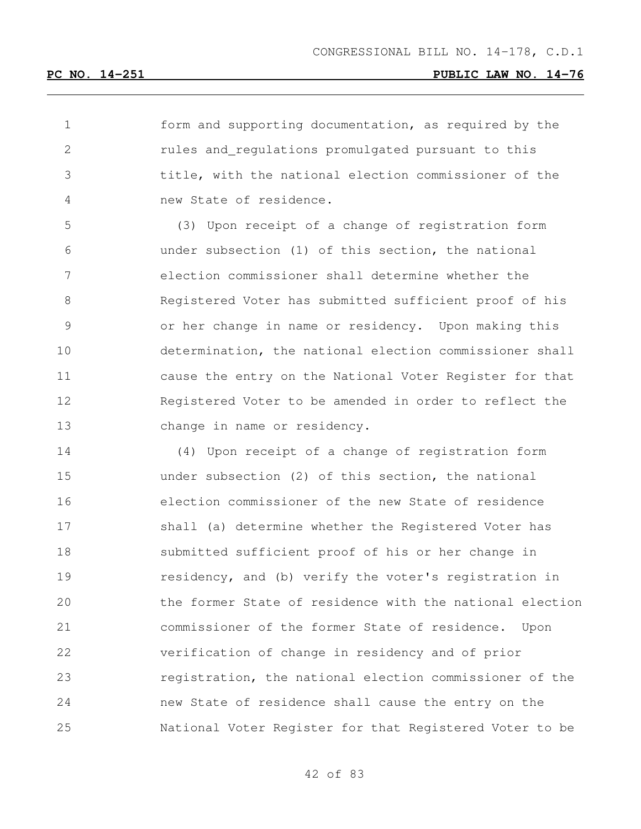form and supporting documentation, as required by the rules and regulations promulgated pursuant to this title, with the national election commissioner of the new State of residence.

 (3) Upon receipt of a change of registration form under subsection (1) of this section, the national election commissioner shall determine whether the Registered Voter has submitted sufficient proof of his or her change in name or residency. Upon making this determination, the national election commissioner shall cause the entry on the National Voter Register for that 12 Reqistered Voter to be amended in order to reflect the change in name or residency.

 (4) Upon receipt of a change of registration form under subsection (2) of this section, the national election commissioner of the new State of residence shall (a) determine whether the Registered Voter has submitted sufficient proof of his or her change in residency, and (b) verify the voter's registration in the former State of residence with the national election commissioner of the former State of residence. Upon verification of change in residency and of prior registration, the national election commissioner of the new State of residence shall cause the entry on the National Voter Register for that Registered Voter to be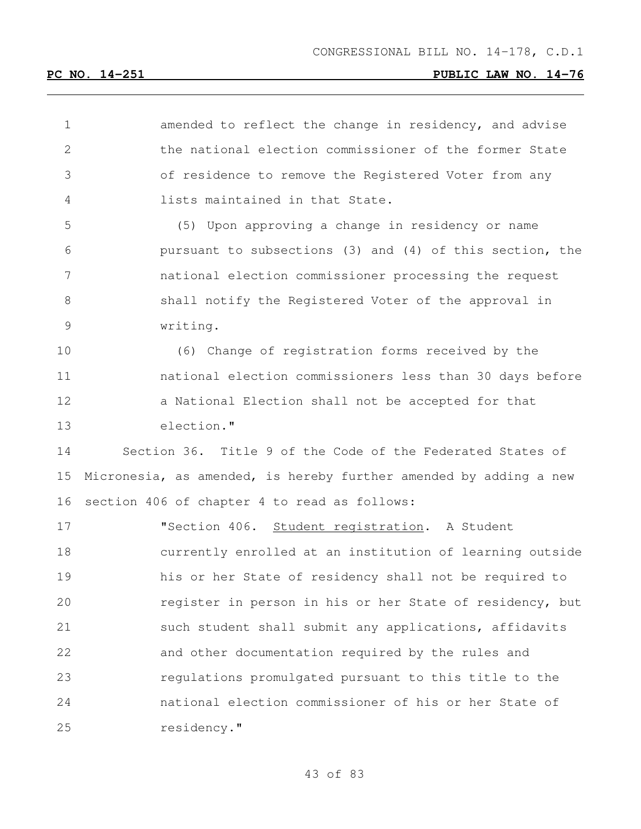**amended to reflect the change in residency, and advise**  the national election commissioner of the former State of residence to remove the Registered Voter from any lists maintained in that State.

 (5) Upon approving a change in residency or name pursuant to subsections (3) and (4) of this section, the national election commissioner processing the request shall notify the Registered Voter of the approval in writing.

 (6) Change of registration forms received by the national election commissioners less than 30 days before a National Election shall not be accepted for that election."

 Section 36. Title 9 of the Code of the Federated States of Micronesia, as amended, is hereby further amended by adding a new section 406 of chapter 4 to read as follows:

 "Section 406. Student registration. A Student currently enrolled at an institution of learning outside his or her State of residency shall not be required to register in person in his or her State of residency, but 21 such student shall submit any applications, affidavits and other documentation required by the rules and regulations promulgated pursuant to this title to the national election commissioner of his or her State of residency."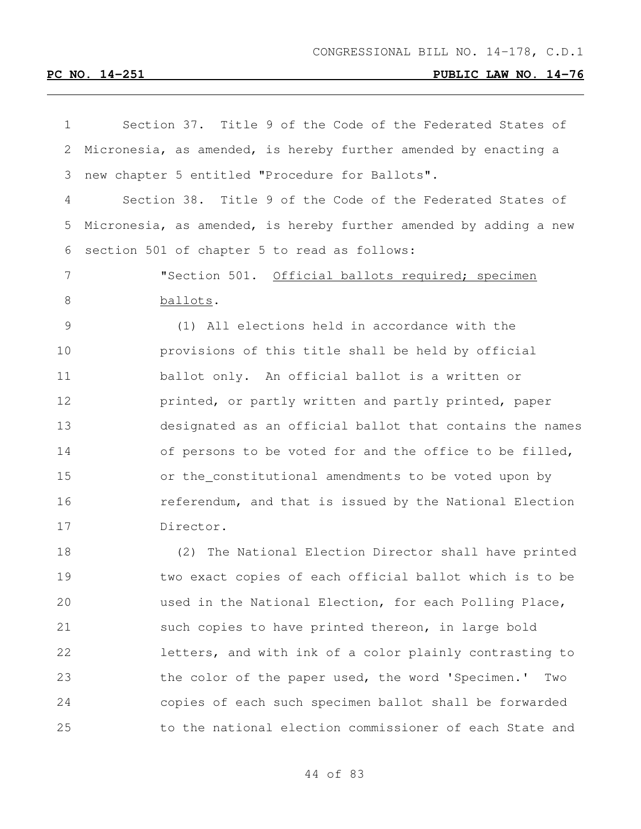| 1             | Section 37. Title 9 of the Code of the Federated States of        |
|---------------|-------------------------------------------------------------------|
| 2             | Micronesia, as amended, is hereby further amended by enacting a   |
| 3             | new chapter 5 entitled "Procedure for Ballots".                   |
| 4             | Section 38. Title 9 of the Code of the Federated States of        |
| 5             | Micronesia, as amended, is hereby further amended by adding a new |
| 6             | section 501 of chapter 5 to read as follows:                      |
| 7             | "Section 501. Official ballots required; specimen                 |
| 8             | ballots.                                                          |
| $\mathcal{G}$ | (1) All elections held in accordance with the                     |
| 10            | provisions of this title shall be held by official                |
| 11            | ballot only. An official ballot is a written or                   |
| 12            | printed, or partly written and partly printed, paper              |
| 13            | designated as an official ballot that contains the names          |
| 14            | of persons to be voted for and the office to be filled,           |
| 15            | or the_constitutional amendments to be voted upon by              |
| 16            | referendum, and that is issued by the National Election           |
| 17            | Director.                                                         |
| 18            | The National Election Director shall have printed<br>(2)          |
| 19            | two exact copies of each official ballot which is to be           |
| 20            | used in the National Election, for each Polling Place,            |
| 21            | such copies to have printed thereon, in large bold                |
| 22            | letters, and with ink of a color plainly contrasting to           |
| 23            | the color of the paper used, the word 'Specimen.'<br>Two          |
| 24            | copies of each such specimen ballot shall be forwarded            |
| 25            | to the national election commissioner of each State and           |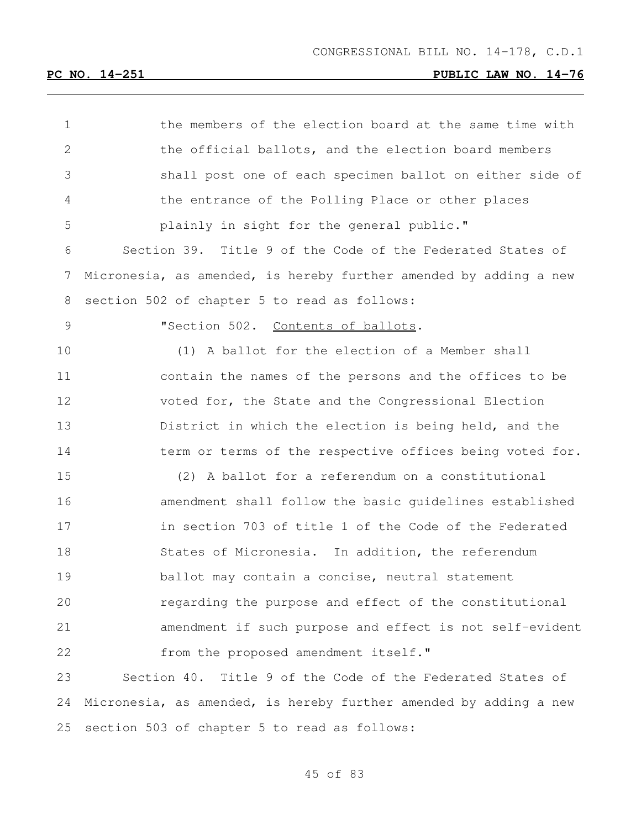| 1            | the members of the election board at the same time with           |
|--------------|-------------------------------------------------------------------|
| $\mathbf{2}$ | the official ballots, and the election board members              |
| 3            | shall post one of each specimen ballot on either side of          |
| 4            | the entrance of the Polling Place or other places                 |
| 5            | plainly in sight for the general public."                         |
| 6            | Section 39. Title 9 of the Code of the Federated States of        |
| 7            | Micronesia, as amended, is hereby further amended by adding a new |
| 8            | section 502 of chapter 5 to read as follows:                      |
| 9            | "Section 502. Contents of ballots.                                |
| 10           | (1) A ballot for the election of a Member shall                   |
| 11           | contain the names of the persons and the offices to be            |
| 12           | voted for, the State and the Congressional Election               |
| 13           | District in which the election is being held, and the             |
| 14           | term or terms of the respective offices being voted for.          |
| 15           | (2) A ballot for a referendum on a constitutional                 |
| 16           | amendment shall follow the basic quidelines established           |
| 17           | in section 703 of title 1 of the Code of the Federated            |
| 18           | States of Micronesia. In addition, the referendum                 |
| 19           | ballot may contain a concise, neutral statement                   |
| 20           | regarding the purpose and effect of the constitutional            |
| 21           | amendment if such purpose and effect is not self-evident          |
| 22           | from the proposed amendment itself."                              |
| 23           | Section 40. Title 9 of the Code of the Federated States of        |
| 24           | Micronesia, as amended, is hereby further amended by adding a new |
| 25           | section 503 of chapter 5 to read as follows:                      |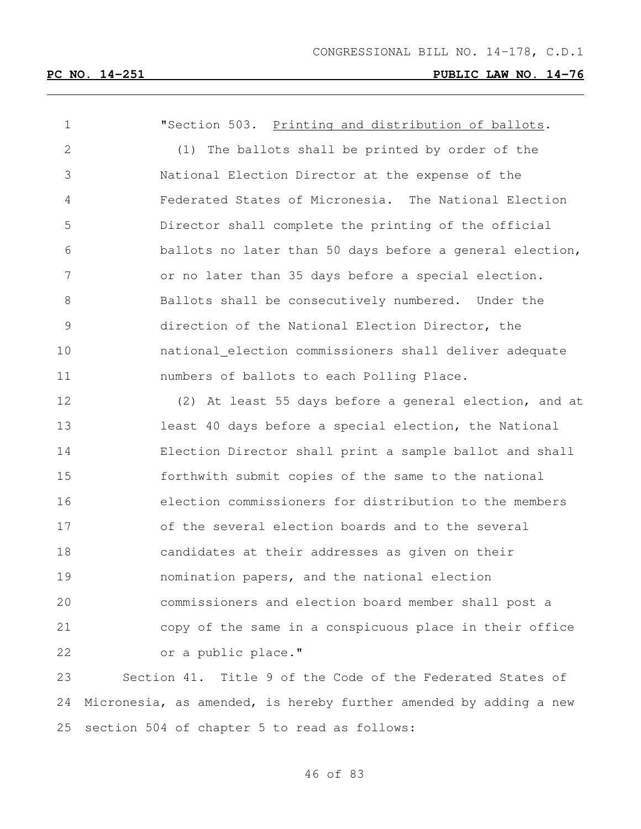"Section 503. Printing and distribution of ballots. (1) The ballots shall be printed by order of the National Election Director at the expense of the Federated States of Micronesia. The National Election Director shall complete the printing of the official ballots no later than 50 days before a general election, or no later than 35 days before a special election. Ballots shall be consecutively numbered. Under the direction of the National Election Director, the national election commissioners shall deliver adequate numbers of ballots to each Polling Place. (2) At least 55 days before a general election, and at least 40 days before a special election, the National Election Director shall print a sample ballot and shall forthwith submit copies of the same to the national election commissioners for distribution to the members of the several election boards and to the several candidates at their addresses as given on their nomination papers, and the national election commissioners and election board member shall post a copy of the same in a conspicuous place in their office 22 or a public place." Section 41. Title 9 of the Code of the Federated States of

 Micronesia, as amended, is hereby further amended by adding a new section 504 of chapter 5 to read as follows: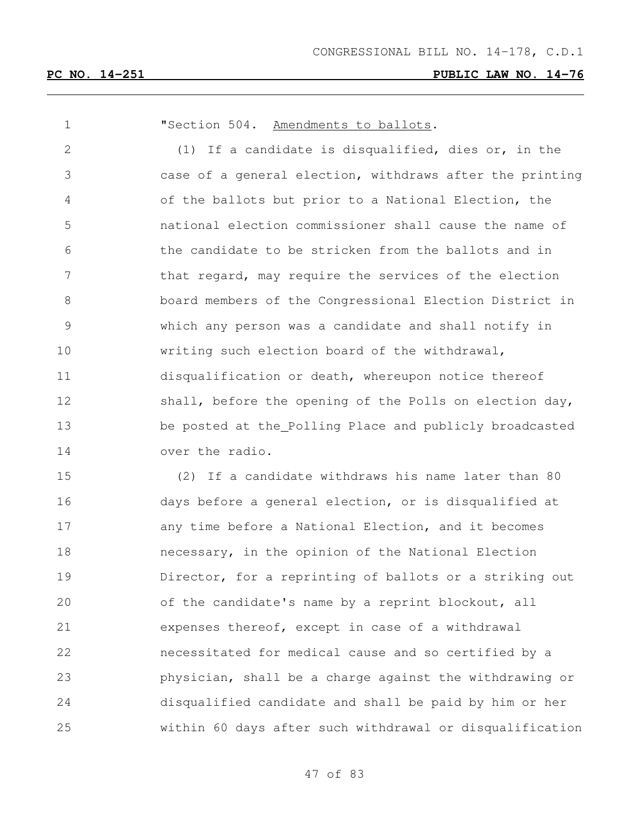**"Section 504.** Amendments to ballots. (1) If a candidate is disqualified, dies or, in the case of a general election, withdraws after the printing of the ballots but prior to a National Election, the national election commissioner shall cause the name of the candidate to be stricken from the ballots and in 7 that regard, may require the services of the election board members of the Congressional Election District in which any person was a candidate and shall notify in writing such election board of the withdrawal, disqualification or death, whereupon notice thereof 12 shall, before the opening of the Polls on election day, be posted at the Polling Place and publicly broadcasted over the radio. (2) If a candidate withdraws his name later than 80 days before a general election, or is disqualified at any time before a National Election, and it becomes necessary, in the opinion of the National Election Director, for a reprinting of ballots or a striking out of the candidate's name by a reprint blockout, all expenses thereof, except in case of a withdrawal necessitated for medical cause and so certified by a physician, shall be a charge against the withdrawing or disqualified candidate and shall be paid by him or her within 60 days after such withdrawal or disqualification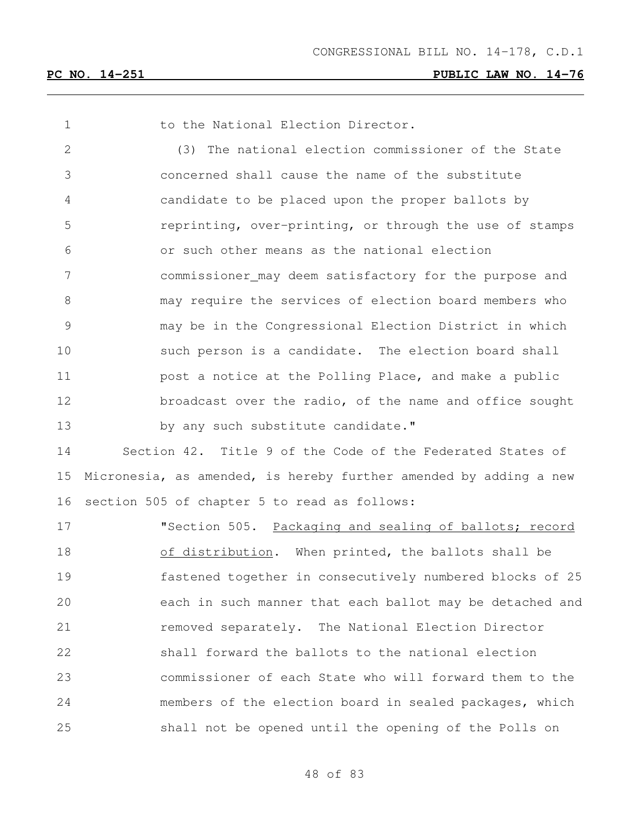1 to the National Election Director.

 (3) The national election commissioner of the State concerned shall cause the name of the substitute candidate to be placed upon the proper ballots by reprinting, over-printing, or through the use of stamps or such other means as the national election commissioner may deem satisfactory for the purpose and may require the services of election board members who may be in the Congressional Election District in which such person is a candidate. The election board shall **post a notice at the Polling Place, and make a public** 12 broadcast over the radio, of the name and office sought 13 by any such substitute candidate."

 Section 42. Title 9 of the Code of the Federated States of Micronesia, as amended, is hereby further amended by adding a new section 505 of chapter 5 to read as follows:

 "Section 505. Packaging and sealing of ballots; record 18 of distribution. When printed, the ballots shall be fastened together in consecutively numbered blocks of 25 each in such manner that each ballot may be detached and **removed separately.** The National Election Director shall forward the ballots to the national election commissioner of each State who will forward them to the members of the election board in sealed packages, which shall not be opened until the opening of the Polls on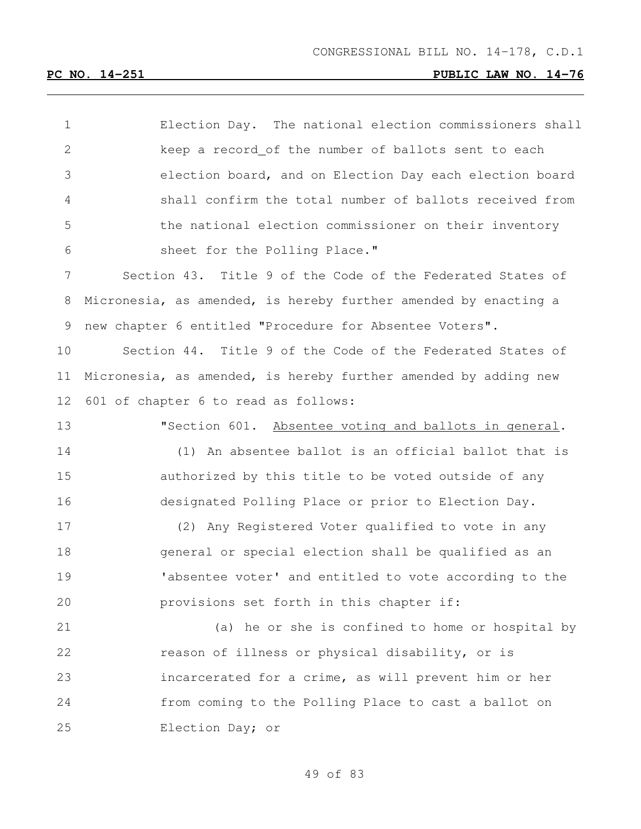Election Day. The national election commissioners shall keep a record of the number of ballots sent to each election board, and on Election Day each election board shall confirm the total number of ballots received from the national election commissioner on their inventory sheet for the Polling Place." Section 43. Title 9 of the Code of the Federated States of Micronesia, as amended, is hereby further amended by enacting a new chapter 6 entitled "Procedure for Absentee Voters". Section 44. Title 9 of the Code of the Federated States of Micronesia, as amended, is hereby further amended by adding new 601 of chapter 6 to read as follows: "Section 601. Absentee voting and ballots in general. (1) An absentee ballot is an official ballot that is authorized by this title to be voted outside of any designated Polling Place or prior to Election Day. (2) Any Registered Voter qualified to vote in any general or special election shall be qualified as an 19 Tabsentee voter' and entitled to vote according to the provisions set forth in this chapter if: (a) he or she is confined to home or hospital by reason of illness or physical disability, or is incarcerated for a crime, as will prevent him or her from coming to the Polling Place to cast a ballot on Election Day; or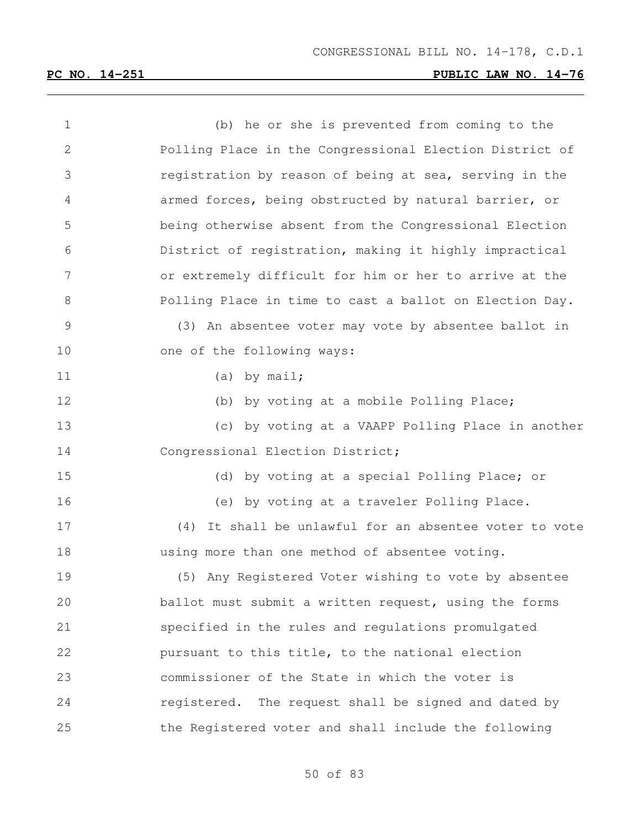| $\mathbf 1$  | (b) he or she is prevented from coming to the             |
|--------------|-----------------------------------------------------------|
| $\mathbf{2}$ | Polling Place in the Congressional Election District of   |
| 3            | registration by reason of being at sea, serving in the    |
| 4            | armed forces, being obstructed by natural barrier, or     |
| 5            | being otherwise absent from the Congressional Election    |
| 6            | District of registration, making it highly impractical    |
| 7            | or extremely difficult for him or her to arrive at the    |
| 8            | Polling Place in time to cast a ballot on Election Day.   |
| 9            | (3) An absentee voter may vote by absentee ballot in      |
| 10           | one of the following ways:                                |
| 11           | (a) by $mail;$                                            |
| 12           | (b) by voting at a mobile Polling Place;                  |
| 13           | (c) by voting at a VAAPP Polling Place in another         |
| 14           | Congressional Election District;                          |
| 15           | (d) by voting at a special Polling Place; or              |
| 16           | (e) by voting at a traveler Polling Place.                |
| 17           | It shall be unlawful for an absentee voter to vote<br>(4) |
| 18           | using more than one method of absentee voting.            |
| 19           | (5) Any Registered Voter wishing to vote by absentee      |
| 20           | ballot must submit a written request, using the forms     |
| 21           | specified in the rules and regulations promulgated        |
| 22           | pursuant to this title, to the national election          |
| 23           | commissioner of the State in which the voter is           |
| 24           | registered. The request shall be signed and dated by      |
| 25           | the Registered voter and shall include the following      |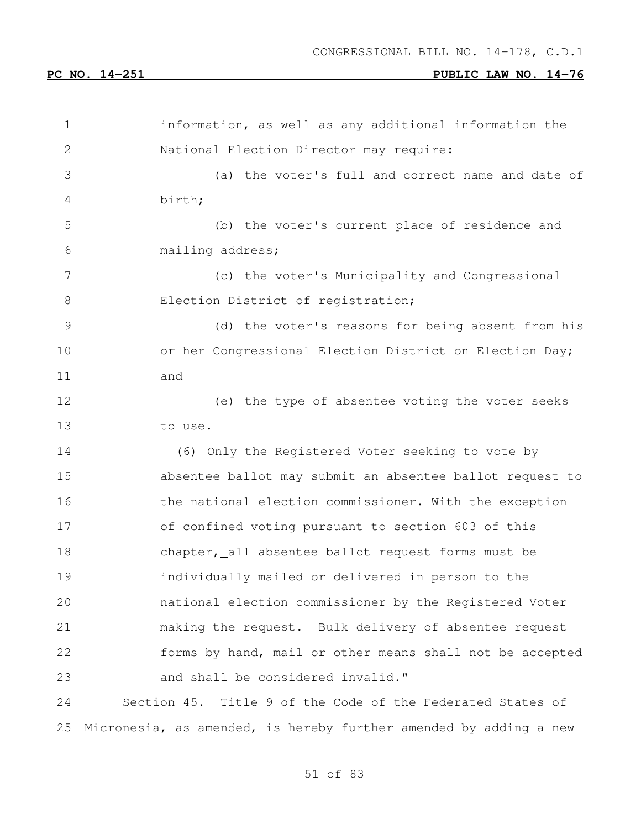| 1             | information, as well as any additional information the            |
|---------------|-------------------------------------------------------------------|
| 2             | National Election Director may require:                           |
| 3             | (a) the voter's full and correct name and date of                 |
| 4             | birth;                                                            |
| 5             | (b) the voter's current place of residence and                    |
| 6             | mailing address;                                                  |
| 7             | (c) the voter's Municipality and Congressional                    |
| $8\,$         | Election District of registration;                                |
| $\mathcal{G}$ | (d) the voter's reasons for being absent from his                 |
| 10            | or her Congressional Election District on Election Day;           |
| 11            | and                                                               |
| 12            | (e) the type of absentee voting the voter seeks                   |
| 13            | to use.                                                           |
| 14            | (6) Only the Registered Voter seeking to vote by                  |
| 15            | absentee ballot may submit an absentee ballot request to          |
| 16            | the national election commissioner. With the exception            |
| 17            | of confined voting pursuant to section 603 of this                |
| 18            | chapter, all absentee ballot request forms must be                |
| 19            | individually mailed or delivered in person to the                 |
| 20            | national election commissioner by the Registered Voter            |
| 21            | making the request. Bulk delivery of absentee request             |
| 22            | forms by hand, mail or other means shall not be accepted          |
| 23            | and shall be considered invalid."                                 |
| 24            | Section 45. Title 9 of the Code of the Federated States of        |
| 25            | Micronesia, as amended, is hereby further amended by adding a new |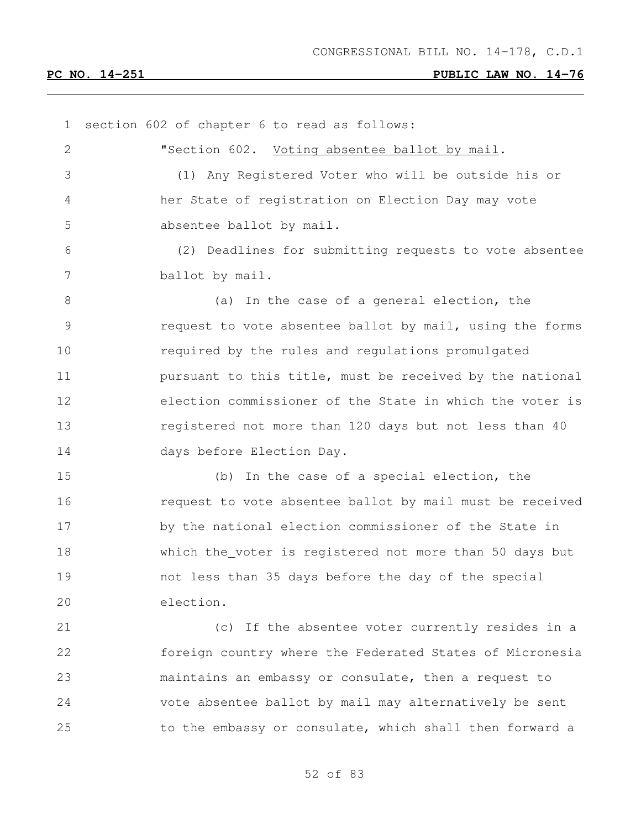section 602 of chapter 6 to read as follows: **"Section 602.** Voting absentee ballot by mail. (1) Any Registered Voter who will be outside his or her State of registration on Election Day may vote absentee ballot by mail. (2) Deadlines for submitting requests to vote absentee ballot by mail. 8 (a) In the case of a general election, the request to vote absentee ballot by mail, using the forms required by the rules and regulations promulgated **pursuant to this title, must be received by the national**  election commissioner of the State in which the voter is registered not more than 120 days but not less than 40 days before Election Day. (b) In the case of a special election, the request to vote absentee ballot by mail must be received by the national election commissioner of the State in which the voter is registered not more than 50 days but not less than 35 days before the day of the special election. (c) If the absentee voter currently resides in a foreign country where the Federated States of Micronesia maintains an embassy or consulate, then a request to vote absentee ballot by mail may alternatively be sent to the embassy or consulate, which shall then forward a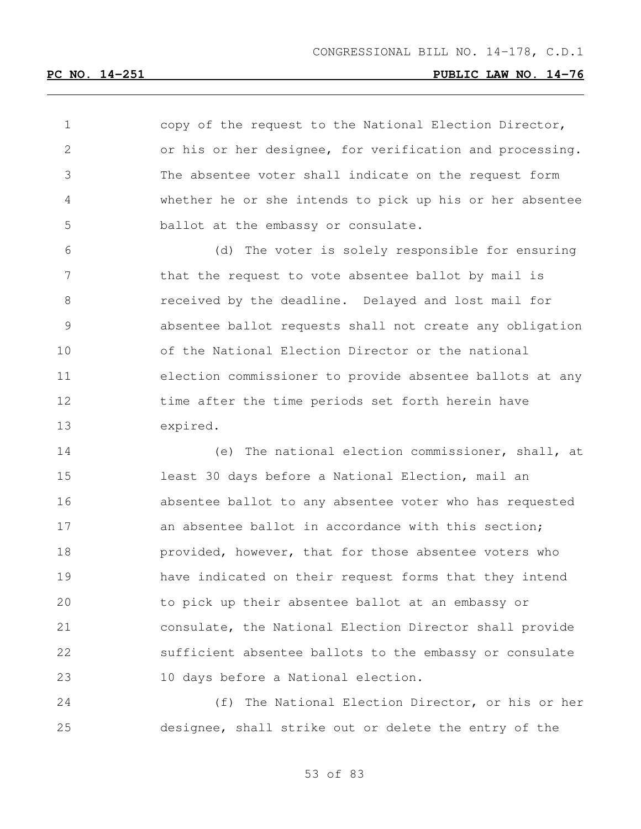copy of the request to the National Election Director, or his or her designee, for verification and processing. The absentee voter shall indicate on the request form whether he or she intends to pick up his or her absentee ballot at the embassy or consulate.

 (d) The voter is solely responsible for ensuring 7 that the request to vote absentee ballot by mail is received by the deadline. Delayed and lost mail for absentee ballot requests shall not create any obligation of the National Election Director or the national election commissioner to provide absentee ballots at any 12 time after the time periods set forth herein have expired.

 (e) The national election commissioner, shall, at least 30 days before a National Election, mail an absentee ballot to any absentee voter who has requested 17 an absentee ballot in accordance with this section; **provided, however, that for those absentee voters who**  have indicated on their request forms that they intend to pick up their absentee ballot at an embassy or consulate, the National Election Director shall provide sufficient absentee ballots to the embassy or consulate 10 days before a National election.

 (f) The National Election Director, or his or her designee, shall strike out or delete the entry of the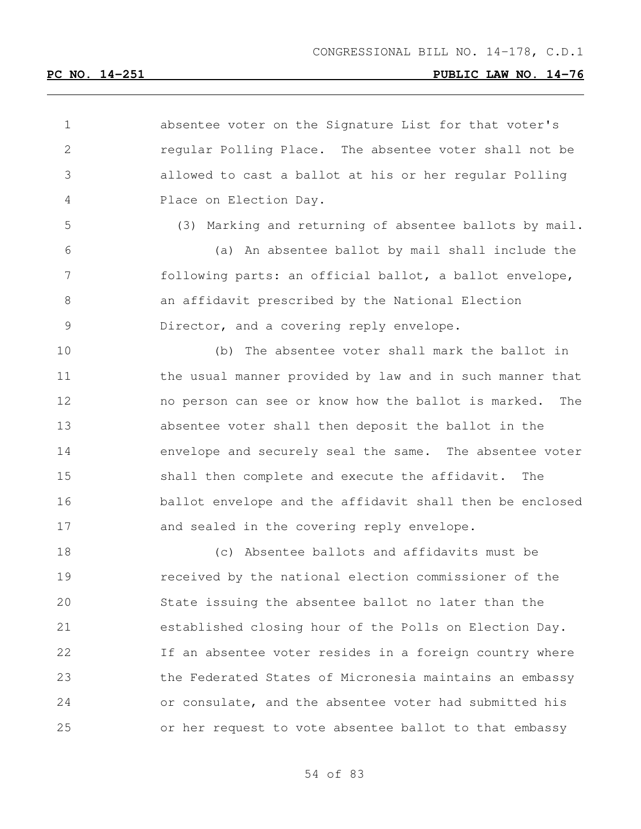| $\mathbf 1$    | absentee voter on the Signature List for that voter's      |
|----------------|------------------------------------------------------------|
| $\mathbf{2}$   | regular Polling Place. The absentee voter shall not be     |
| 3              | allowed to cast a ballot at his or her regular Polling     |
| 4              | Place on Election Day.                                     |
| 5              | (3) Marking and returning of absentee ballots by mail.     |
| 6              | (a) An absentee ballot by mail shall include the           |
| $\overline{7}$ | following parts: an official ballot, a ballot envelope,    |
| 8              | an affidavit prescribed by the National Election           |
| $\mathsf 9$    | Director, and a covering reply envelope.                   |
| 10             | (b) The absentee voter shall mark the ballot in            |
| 11             | the usual manner provided by law and in such manner that   |
| 12             | no person can see or know how the ballot is marked.<br>The |
| 13             | absentee voter shall then deposit the ballot in the        |
| 14             | envelope and securely seal the same. The absentee voter    |
| 15             | shall then complete and execute the affidavit.<br>The      |
| 16             | ballot envelope and the affidavit shall then be enclosed   |
| 17             | and sealed in the covering reply envelope.                 |
| 18             | (c) Absentee ballots and affidavits must be                |
| 19             | received by the national election commissioner of the      |
| 20             | State issuing the absentee ballot no later than the        |
| 21             | established closing hour of the Polls on Election Day.     |
| 22             | If an absentee voter resides in a foreign country where    |
| 23             | the Federated States of Micronesia maintains an embassy    |
| 24             | or consulate, and the absentee voter had submitted his     |
| 25             | or her request to vote absentee ballot to that embassy     |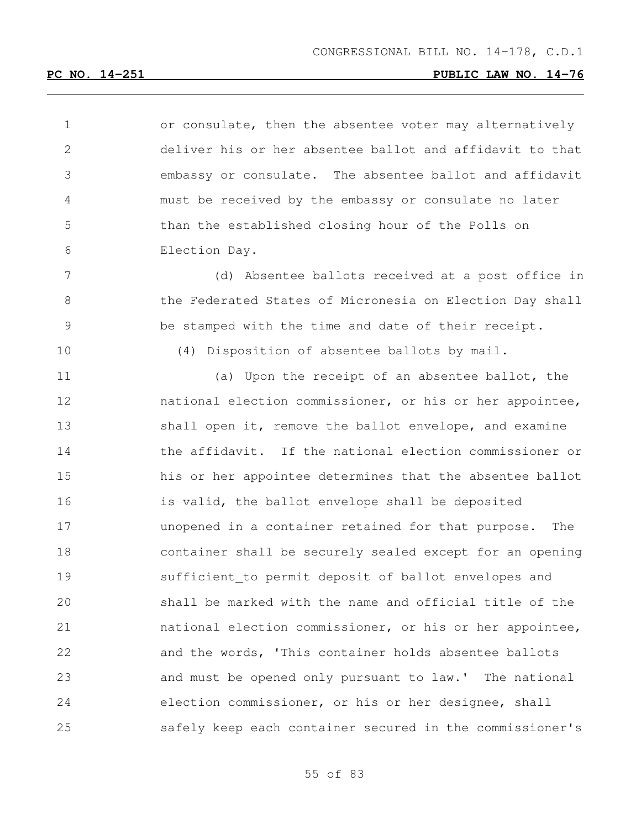1 or consulate, then the absentee voter may alternatively deliver his or her absentee ballot and affidavit to that embassy or consulate. The absentee ballot and affidavit must be received by the embassy or consulate no later than the established closing hour of the Polls on Election Day.

 (d) Absentee ballots received at a post office in 8 6 1 the Federated States of Micronesia on Election Day shall be stamped with the time and date of their receipt.

(4) Disposition of absentee ballots by mail.

11 (a) Upon the receipt of an absentee ballot, the national election commissioner, or his or her appointee, 13 shall open it, remove the ballot envelope, and examine 14 the affidavit. If the national election commissioner or his or her appointee determines that the absentee ballot is valid, the ballot envelope shall be deposited unopened in a container retained for that purpose. The container shall be securely sealed except for an opening sufficient to permit deposit of ballot envelopes and shall be marked with the name and official title of the national election commissioner, or his or her appointee, and the words, 'This container holds absentee ballots and must be opened only pursuant to law.' The national election commissioner, or his or her designee, shall safely keep each container secured in the commissioner's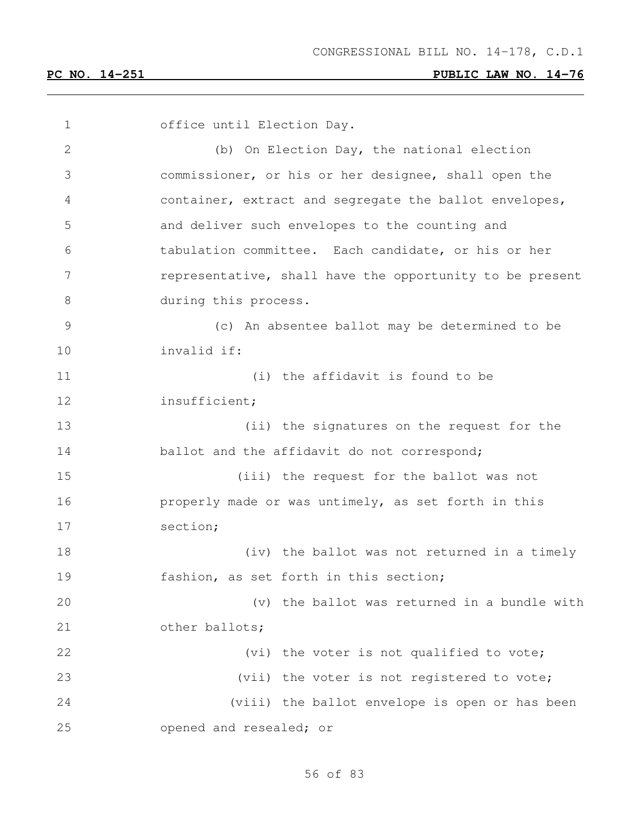office until Election Day. (b) On Election Day, the national election commissioner, or his or her designee, shall open the container, extract and segregate the ballot envelopes, and deliver such envelopes to the counting and tabulation committee. Each candidate, or his or her 7 representative, shall have the opportunity to be present 8 during this process. (c) An absentee ballot may be determined to be invalid if: (i) the affidavit is found to be insufficient; (ii) the signatures on the request for the 14 ballot and the affidavit do not correspond; (iii) the request for the ballot was not properly made or was untimely, as set forth in this section; (iv) the ballot was not returned in a timely fashion, as set forth in this section; (v) the ballot was returned in a bundle with 21 other ballots; 22 (vi) the voter is not qualified to vote; 23 (vii) the voter is not registered to vote; (viii) the ballot envelope is open or has been opened and resealed; or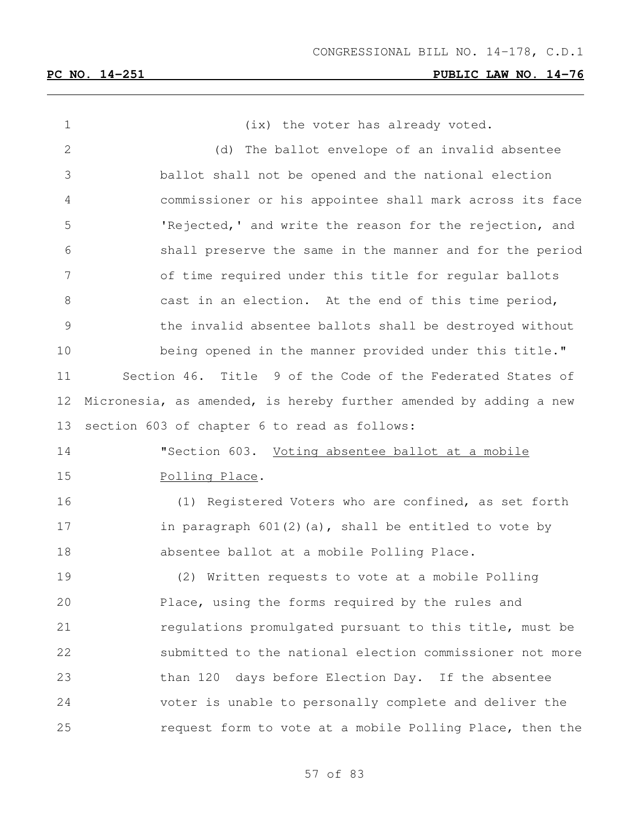1 (ix) the voter has already voted. (d) The ballot envelope of an invalid absentee ballot shall not be opened and the national election commissioner or his appointee shall mark across its face 'Rejected,' and write the reason for the rejection, and shall preserve the same in the manner and for the period of time required under this title for regular ballots cast in an election. At the end of this time period, the invalid absentee ballots shall be destroyed without being opened in the manner provided under this title." Section 46. Title 9 of the Code of the Federated States of Micronesia, as amended, is hereby further amended by adding a new section 603 of chapter 6 to read as follows: "Section 603. Voting absentee ballot at a mobile Polling Place. (1) Registered Voters who are confined, as set forth 17 in paragraph 601(2)(a), shall be entitled to vote by absentee ballot at a mobile Polling Place. (2) Written requests to vote at a mobile Polling Place, using the forms required by the rules and regulations promulgated pursuant to this title, must be submitted to the national election commissioner not more than 120 days before Election Day. If the absentee voter is unable to personally complete and deliver the request form to vote at a mobile Polling Place, then the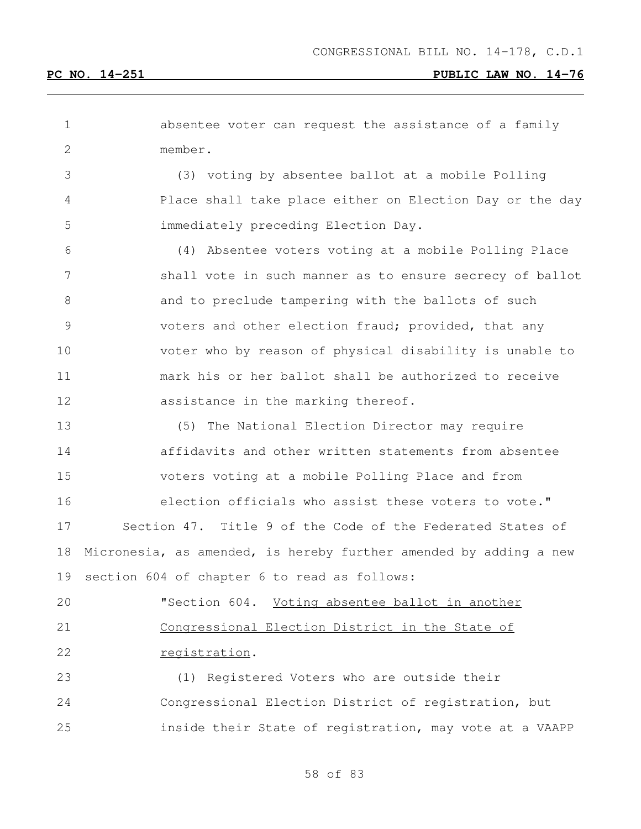| 1  | absentee voter can request the assistance of a family             |
|----|-------------------------------------------------------------------|
| 2  | member.                                                           |
| 3  | (3) voting by absentee ballot at a mobile Polling                 |
| 4  | Place shall take place either on Election Day or the day          |
| 5  | immediately preceding Election Day.                               |
| 6  | (4) Absentee voters voting at a mobile Polling Place              |
| 7  | shall vote in such manner as to ensure secrecy of ballot          |
| 8  | and to preclude tampering with the ballots of such                |
| 9  | voters and other election fraud; provided, that any               |
| 10 | voter who by reason of physical disability is unable to           |
| 11 | mark his or her ballot shall be authorized to receive             |
| 12 | assistance in the marking thereof.                                |
| 13 | (5)<br>The National Election Director may require                 |
| 14 | affidavits and other written statements from absentee             |
| 15 | voters voting at a mobile Polling Place and from                  |
| 16 | election officials who assist these voters to vote."              |
| 17 | Section 47. Title 9 of the Code of the Federated States of        |
| 18 | Micronesia, as amended, is hereby further amended by adding a new |
| 19 | section 604 of chapter 6 to read as follows:                      |
| 20 | "Section 604.<br>Voting absentee ballot in another                |
| 21 | Congressional Election District in the State of                   |
| 22 | registration.                                                     |
| 23 | (1) Registered Voters who are outside their                       |
| 24 | Congressional Election District of registration, but              |
| 25 | inside their State of registration, may vote at a VAAPP           |
|    |                                                                   |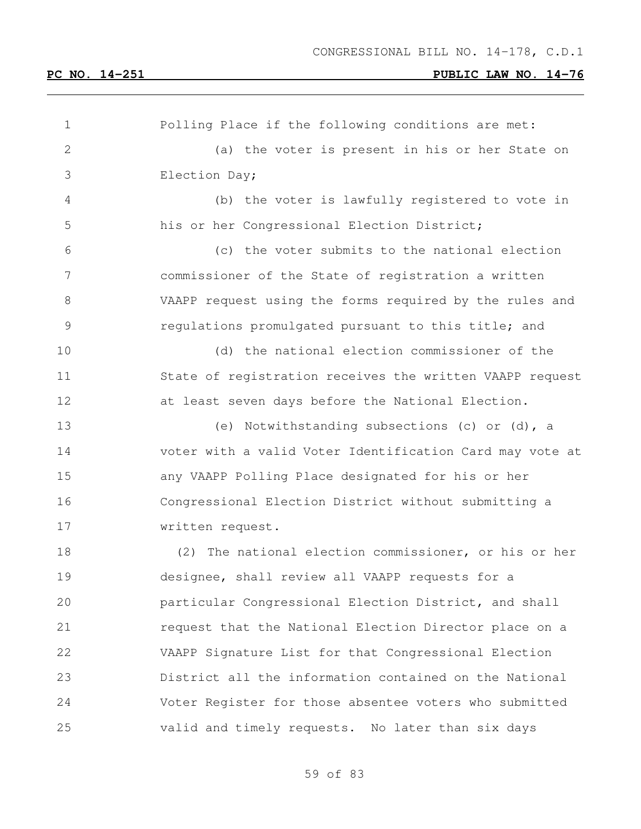Polling Place if the following conditions are met: (a) the voter is present in his or her State on Election Day; (b) the voter is lawfully registered to vote in his or her Congressional Election District; (c) the voter submits to the national election commissioner of the State of registration a written VAAPP request using the forms required by the rules and regulations promulgated pursuant to this title; and (d) the national election commissioner of the State of registration receives the written VAAPP request at least seven days before the National Election. (e) Notwithstanding subsections (c) or (d), a voter with a valid Voter Identification Card may vote at any VAAPP Polling Place designated for his or her Congressional Election District without submitting a written request. (2) The national election commissioner, or his or her designee, shall review all VAAPP requests for a particular Congressional Election District, and shall request that the National Election Director place on a VAAPP Signature List for that Congressional Election District all the information contained on the National Voter Register for those absentee voters who submitted valid and timely requests. No later than six days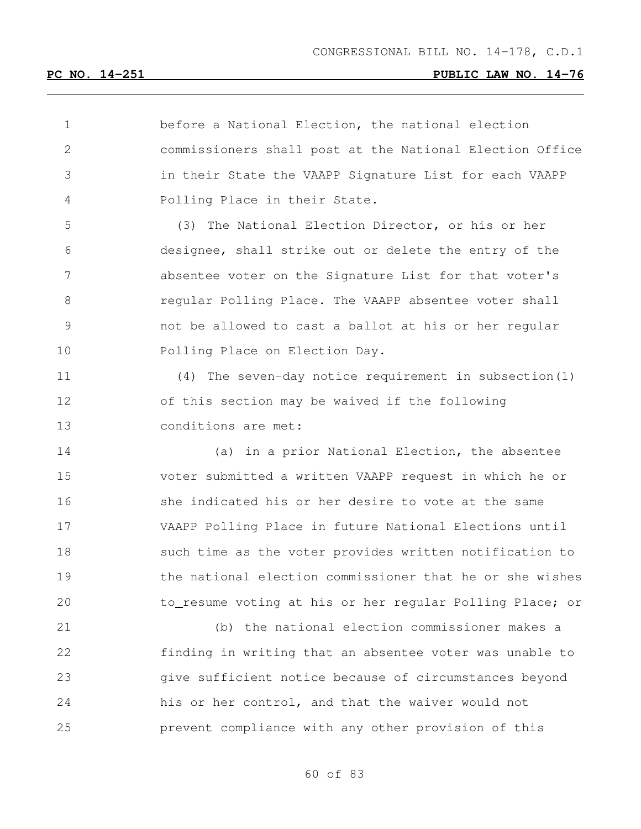before a National Election, the national election commissioners shall post at the National Election Office in their State the VAAPP Signature List for each VAAPP Polling Place in their State. (3) The National Election Director, or his or her designee, shall strike out or delete the entry of the absentee voter on the Signature List for that voter's regular Polling Place. The VAAPP absentee voter shall not be allowed to cast a ballot at his or her regular Polling Place on Election Day.

 (4) The seven-day notice requirement in subsection(1) of this section may be waived if the following conditions are met:

 (a) in a prior National Election, the absentee voter submitted a written VAAPP request in which he or 16 she indicated his or her desire to vote at the same VAAPP Polling Place in future National Elections until such time as the voter provides written notification to the national election commissioner that he or she wishes to resume voting at his or her regular Polling Place; or

 (b) the national election commissioner makes a finding in writing that an absentee voter was unable to give sufficient notice because of circumstances beyond his or her control, and that the waiver would not prevent compliance with any other provision of this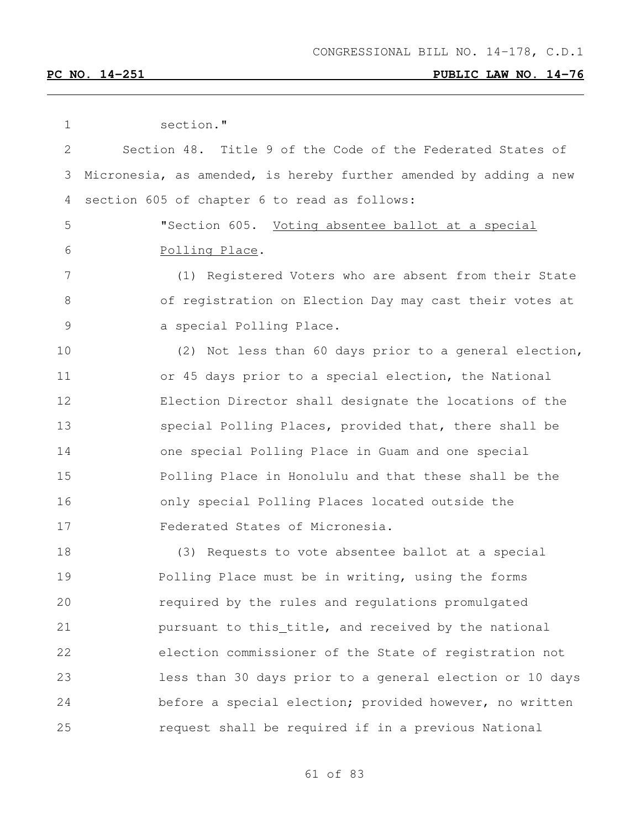| 1             | section."                                                         |
|---------------|-------------------------------------------------------------------|
| $\mathbf{2}$  | Section 48. Title 9 of the Code of the Federated States of        |
| 3             | Micronesia, as amended, is hereby further amended by adding a new |
| 4             | section 605 of chapter 6 to read as follows:                      |
| 5             | "Section 605. Voting absentee ballot at a special                 |
| 6             | Polling Place.                                                    |
| 7             | (1) Registered Voters who are absent from their State             |
| $8\,$         | of registration on Election Day may cast their votes at           |
| $\mathcal{G}$ | a special Polling Place.                                          |
| 10            | (2) Not less than 60 days prior to a general election,            |
| 11            | or 45 days prior to a special election, the National              |
| 12            | Election Director shall designate the locations of the            |
| 13            | special Polling Places, provided that, there shall be             |
| 14            | one special Polling Place in Guam and one special                 |
| 15            | Polling Place in Honolulu and that these shall be the             |
| 16            | only special Polling Places located outside the                   |
| 17            | Federated States of Micronesia.                                   |
| 18            | (3) Requests to vote absentee ballot at a special                 |
| 19            | Polling Place must be in writing, using the forms                 |
| 20            | required by the rules and regulations promulgated                 |
| 21            | pursuant to this_title, and received by the national              |
| 22            | election commissioner of the State of registration not            |
| 23            | less than 30 days prior to a general election or 10 days          |
| 24            | before a special election; provided however, no written           |
| 25            | request shall be required if in a previous National               |
|               |                                                                   |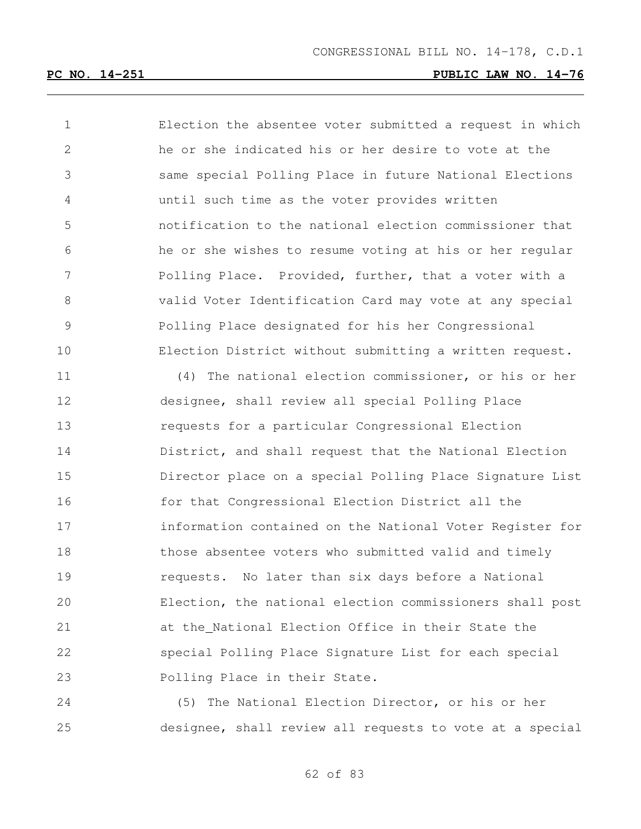Election the absentee voter submitted a request in which he or she indicated his or her desire to vote at the same special Polling Place in future National Elections until such time as the voter provides written notification to the national election commissioner that he or she wishes to resume voting at his or her regular Polling Place. Provided, further, that a voter with a valid Voter Identification Card may vote at any special Polling Place designated for his her Congressional Election District without submitting a written request.

 (4) The national election commissioner, or his or her designee, shall review all special Polling Place requests for a particular Congressional Election District, and shall request that the National Election Director place on a special Polling Place Signature List for that Congressional Election District all the information contained on the National Voter Register for 18 those absentee voters who submitted valid and timely requests. No later than six days before a National Election, the national election commissioners shall post at the National Election Office in their State the special Polling Place Signature List for each special Polling Place in their State.

 (5) The National Election Director, or his or her designee, shall review all requests to vote at a special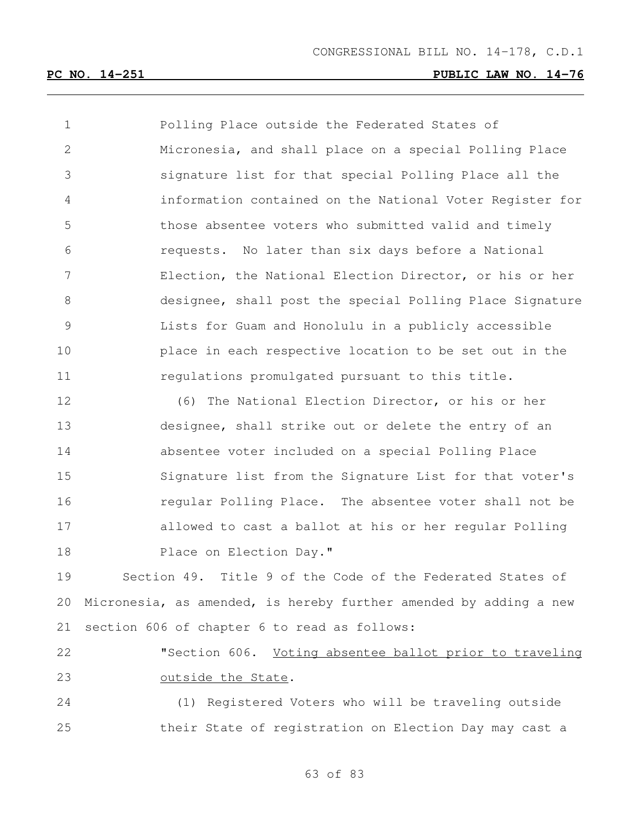| $\mathbf 1$     | Polling Place outside the Federated States of                     |
|-----------------|-------------------------------------------------------------------|
| $\mathbf{2}$    | Micronesia, and shall place on a special Polling Place            |
| 3               | signature list for that special Polling Place all the             |
| $\overline{4}$  | information contained on the National Voter Register for          |
| 5               | those absentee voters who submitted valid and timely              |
| 6               | requests. No later than six days before a National                |
| $7\phantom{.0}$ | Election, the National Election Director, or his or her           |
| 8               | designee, shall post the special Polling Place Signature          |
| $\mathcal{G}$   | Lists for Guam and Honolulu in a publicly accessible              |
| 10              | place in each respective location to be set out in the            |
| 11              | regulations promulgated pursuant to this title.                   |
| 12              | (6) The National Election Director, or his or her                 |
| 13              | designee, shall strike out or delete the entry of an              |
| 14              | absentee voter included on a special Polling Place                |
| 15              | Signature list from the Signature List for that voter's           |
| 16              | regular Polling Place. The absentee voter shall not be            |
| 17              | allowed to cast a ballot at his or her regular Polling            |
| 18              | Place on Election Day."                                           |
| 19              | Section 49. Title 9 of the Code of the Federated States of        |
| 20              | Micronesia, as amended, is hereby further amended by adding a new |
| 21              | section 606 of chapter 6 to read as follows:                      |
| 22              | "Section 606. Voting absentee ballot prior to traveling           |
| 23              | outside the State.                                                |
| 24              | (1) Registered Voters who will be traveling outside               |

their State of registration on Election Day may cast a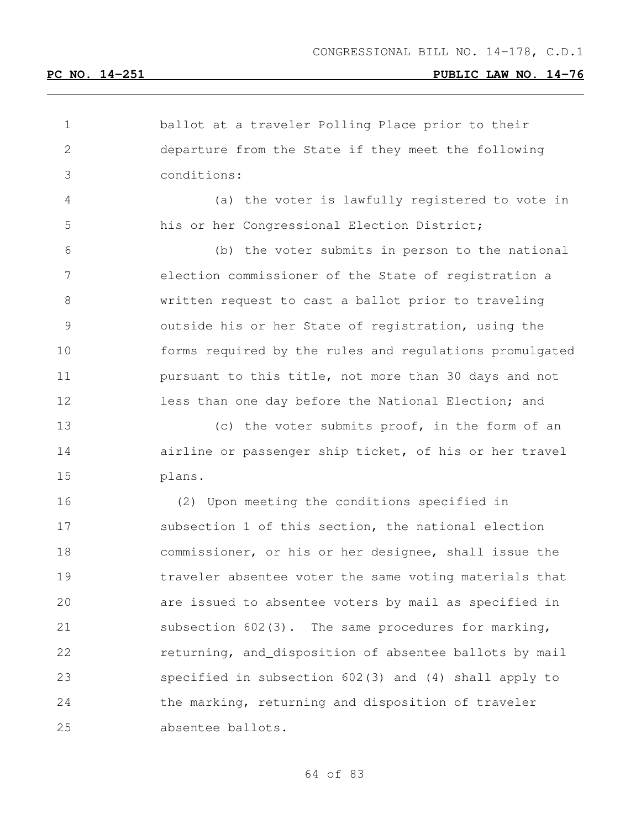| 1             | ballot at a traveler Polling Place prior to their         |
|---------------|-----------------------------------------------------------|
| 2             | departure from the State if they meet the following       |
| 3             | conditions:                                               |
| 4             | (a) the voter is lawfully registered to vote in           |
| 5             | his or her Congressional Election District;               |
| 6             | (b) the voter submits in person to the national           |
| 7             | election commissioner of the State of registration a      |
| 8             | written request to cast a ballot prior to traveling       |
| $\mathcal{G}$ | outside his or her State of registration, using the       |
| 10            | forms required by the rules and requlations promulgated   |
| 11            | pursuant to this title, not more than 30 days and not     |
| 12            | less than one day before the National Election; and       |
| 13            | (c) the voter submits proof, in the form of an            |
| 14            | airline or passenger ship ticket, of his or her travel    |
| 15            | plans.                                                    |
| 16            | (2) Upon meeting the conditions specified in              |
| 17            | subsection 1 of this section, the national election       |
| 18            | commissioner, or his or her designee, shall issue the     |
| 19            | traveler absentee voter the same voting materials that    |
| 20            | are issued to absentee voters by mail as specified in     |
| 21            | subsection $602(3)$ . The same procedures for marking,    |
| 22            | returning, and_disposition of absentee ballots by mail    |
| 23            | specified in subsection $602(3)$ and $(4)$ shall apply to |
| 24            | the marking, returning and disposition of traveler        |
| 25            | absentee ballots.                                         |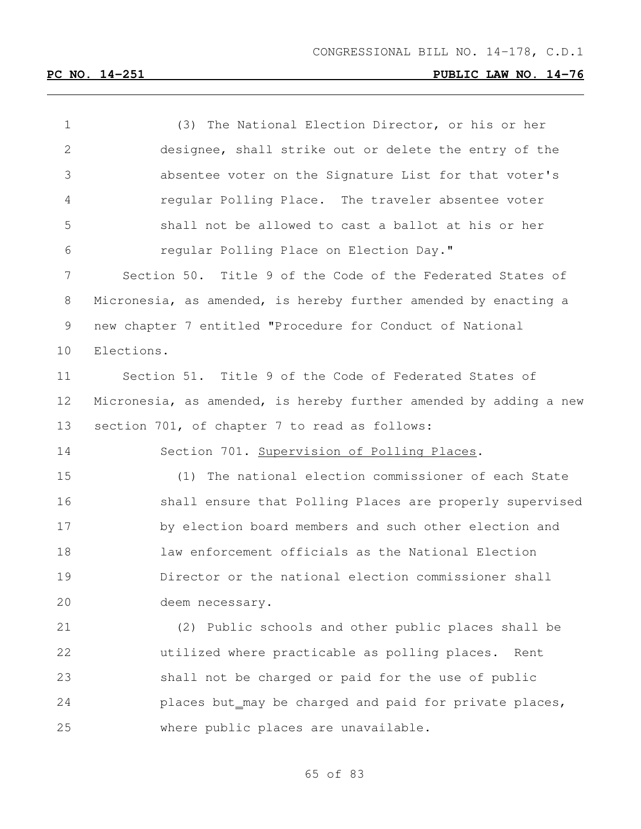| $\mathbf 1$  | (3) The National Election Director, or his or her                 |
|--------------|-------------------------------------------------------------------|
| $\mathbf{2}$ | designee, shall strike out or delete the entry of the             |
| 3            | absentee voter on the Signature List for that voter's             |
| 4            | regular Polling Place. The traveler absentee voter                |
| 5            | shall not be allowed to cast a ballot at his or her               |
| 6            | regular Polling Place on Election Day."                           |
| 7            | Section 50. Title 9 of the Code of the Federated States of        |
| 8            | Micronesia, as amended, is hereby further amended by enacting a   |
| 9            | new chapter 7 entitled "Procedure for Conduct of National         |
| 10           | Elections.                                                        |
| 11           | Section 51. Title 9 of the Code of Federated States of            |
| 12           | Micronesia, as amended, is hereby further amended by adding a new |
| 13           | section 701, of chapter 7 to read as follows:                     |
| 14           | Section 701. Supervision of Polling Places.                       |
| 15           | (1) The national election commissioner of each State              |
| 16           | shall ensure that Polling Places are properly supervised          |
| 17           | by election board members and such other election and             |
| 18           | law enforcement officials as the National Election                |
| 19           | Director or the national election commissioner shall              |
| 20           | deem necessary.                                                   |
| 21           | (2) Public schools and other public places shall be               |
| 22           | utilized where practicable as polling places.<br>Rent             |
| 23           | shall not be charged or paid for the use of public                |
| 24           | places but_may be charged and paid for private places,            |
| 25           | where public places are unavailable.                              |
|              |                                                                   |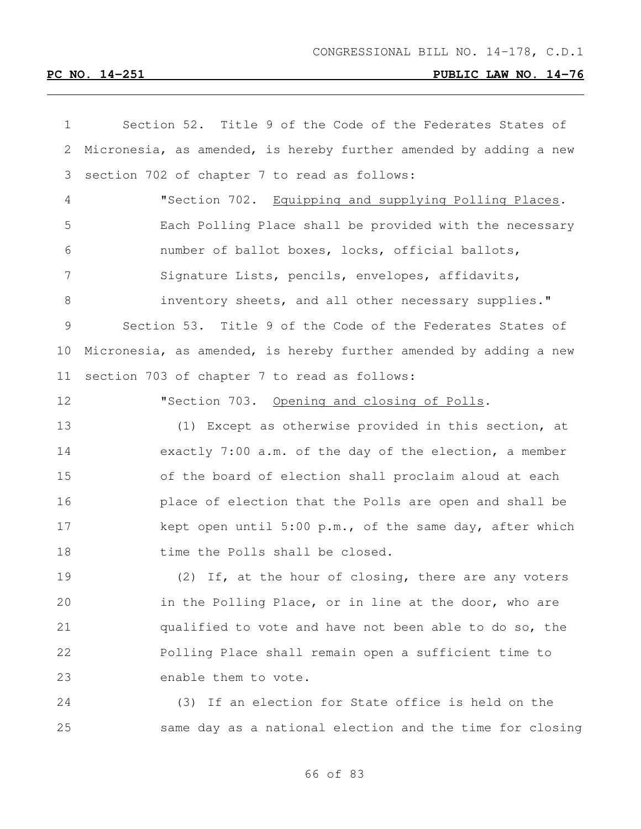| 1             | Section 52. Title 9 of the Code of the Federates States of        |
|---------------|-------------------------------------------------------------------|
| 2             | Micronesia, as amended, is hereby further amended by adding a new |
| 3             | section 702 of chapter 7 to read as follows:                      |
| 4             | "Section 702. Equipping and supplying Polling Places.             |
| 5             | Each Polling Place shall be provided with the necessary           |
| 6             | number of ballot boxes, locks, official ballots,                  |
| 7             | Signature Lists, pencils, envelopes, affidavits,                  |
| 8             | inventory sheets, and all other necessary supplies."              |
| $\mathcal{G}$ | Section 53. Title 9 of the Code of the Federates States of        |
| 10            | Micronesia, as amended, is hereby further amended by adding a new |
| 11            | section 703 of chapter 7 to read as follows:                      |
| 12            | "Section 703. Opening and closing of Polls.                       |
| 13            | (1) Except as otherwise provided in this section, at              |
| 14            | exactly 7:00 a.m. of the day of the election, a member            |
| 15            | of the board of election shall proclaim aloud at each             |
| 16            | place of election that the Polls are open and shall be            |
| 17            | kept open until 5:00 p.m., of the same day, after which           |
| 18            | time the Polls shall be closed.                                   |
| 19            | If, at the hour of closing, there are any voters<br>(2)           |
| 20            | in the Polling Place, or in line at the door, who are             |
| 21            | qualified to vote and have not been able to do so, the            |
| 22            | Polling Place shall remain open a sufficient time to              |
| 23            | enable them to vote.                                              |
| 24            | (3) If an election for State office is held on the                |
| 25            | same day as a national election and the time for closing          |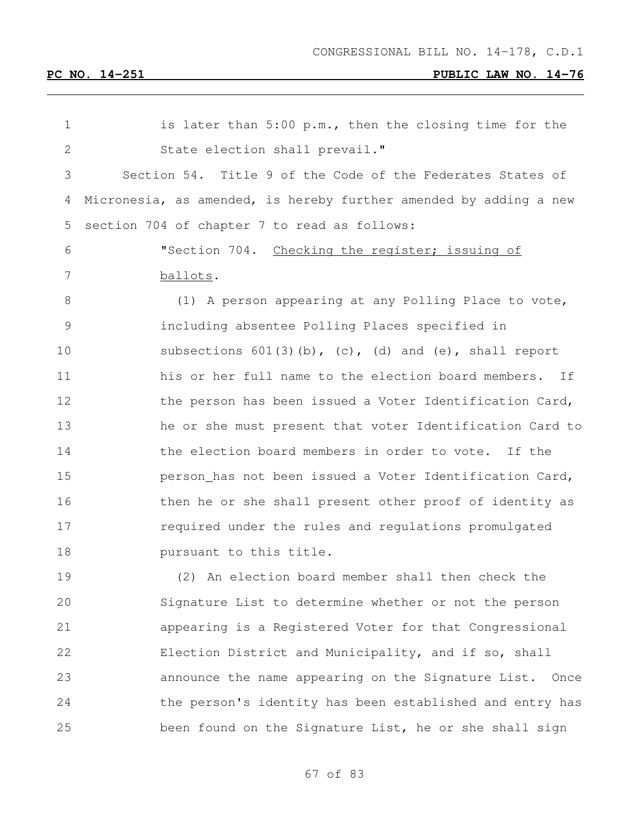| 1              | is later than 5:00 p.m., then the closing time for the            |
|----------------|-------------------------------------------------------------------|
| 2              | State election shall prevail."                                    |
| 3              | Section 54. Title 9 of the Code of the Federates States of        |
| 4              | Micronesia, as amended, is hereby further amended by adding a new |
| 5              | section 704 of chapter 7 to read as follows:                      |
| 6              | "Section 704. Checking the register; issuing of                   |
| 7              | ballots.                                                          |
| 8              | (1) A person appearing at any Polling Place to vote,              |
| $\overline{9}$ | including absentee Polling Places specified in                    |
| 10             | subsections $601(3)(b)$ , (c), (d) and (e), shall report          |
| 11             | his or her full name to the election board members. If            |
| 12             | the person has been issued a Voter Identification Card,           |
| 13             | he or she must present that voter Identification Card to          |
| 14             | the election board members in order to vote. If the               |
| 15             | person has not been issued a Voter Identification Card,           |
| 16             | then he or she shall present other proof of identity as           |
| 17             | required under the rules and requlations promulgated              |
| 18             | pursuant to this title.                                           |
| 19             | (2) An election board member shall then check the                 |
| 20             | Signature List to determine whether or not the person             |
| 21             | appearing is a Registered Voter for that Congressional            |
| 22             | Election District and Municipality, and if so, shall              |
| 23             | announce the name appearing on the Signature List. Once           |
| 24             | the person's identity has been established and entry has          |
| 25             | been found on the Signature List, he or she shall sign            |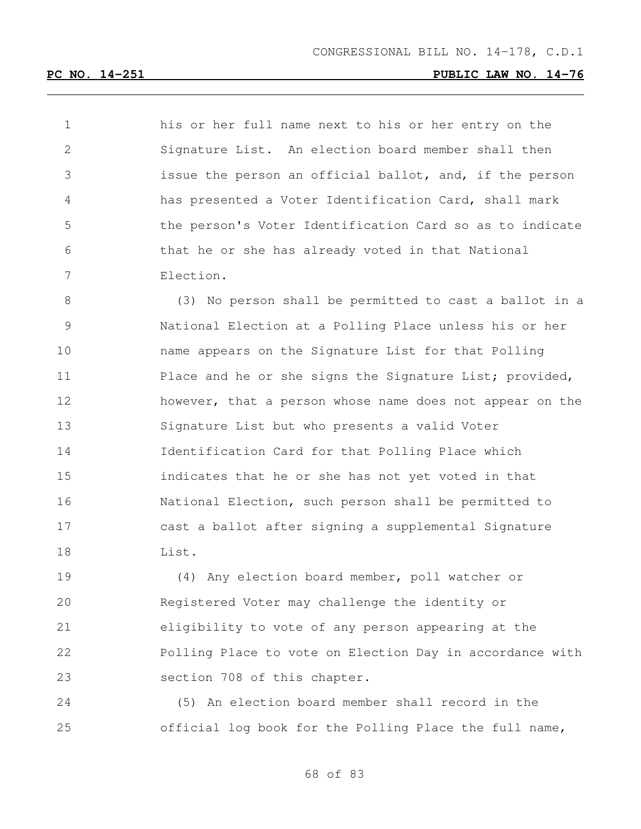his or her full name next to his or her entry on the Signature List. An election board member shall then issue the person an official ballot, and, if the person has presented a Voter Identification Card, shall mark the person's Voter Identification Card so as to indicate that he or she has already voted in that National Election.

 (3) No person shall be permitted to cast a ballot in a National Election at a Polling Place unless his or her name appears on the Signature List for that Polling 11 Place and he or she signs the Signature List; provided, 12 however, that a person whose name does not appear on the Signature List but who presents a valid Voter Identification Card for that Polling Place which indicates that he or she has not yet voted in that National Election, such person shall be permitted to cast a ballot after signing a supplemental Signature List.

 (4) Any election board member, poll watcher or Registered Voter may challenge the identity or eligibility to vote of any person appearing at the Polling Place to vote on Election Day in accordance with section 708 of this chapter.

 (5) An election board member shall record in the official log book for the Polling Place the full name,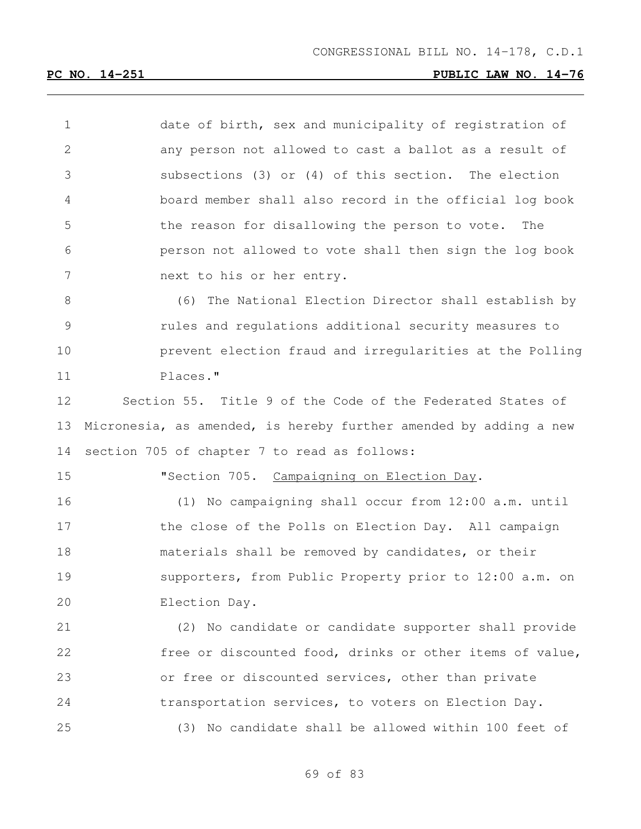date of birth, sex and municipality of registration of any person not allowed to cast a ballot as a result of subsections (3) or (4) of this section. The election board member shall also record in the official log book the reason for disallowing the person to vote. The person not allowed to vote shall then sign the log book next to his or her entry.

 (6) The National Election Director shall establish by rules and regulations additional security measures to prevent election fraud and irregularities at the Polling Places."

 Section 55. Title 9 of the Code of the Federated States of Micronesia, as amended, is hereby further amended by adding a new section 705 of chapter 7 to read as follows:

15 "Section 705. Campaigning on Election Day.

 (1) No campaigning shall occur from 12:00 a.m. until 17 the close of the Polls on Election Day. All campaign materials shall be removed by candidates, or their supporters, from Public Property prior to 12:00 a.m. on Election Day.

 (2) No candidate or candidate supporter shall provide free or discounted food, drinks or other items of value, or free or discounted services, other than private transportation services, to voters on Election Day. (3) No candidate shall be allowed within 100 feet of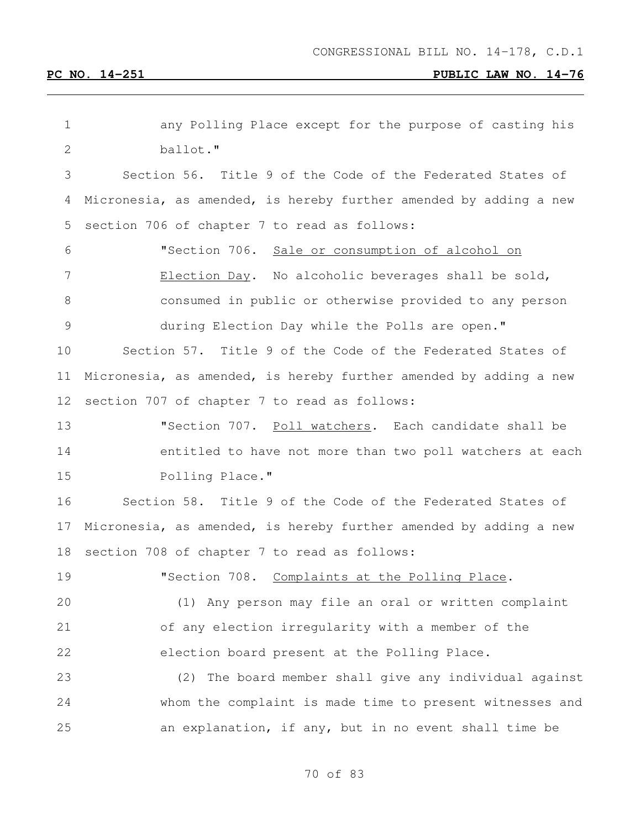| 1            | any Polling Place except for the purpose of casting his           |
|--------------|-------------------------------------------------------------------|
| $\mathbf{2}$ | ballot."                                                          |
| 3            | Section 56. Title 9 of the Code of the Federated States of        |
| 4            | Micronesia, as amended, is hereby further amended by adding a new |
| 5            | section 706 of chapter 7 to read as follows:                      |
| 6            | "Section 706.<br>Sale or consumption of alcohol on                |
| 7            | Election Day. No alcoholic beverages shall be sold,               |
| 8            | consumed in public or otherwise provided to any person            |
| 9            | during Election Day while the Polls are open."                    |
| 10           | Section 57. Title 9 of the Code of the Federated States of        |
| 11           | Micronesia, as amended, is hereby further amended by adding a new |
| 12           | section 707 of chapter 7 to read as follows:                      |
| 13           | "Section 707. Poll watchers. Each candidate shall be              |
| 14           | entitled to have not more than two poll watchers at each          |
| 15           | Polling Place."                                                   |
| 16           | Section 58. Title 9 of the Code of the Federated States of        |
| 17           | Micronesia, as amended, is hereby further amended by adding a new |
| 18           | section 708 of chapter 7 to read as follows:                      |
| 19           | "Section 708. Complaints at the Polling Place.                    |
| 20           | (1) Any person may file an oral or written complaint              |
| 21           | of any election irregularity with a member of the                 |
| 22           | election board present at the Polling Place.                      |
| 23           | (2) The board member shall give any individual against            |
| 24           | whom the complaint is made time to present witnesses and          |
| 25           | an explanation, if any, but in no event shall time be             |
|              |                                                                   |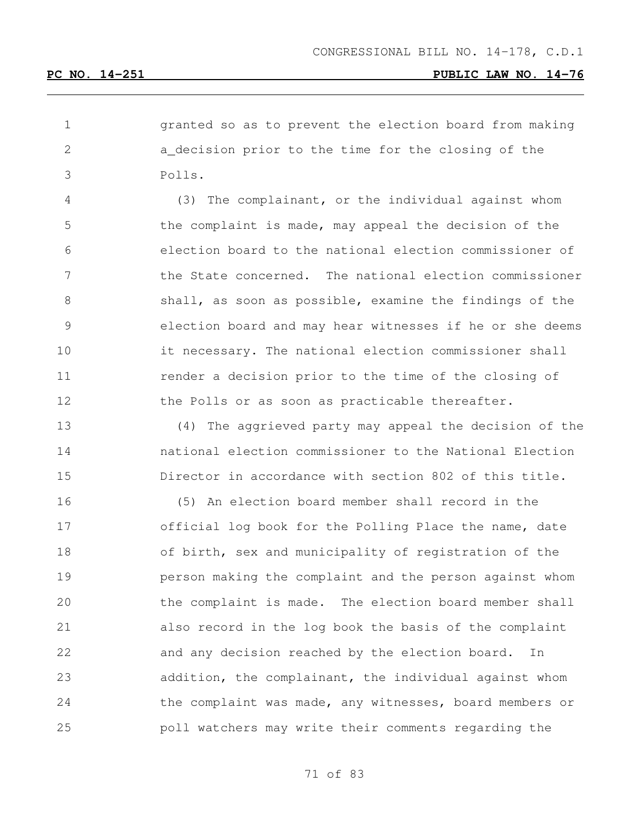granted so as to prevent the election board from making a decision prior to the time for the closing of the Polls.

 (3) The complainant, or the individual against whom the complaint is made, may appeal the decision of the election board to the national election commissioner of the State concerned. The national election commissioner 8 shall, as soon as possible, examine the findings of the election board and may hear witnesses if he or she deems it necessary. The national election commissioner shall **11** render a decision prior to the time of the closing of 12 the Polls or as soon as practicable thereafter.

 (4) The aggrieved party may appeal the decision of the national election commissioner to the National Election Director in accordance with section 802 of this title.

 (5) An election board member shall record in the 17 official log book for the Polling Place the name, date of birth, sex and municipality of registration of the person making the complaint and the person against whom the complaint is made. The election board member shall also record in the log book the basis of the complaint and any decision reached by the election board. In addition, the complainant, the individual against whom 24 the complaint was made, any witnesses, board members or poll watchers may write their comments regarding the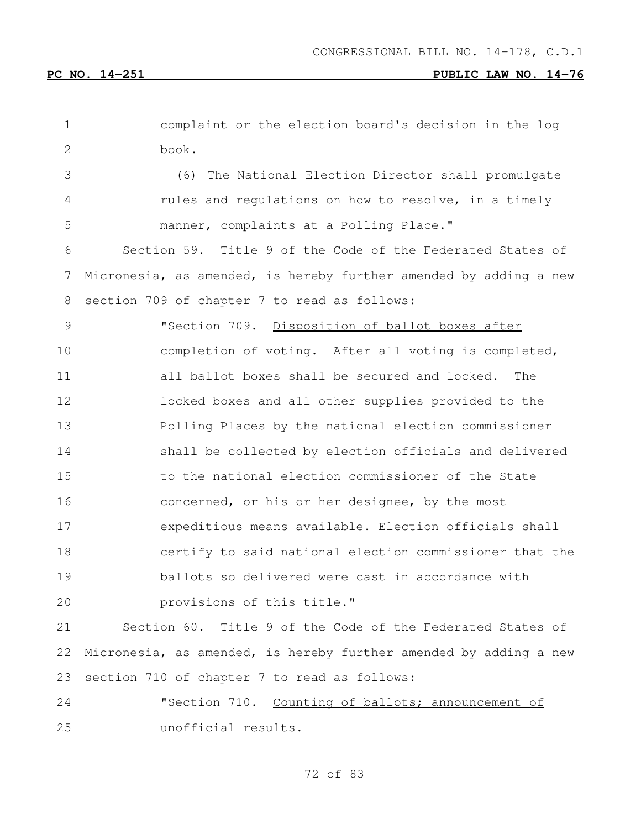| $\mathbf 1$ | complaint or the election board's decision in the log             |
|-------------|-------------------------------------------------------------------|
| 2           | book.                                                             |
| 3           | (6) The National Election Director shall promulgate               |
| 4           | rules and regulations on how to resolve, in a timely              |
| 5           | manner, complaints at a Polling Place."                           |
| 6           | Section 59. Title 9 of the Code of the Federated States of        |
| 7           | Micronesia, as amended, is hereby further amended by adding a new |
| 8           | section 709 of chapter 7 to read as follows:                      |
| 9           | "Section 709. Disposition of ballot boxes after                   |
| 10          | completion of voting. After all voting is completed,              |
| 11          | all ballot boxes shall be secured and locked.<br>The              |
| 12          | locked boxes and all other supplies provided to the               |
| 13          | Polling Places by the national election commissioner              |
| 14          | shall be collected by election officials and delivered            |
| 15          | to the national election commissioner of the State                |
| 16          | concerned, or his or her designee, by the most                    |
| 17          | expeditious means available. Election officials shall             |
| 18          | certify to said national election commissioner that the           |
| 19          | ballots so delivered were cast in accordance with                 |
| 20          | provisions of this title."                                        |
| 21          | Section 60. Title 9 of the Code of the Federated States of        |
| 22          | Micronesia, as amended, is hereby further amended by adding a new |
| 23          | section 710 of chapter 7 to read as follows:                      |

 "Section 710. Counting of ballots; announcement of unofficial results.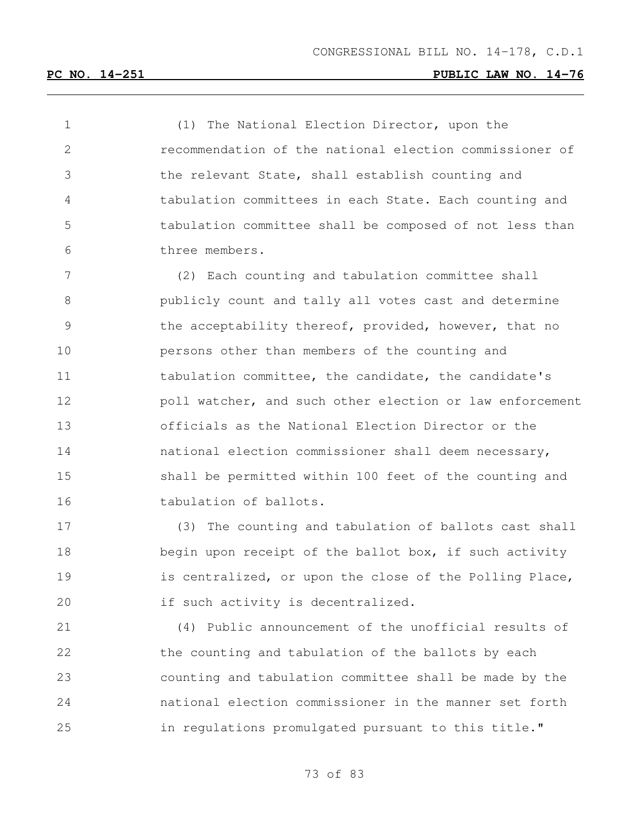(1) The National Election Director, upon the recommendation of the national election commissioner of the relevant State, shall establish counting and tabulation committees in each State. Each counting and tabulation committee shall be composed of not less than three members.

 (2) Each counting and tabulation committee shall publicly count and tally all votes cast and determine 9 the acceptability thereof, provided, however, that no persons other than members of the counting and 11 tabulation committee, the candidate, the candidate's **poll watcher, and such other election or law enforcement**  officials as the National Election Director or the national election commissioner shall deem necessary, shall be permitted within 100 feet of the counting and 16 tabulation of ballots.

 (3) The counting and tabulation of ballots cast shall 18 begin upon receipt of the ballot box, if such activity **is centralized, or upon the close of the Polling Place,** if such activity is decentralized.

 (4) Public announcement of the unofficial results of the counting and tabulation of the ballots by each counting and tabulation committee shall be made by the national election commissioner in the manner set forth in regulations promulgated pursuant to this title."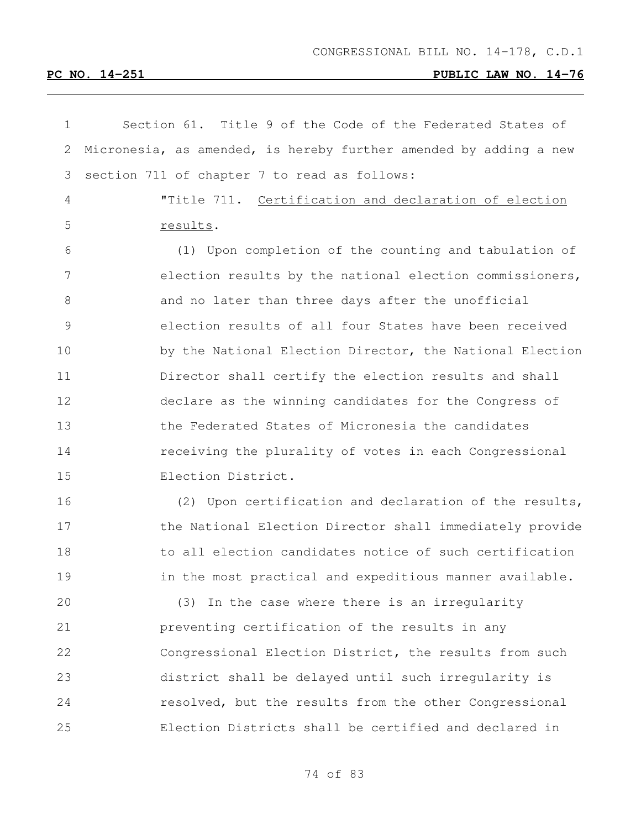| 1             | Section 61. Title 9 of the Code of the Federated States of        |
|---------------|-------------------------------------------------------------------|
| 2             | Micronesia, as amended, is hereby further amended by adding a new |
| 3             | section 711 of chapter 7 to read as follows:                      |
| 4             | "Title 711. Certification and declaration of election             |
| 5             | results.                                                          |
| 6             | (1) Upon completion of the counting and tabulation of             |
| 7             | election results by the national election commissioners,          |
| 8             | and no later than three days after the unofficial                 |
| $\mathcal{G}$ | election results of all four States have been received            |
| 10            | by the National Election Director, the National Election          |
| 11            | Director shall certify the election results and shall             |
| 12            | declare as the winning candidates for the Congress of             |
| 13            | the Federated States of Micronesia the candidates                 |
| 14            | receiving the plurality of votes in each Congressional            |
| 15            | Election District.                                                |
| 16            | (2) Upon certification and declaration of the results,            |
| 17            | the National Election Director shall immediately provide          |
| 18            | to all election candidates notice of such certification           |
| 19            | in the most practical and expeditious manner available.           |
| 20            | (3) In the case where there is an irregularity                    |
| 21            | preventing certification of the results in any                    |
| 22            | Congressional Election District, the results from such            |
| 23            | district shall be delayed until such irreqularity is              |
| 24            | resolved, but the results from the other Congressional            |
| 25            | Election Districts shall be certified and declared in             |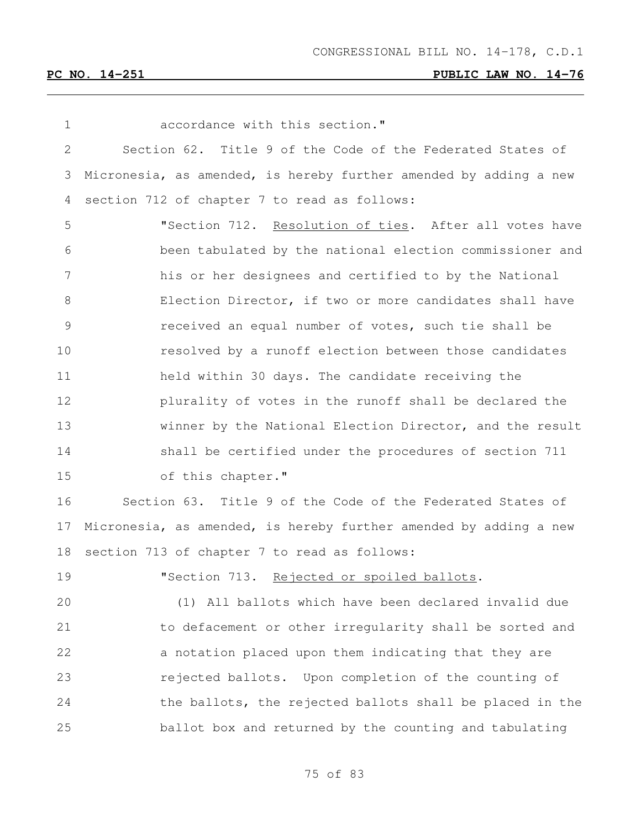| $\mathbf 1$    | accordance with this section."                                    |
|----------------|-------------------------------------------------------------------|
| $\mathbf{2}$   | Section 62. Title 9 of the Code of the Federated States of        |
| 3              | Micronesia, as amended, is hereby further amended by adding a new |
| 4              | section 712 of chapter 7 to read as follows:                      |
| 5              | "Section 712. Resolution of ties. After all votes have            |
| 6              | been tabulated by the national election commissioner and          |
| $\overline{7}$ | his or her designees and certified to by the National             |
| $8\,$          | Election Director, if two or more candidates shall have           |
| $\mathsf 9$    | received an equal number of votes, such tie shall be              |
| 10             | resolved by a runoff election between those candidates            |
| 11             | held within 30 days. The candidate receiving the                  |
| 12             | plurality of votes in the runoff shall be declared the            |
| 13             | winner by the National Election Director, and the result          |
| 14             | shall be certified under the procedures of section 711            |
| 15             | of this chapter."                                                 |
| 16             | Section 63. Title 9 of the Code of the Federated States of        |
| 17             | Micronesia, as amended, is hereby further amended by adding a new |
| 18             | section 713 of chapter 7 to read as follows:                      |
| 19             | "Section 713. Rejected or spoiled ballots.                        |
| 20             | (1) All ballots which have been declared invalid due              |
| 21             | to defacement or other irreqularity shall be sorted and           |
| 22             | a notation placed upon them indicating that they are              |
| 23             | rejected ballots. Upon completion of the counting of              |

 the ballots, the rejected ballots shall be placed in the ballot box and returned by the counting and tabulating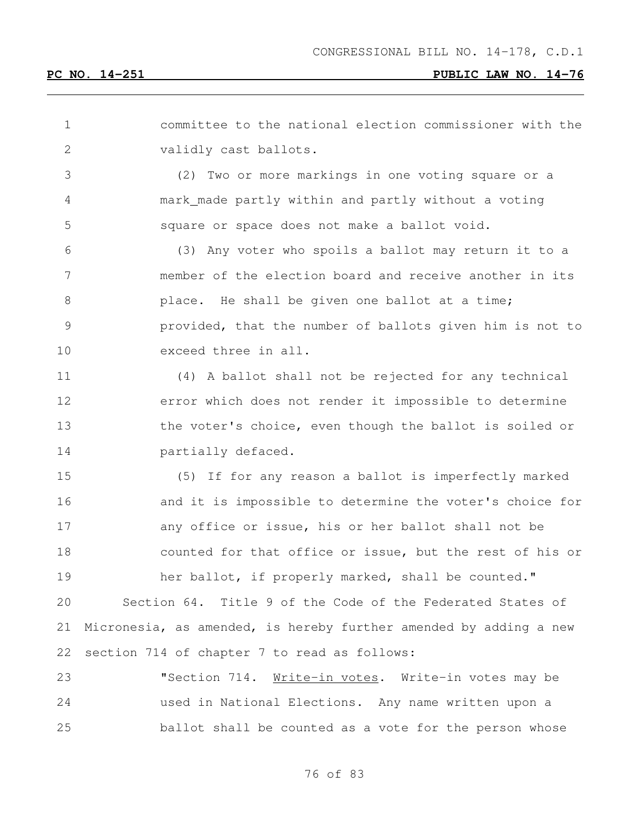| 1             | committee to the national election commissioner with the          |
|---------------|-------------------------------------------------------------------|
| $\mathbf{2}$  | validly cast ballots.                                             |
| 3             | (2) Two or more markings in one voting square or a                |
| 4             | mark_made partly within and partly without a voting               |
| 5             | square or space does not make a ballot void.                      |
| 6             | (3) Any voter who spoils a ballot may return it to a              |
| 7             | member of the election board and receive another in its           |
| 8             | place. He shall be given one ballot at a time;                    |
| $\mathcal{G}$ | provided, that the number of ballots given him is not to          |
| 10            | exceed three in all.                                              |
| 11            | (4) A ballot shall not be rejected for any technical              |
| 12            | error which does not render it impossible to determine            |
| 13            | the voter's choice, even though the ballot is soiled or           |
| 14            | partially defaced.                                                |
| 15            | (5) If for any reason a ballot is imperfectly marked              |
| 16            | and it is impossible to determine the voter's choice for          |
| 17            | any office or issue, his or her ballot shall not be               |
| 18            | counted for that office or issue, but the rest of his or          |
| 19            | her ballot, if properly marked, shall be counted."                |
| 20            | Section 64. Title 9 of the Code of the Federated States of        |
| 21            | Micronesia, as amended, is hereby further amended by adding a new |
| 22            | section 714 of chapter 7 to read as follows:                      |
| 23            | "Section 714. Write-in votes. Write-in votes may be               |
| 24            | used in National Elections. Any name written upon a               |
| 25            | ballot shall be counted as a vote for the person whose            |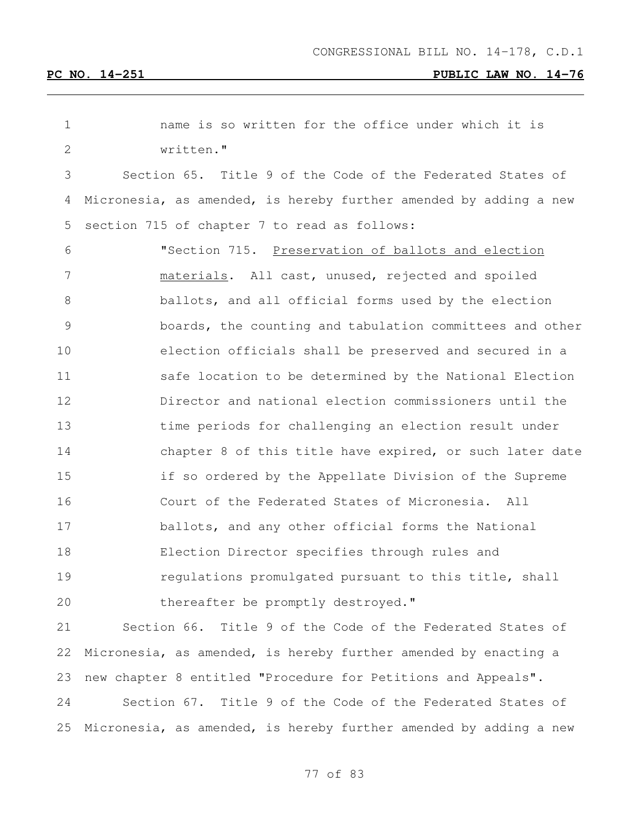| 1            | name is so written for the office under which it is               |
|--------------|-------------------------------------------------------------------|
| $\mathbf{2}$ | written."                                                         |
| 3            | Section 65. Title 9 of the Code of the Federated States of        |
| 4            | Micronesia, as amended, is hereby further amended by adding a new |
| 5            | section 715 of chapter 7 to read as follows:                      |
| 6            | "Section 715. Preservation of ballots and election                |
| 7            | materials. All cast, unused, rejected and spoiled                 |
| 8            | ballots, and all official forms used by the election              |
| 9            | boards, the counting and tabulation committees and other          |
| 10           | election officials shall be preserved and secured in a            |
| 11           | safe location to be determined by the National Election           |
| 12           | Director and national election commissioners until the            |
| 13           | time periods for challenging an election result under             |
| 14           | chapter 8 of this title have expired, or such later date          |
| 15           | if so ordered by the Appellate Division of the Supreme            |
| 16           | Court of the Federated States of Micronesia.<br>All               |
| 17           | ballots, and any other official forms the National                |
| 18           | Election Director specifies through rules and                     |
| 19           | regulations promulgated pursuant to this title, shall             |
| 20           | thereafter be promptly destroyed."                                |
| 21           | Section 66. Title 9 of the Code of the Federated States of        |
| 22           | Micronesia, as amended, is hereby further amended by enacting a   |

 Section 67. Title 9 of the Code of the Federated States of Micronesia, as amended, is hereby further amended by adding a new

new chapter 8 entitled "Procedure for Petitions and Appeals".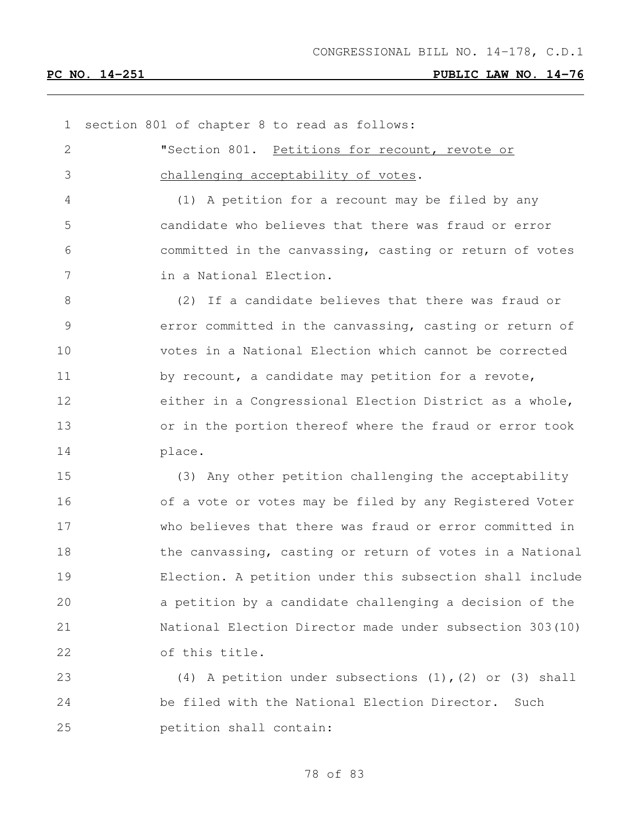section 801 of chapter 8 to read as follows: **"Section 801.** Petitions for recount, revote or challenging acceptability of votes. (1) A petition for a recount may be filed by any candidate who believes that there was fraud or error committed in the canvassing, casting or return of votes in a National Election. (2) If a candidate believes that there was fraud or error committed in the canvassing, casting or return of votes in a National Election which cannot be corrected 11 by recount, a candidate may petition for a revote, either in a Congressional Election District as a whole, or in the portion thereof where the fraud or error took place. (3) Any other petition challenging the acceptability of a vote or votes may be filed by any Registered Voter who believes that there was fraud or error committed in 18 the canvassing, casting or return of votes in a National Election. A petition under this subsection shall include a petition by a candidate challenging a decision of the National Election Director made under subsection 303(10) of this title. (4) A petition under subsections (1),(2) or (3) shall be filed with the National Election Director. Such petition shall contain: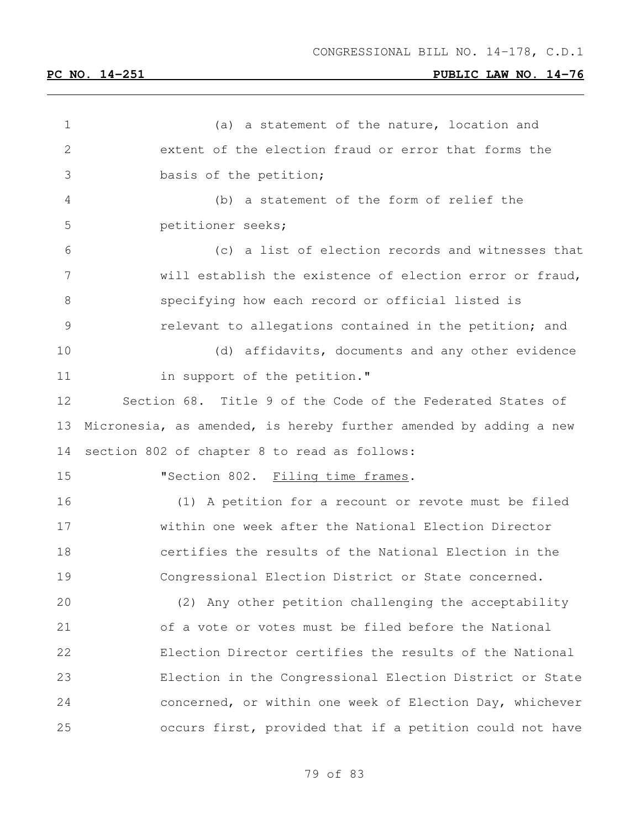1 (a) a statement of the nature, location and extent of the election fraud or error that forms the basis of the petition; (b) a statement of the form of relief the petitioner seeks; (c) a list of election records and witnesses that will establish the existence of election error or fraud, specifying how each record or official listed is relevant to allegations contained in the petition; and (d) affidavits, documents and any other evidence 11 in support of the petition." Section 68. Title 9 of the Code of the Federated States of Micronesia, as amended, is hereby further amended by adding a new section 802 of chapter 8 to read as follows: 15 "Section 802. Filing time frames. (1) A petition for a recount or revote must be filed within one week after the National Election Director certifies the results of the National Election in the Congressional Election District or State concerned. (2) Any other petition challenging the acceptability of a vote or votes must be filed before the National Election Director certifies the results of the National Election in the Congressional Election District or State concerned, or within one week of Election Day, whichever occurs first, provided that if a petition could not have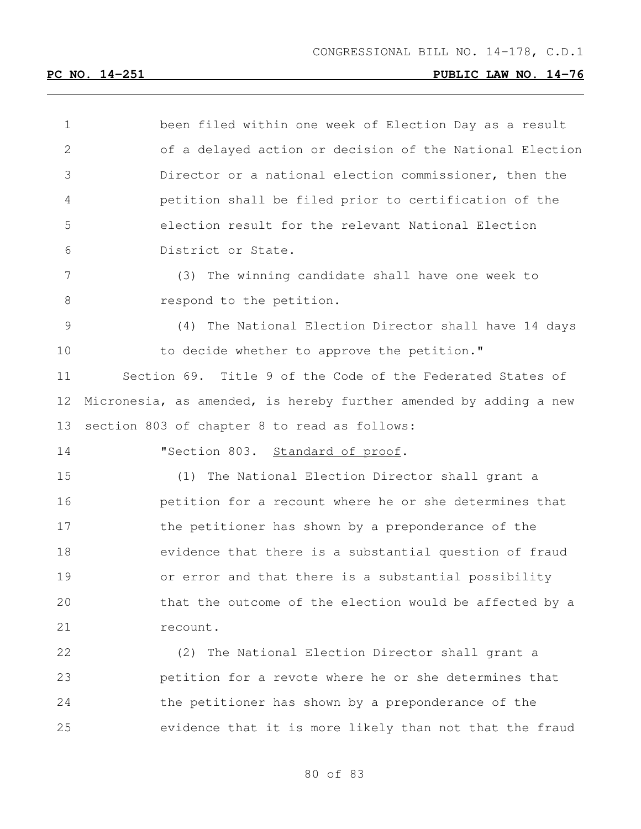| 1             | been filed within one week of Election Day as a result            |
|---------------|-------------------------------------------------------------------|
| $\mathbf{2}$  | of a delayed action or decision of the National Election          |
| 3             | Director or a national election commissioner, then the            |
| 4             | petition shall be filed prior to certification of the             |
| 5             | election result for the relevant National Election                |
| 6             | District or State.                                                |
| 7             | The winning candidate shall have one week to<br>(3)               |
| 8             | respond to the petition.                                          |
| $\mathcal{G}$ | The National Election Director shall have 14 days<br>(4)          |
| 10            | to decide whether to approve the petition."                       |
| 11            | Section 69. Title 9 of the Code of the Federated States of        |
| 12            | Micronesia, as amended, is hereby further amended by adding a new |
| 13            | section 803 of chapter 8 to read as follows:                      |
| 14            | "Section 803. Standard of proof.                                  |
| 15            | The National Election Director shall grant a<br>(1)               |
| 16            | petition for a recount where he or she determines that            |
| 17            | the petitioner has shown by a preponderance of the                |
| 18            | evidence that there is a substantial question of fraud            |
| 19            | or error and that there is a substantial possibility              |
| 20            | that the outcome of the election would be affected by a           |
| 21            | recount.                                                          |
| 22            | (2) The National Election Director shall grant a                  |
| 23            | petition for a revote where he or she determines that             |
| 24            | the petitioner has shown by a preponderance of the                |
| 25            | evidence that it is more likely than not that the fraud           |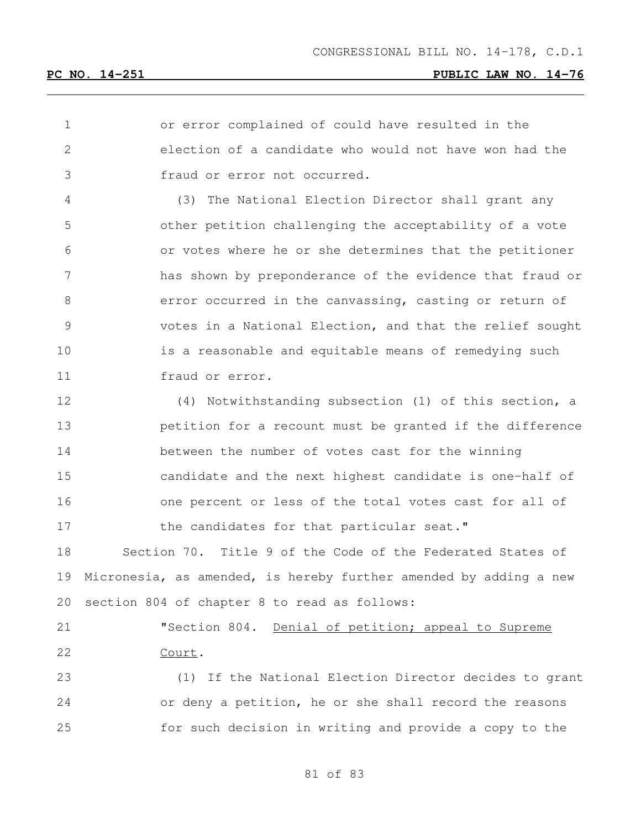or error complained of could have resulted in the election of a candidate who would not have won had the fraud or error not occurred.

 (3) The National Election Director shall grant any other petition challenging the acceptability of a vote or votes where he or she determines that the petitioner has shown by preponderance of the evidence that fraud or 8 error occurred in the canvassing, casting or return of votes in a National Election, and that the relief sought is a reasonable and equitable means of remedying such fraud or error.

 (4) Notwithstanding subsection (1) of this section, a petition for a recount must be granted if the difference between the number of votes cast for the winning candidate and the next highest candidate is one-half of one percent or less of the total votes cast for all of 17 the candidates for that particular seat."

 Section 70. Title 9 of the Code of the Federated States of Micronesia, as amended, is hereby further amended by adding a new section 804 of chapter 8 to read as follows:

 "Section 804. Denial of petition; appeal to Supreme Court.

 (1) If the National Election Director decides to grant or deny a petition, he or she shall record the reasons for such decision in writing and provide a copy to the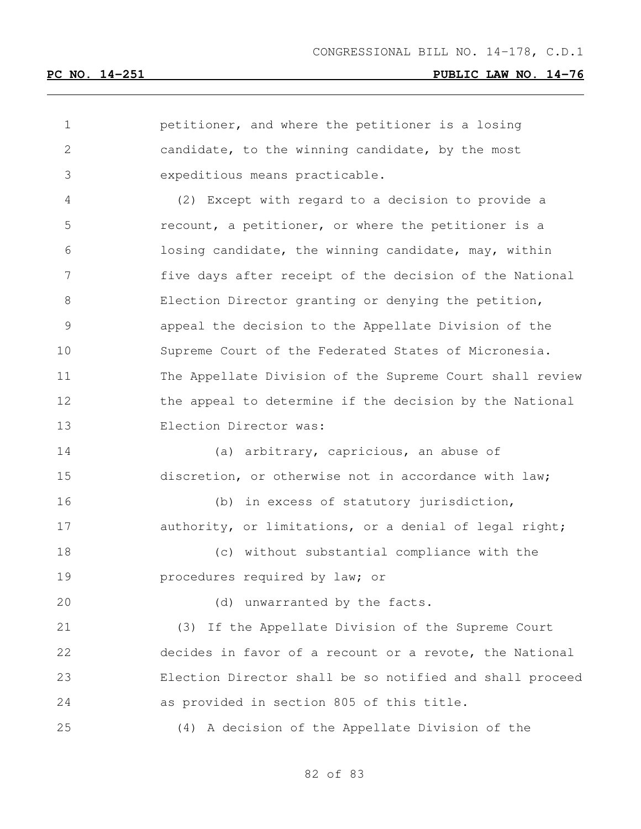petitioner, and where the petitioner is a losing candidate, to the winning candidate, by the most expeditious means practicable. (2) Except with regard to a decision to provide a recount, a petitioner, or where the petitioner is a losing candidate, the winning candidate, may, within five days after receipt of the decision of the National Election Director granting or denying the petition, appeal the decision to the Appellate Division of the Supreme Court of the Federated States of Micronesia. The Appellate Division of the Supreme Court shall review 12 the appeal to determine if the decision by the National Election Director was: (a) arbitrary, capricious, an abuse of discretion, or otherwise not in accordance with law; (b) in excess of statutory jurisdiction, 17 authority, or limitations, or a denial of legal right; (c) without substantial compliance with the procedures required by law; or 20 (d) unwarranted by the facts. (3) If the Appellate Division of the Supreme Court decides in favor of a recount or a revote, the National Election Director shall be so notified and shall proceed as provided in section 805 of this title. (4) A decision of the Appellate Division of the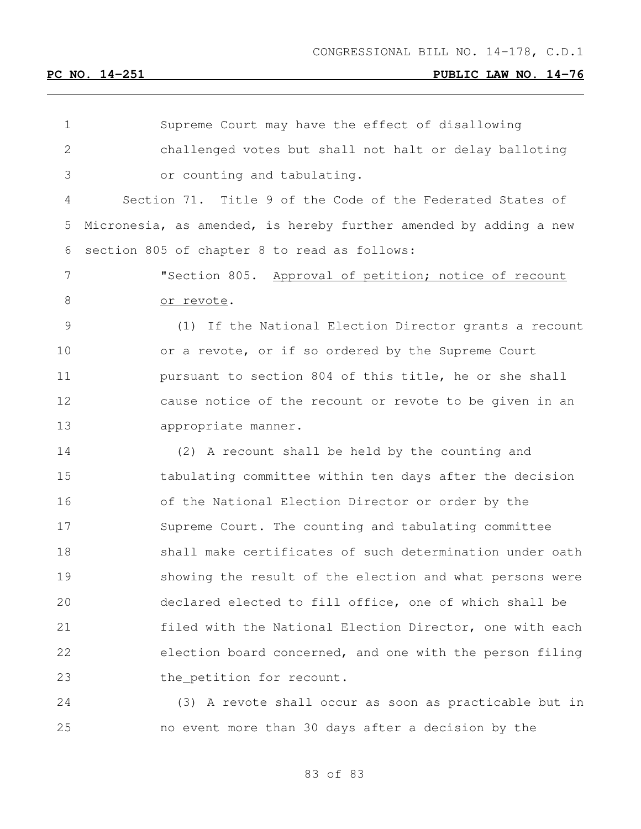| 1            | Supreme Court may have the effect of disallowing                  |
|--------------|-------------------------------------------------------------------|
| $\mathbf{2}$ | challenged votes but shall not halt or delay balloting            |
| 3            | or counting and tabulating.                                       |
| 4            | Section 71. Title 9 of the Code of the Federated States of        |
| 5            | Micronesia, as amended, is hereby further amended by adding a new |
| 6            | section 805 of chapter 8 to read as follows:                      |
| 7            | "Section 805. Approval of petition; notice of recount             |
| 8            | or revote.                                                        |
| 9            | (1) If the National Election Director grants a recount            |
| 10           | or a revote, or if so ordered by the Supreme Court                |
| 11           | pursuant to section 804 of this title, he or she shall            |
| 12           | cause notice of the recount or revote to be given in an           |
| 13           | appropriate manner.                                               |
| 14           | (2) A recount shall be held by the counting and                   |
| 15           | tabulating committee within ten days after the decision           |
| 16           | of the National Election Director or order by the                 |
| 17           | Supreme Court. The counting and tabulating committee              |
| 18           | shall make certificates of such determination under oath          |
| 19           | showing the result of the election and what persons were          |
| 20           | declared elected to fill office, one of which shall be            |
| 21           | filed with the National Election Director, one with each          |
| 22           | election board concerned, and one with the person filing          |
| 23           | the petition for recount.                                         |
| 24           | (3) A revote shall occur as soon as practicable but in            |

no event more than 30 days after a decision by the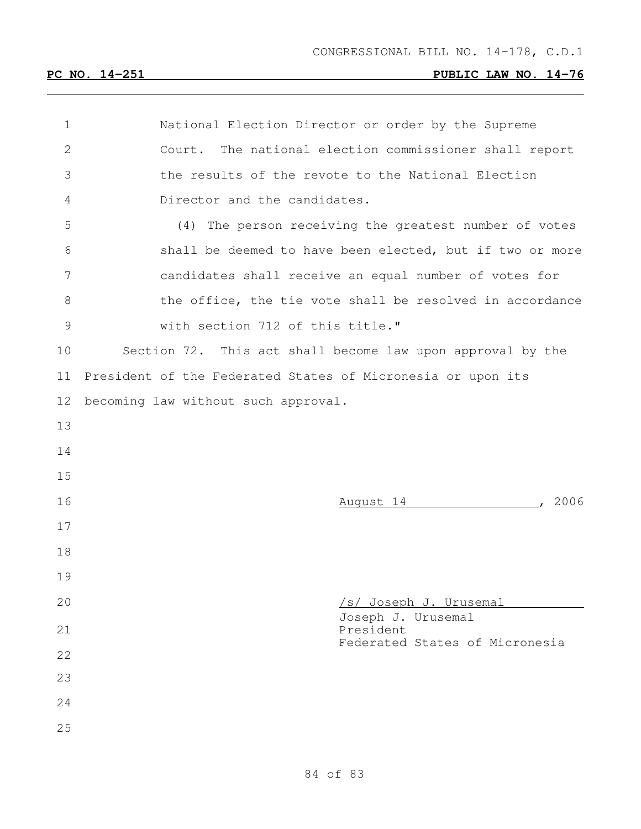| $\mathbf 1$ | National Election Director or order by the Supreme          |
|-------------|-------------------------------------------------------------|
| 2           | Court. The national election commissioner shall report      |
| 3           | the results of the revote to the National Election          |
| 4           | Director and the candidates.                                |
| 5           | (4) The person receiving the greatest number of votes       |
| 6           | shall be deemed to have been elected, but if two or more    |
| 7           | candidates shall receive an equal number of votes for       |
| $8\,$       | the office, the tie vote shall be resolved in accordance    |
| 9           | with section 712 of this title."                            |
| 10          | Section 72. This act shall become law upon approval by the  |
| 11          | President of the Federated States of Micronesia or upon its |
| 12          | becoming law without such approval.                         |
| 13          |                                                             |
| 14          |                                                             |
| 15          |                                                             |
| 16          | <u>August 14</u>                                            |
| 17          |                                                             |
| 18          |                                                             |
| 19          |                                                             |
| 20          | /s/ Joseph J. Urusemal                                      |
| 21          | Joseph J. Urusemal<br>President                             |
| 22          | Federated States of Micronesia                              |
| 23          |                                                             |
| 24          |                                                             |
|             |                                                             |